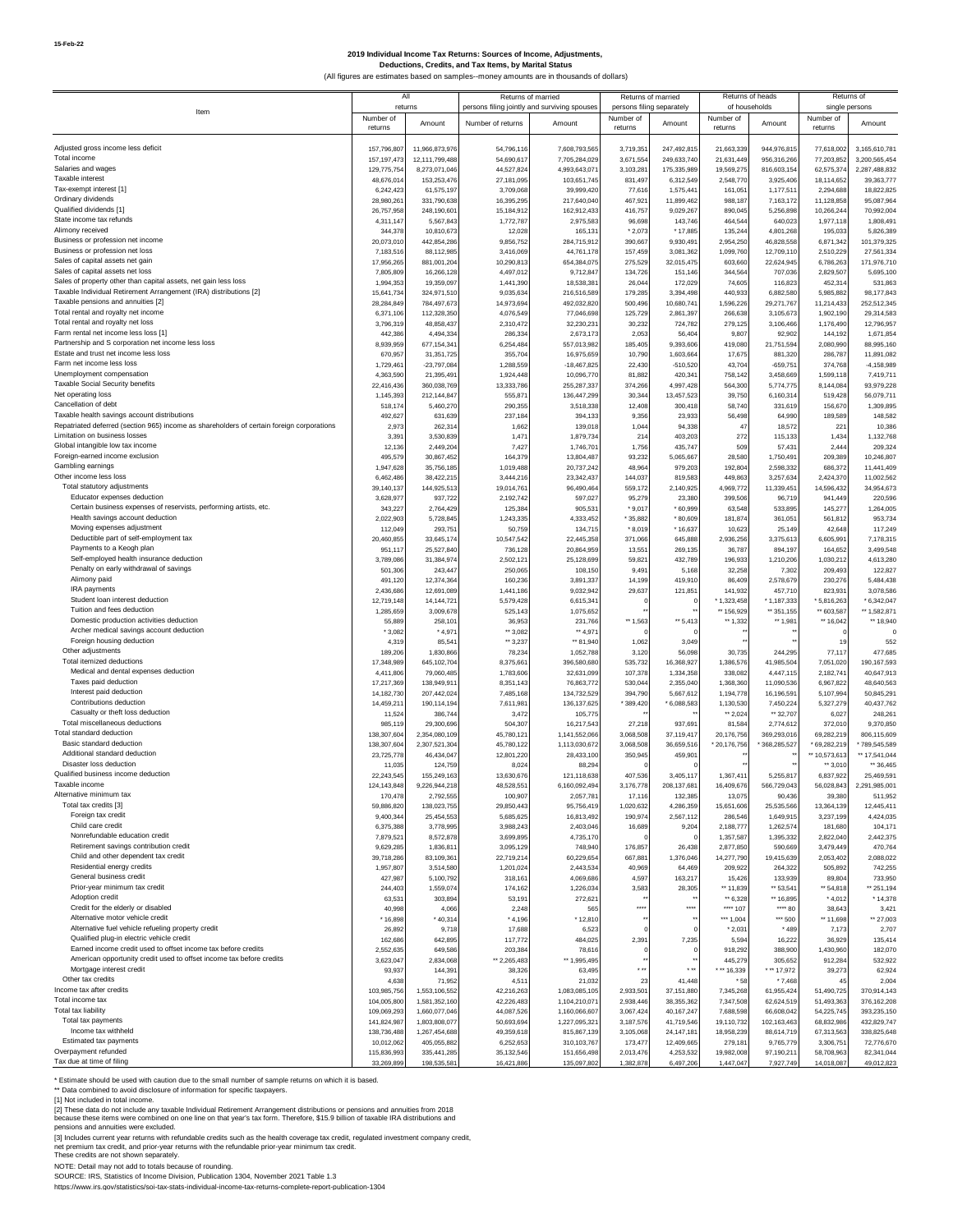#### **2019 Individual Income Tax Returns: Sources of Income, Adjustments, Deductions, Credits, and Tax Items, by Marital Status**

(All figures are estimates based on samples--money amounts are in thousands of dollars)

|                                                                                                       | All                        |                              | Returns of married                           |                            | Returns of married        |                           | Returns of heads        |                         | Returns of              |                              |
|-------------------------------------------------------------------------------------------------------|----------------------------|------------------------------|----------------------------------------------|----------------------------|---------------------------|---------------------------|-------------------------|-------------------------|-------------------------|------------------------------|
| Item                                                                                                  | returns                    |                              | persons filing jointly and surviving spouses |                            | persons filing separately |                           | of households           |                         | single persons          |                              |
|                                                                                                       | Number of                  | Amount                       | Number of returns                            | Amount                     | Number of                 | Amount                    | Number of<br>returns    | Amount                  | Number of<br>returns    | Amount                       |
|                                                                                                       | returns                    |                              |                                              |                            | returns                   |                           |                         |                         |                         |                              |
| Adjusted gross income less deficit                                                                    | 157,796,807                | 11,966,873,976               | 54,796,116                                   | 7,608,793,565              | 3,719,351                 | 247,492,815               | 21,663,339              | 944,976,815             | 77,618,002              | 3,165,610,781                |
| Total income                                                                                          | 157, 197, 473              | 12,111,799,488               | 54,690,617                                   | 7,705,284,02               | 3,671,55                  | 249,633,740               | 21,631,449              | 956,316,26              | 77,203,852              | 3.200.565.454                |
| Salaries and wages                                                                                    | 129,775,754                | 8,273,071,046                | 44,527,824                                   | 4,993,643,07               | 3,103,28                  | 175,335,989               | 19,569,275              | 816,603,154             | 62,575,374              | 2,287,488,832                |
| Taxable interest                                                                                      | 48,676,014                 | 153,253,476                  | 27,181,095                                   | 103,651,74                 | 831,497                   | 6,312,549                 | 2,548,770               | 3,925,406               | 18,114,652              | 39, 363, 777                 |
| Tax-exempt interest [1]<br>Ordinary dividends                                                         | 6,242,423<br>28.980.261    | 61,575,197<br>331,790,638    | 3,709,068<br>16,395,295                      | 39,999,42<br>217,640,04    | 77,616<br>467,921         | 1,575,441<br>11,899,462   | 161,051<br>988,187      | 1,177,511<br>7,163,172  | 2,294,688<br>11,128,858 | 18,822,825<br>95.087.964     |
| Qualified dividends [1]                                                                               | 26,757,958                 | 248,190,601                  | 15,184,912                                   | 162,912,43                 | 416,757                   | 9,029,267                 | 890,045                 | 5,256,898               | 10,266,244              | 70,992,004                   |
| State income tax refunds                                                                              | 4,311,147                  | 5,567,843                    | 1,772,787                                    | 2,975,58                   | 96,698                    | 143,746                   | 464,544                 | 640,023                 | 1,977,118               | 1,808,491                    |
| Alimony received                                                                                      | 344,378                    | 10,810,673                   | 12,028                                       | 165,13                     | $*2,073$                  | * 17,885                  | 135,244                 | 4,801,268               | 195,033                 | 5,826,389                    |
| Business or profession net income                                                                     | 20,073,010                 | 442,854,286                  | 9,856,752                                    | 284,715,91                 | 390,667                   | 9,930,491                 | 2,954,250               | 46,828,558              | 6,871,342               | 101,379,325                  |
| Business or profession net loss                                                                       | 7,183,516                  | 88,112,985                   | 3,416,069                                    | 44,761,178                 | 157,459                   | 3,081,362                 | 1,099,760               | 12,709,110              | 2,510,229               | 27,561,334                   |
| Sales of capital assets net gain                                                                      | 17,956,265                 | 881,001,204                  | 10,290,813                                   | 654,384,07                 | 275,529                   | 32,015,475                | 603,660                 | 22,624,945              | 6,786,263               | 171,976,710                  |
| Sales of capital assets net loss<br>Sales of property other than capital assets, net gain less loss   | 7,805,809                  | 16,266,128                   | 4,497,012                                    | 9,712,84                   | 134,726                   | 151,146                   | 344,564                 | 707,036<br>116,823      | 2,829,507               | 5,695,100                    |
| Taxable Individual Retirement Arrangement (IRA) distributions [2]                                     | 1,994,353<br>15,641,734    | 19,359,097<br>324,971,510    | 1,441,390<br>9,035,634                       | 18,538,38<br>216,516,58    | 26,044<br>179,285         | 172,029<br>3,394,498      | 74,605<br>440,933       | 6,882,580               | 452,314<br>5,985,882    | 531,863<br>98, 177, 843      |
| Taxable pensions and annuities [2]                                                                    | 28,284,849                 | 784,497,673                  | 14,973,694                                   | 492,032,82                 | 500,496                   | 10,680,741                | 1,596,226               | 29.271.767              | 11,214,433              | 252,512,345                  |
| Total rental and royalty net income                                                                   | 6,371,106                  | 112,328,350                  | 4,076,549                                    | 77,046,69                  | 125,729                   | 2,861,397                 | 266,638                 | 3,105,673               | 1,902,190               | 29,314,583                   |
| Total rental and royalty net loss                                                                     | 3,796,319                  | 48,858,437                   | 2,310,472                                    | 32,230,23                  | 30,232                    | 724,782                   | 279,125                 | 3,106,466               | 1,176,490               | 12,796,957                   |
| Farm rental net income less loss [1]                                                                  | 442,386                    | 4,494,334                    | 286,334                                      | 2,673,17                   | 2,053                     | 56,404                    | 9,807                   | 92,902                  | 144,192                 | 1,671,854                    |
| Partnership and S corporation net income less loss<br>Estate and trust net income less loss           | 8,939,959                  | 677,154,341                  | 6,254,484                                    | 557,013,982                | 185,405                   | 9,393,606                 | 419,080                 | 21,751,594              | 2,080,990               | 88,995,160                   |
| Farm net income less loss                                                                             | 670,957<br>1,729,461       | 31,351,725<br>$-23,797,084$  | 355,704<br>1,288,559                         | 16,975,659<br>$-18,467,82$ | 10,790<br>22,430          | 1,603,664<br>$-510,520$   | 17,675<br>43,704        | 881,320<br>$-659,751$   | 286,787<br>374,768      | 11,891,082<br>$-4, 158, 989$ |
| Unemployment compensation                                                                             | 4,363,590                  | 21,395,491                   | 1,924,448                                    | 10,096,77                  | 81,882                    | 420,34                    | 758,142                 | 3,458,669               | 1,599,118               | 7,419,711                    |
| Taxable Social Security benefits                                                                      | 22,416,436                 | 360,038,769                  | 13,333,786                                   | 255,287,33                 | 374,266                   | 4,997,428                 | 564,300                 | 5,774,775               | 8,144,084               | 93.979.228                   |
| Net operating loss                                                                                    | 1,145,393                  | 212,144,847                  | 555,871                                      | 136,447,29                 | 30,344                    | 13,457,523                | 39,750                  | 6,160,314               | 519,428                 | 56,079,711                   |
| Cancellation of debt                                                                                  | 518,174                    | 5,460,270                    | 290,355                                      | 3,518,338                  | 12,408                    | 300,418                   | 58,740                  | 331,619                 | 156,670                 | 1.309.895                    |
| Taxable health savings account distributions                                                          | 492,627                    | 631,639                      | 237,184                                      | 394,13                     | 9,356                     | 23,93                     | 56,498                  | 64,990                  | 189,589                 | 148,582                      |
| Repatriated deferred (section 965) income as shareholders of certain foreign corporations             | 2,973                      | 262.314                      | 1,662                                        | 139,01                     | 1,044                     | 94.33                     | 47                      | 18.572                  | 22                      | 10,386                       |
| Limitation on business losses<br>Global intangible low tax income                                     | 3,391                      | 3,530,839                    | 1,471                                        | 1,879,73                   | $21 -$                    | 403,203                   | 272                     | 115,133                 | 1,434                   | 1,132,768                    |
| Foreign-earned income exclusion                                                                       | 12,136<br>495,579          | 2,449,204<br>30,867,452      | 7,427<br>164,379                             | 1,746,70<br>13,804,487     | 1,756<br>93,232           | 435,747<br>5,065,667      | 509<br>28,580           | 57,431<br>1,750,491     | 2,444<br>209,389        | 209,324<br>10,246,807        |
| Gambling earnings                                                                                     | 1,947,628                  | 35,756,185                   | 1,019,488                                    | 20,737,24                  | 48,964                    | 979,203                   | 192,804                 | 2,598,332               | 686,372                 | 11,441,409                   |
| Other income less loss                                                                                | 6,462,486                  | 38,422,215                   | 3,444,216                                    | 23,342,43                  | 144,037                   | 819,583                   | 449,863                 | 3,257,634               | 2,424,370               | 11,002,562                   |
| Total statutory adjustments                                                                           | 39,140,137                 | 144,925,513                  | 19,014,761                                   | 96,490,46                  | 559,172                   | 2,140,925                 | 4,969,772               | 11,339,451              | 14,596,432              | 34,954,673                   |
| Educator expenses deduction                                                                           | 3,628,977                  | 937,722                      | 2,192,742                                    | 597,02                     | 95,279                    | 23,380                    | 399,506                 | 96,719                  | 941,449                 | 220,596                      |
| Certain business expenses of reservists, performing artists, etc.<br>Health savings account deduction | 343,227                    | 2,764,429                    | 125,384                                      | 905,53                     | $*9,017$                  | $*60,999$                 | 63,548                  | 533,895                 | 145,277                 | 1,264,005                    |
| Moving expenses adjustment                                                                            | 2,022,903<br>112,049       | 5,728,845                    | 1,243,335                                    | 4,333,45                   | $*35,882$                 | $*80,609$<br>$*16,637$    | 181,874                 | 361,051<br>25.149       | 561,812<br>42.64        | 953,734                      |
| Deductible part of self-employment tax                                                                | 20,460,855                 | 293,751<br>33,645,174        | 50,759<br>10,547,542                         | 134,71<br>22,445,35        | $*8,019$<br>371,066       | 645,888                   | 10,623<br>2,936,256     | 3,375,613               | 6,605,991               | 117,249<br>7,178,315         |
| Payments to a Keogh plan                                                                              | 951,117                    | 25,527,840                   | 736,128                                      | 20,864,959                 | 13,551                    | 269,135                   | 36,787                  | 894,197                 | 164,652                 | 3,499,548                    |
| Self-employed health insurance deduction                                                              | 3,789,086                  | 31,384,974                   | 2,502,121                                    | 25,128,699                 | 59,821                    | 432,789                   | 196,933                 | 1,210,206               | 1,030,212               | 4,613,280                    |
| Penalty on early withdrawal of savings                                                                | 501,306                    | 243,447                      | 250,065                                      | 108,15                     | 9,491                     | 5,166                     | 32,258                  | 7,302                   | 209,493                 | 122,827                      |
| Alimony paid                                                                                          | 491,120                    | 12,374,364                   | 160,236                                      | 3,891,33                   | 14,199                    | 419,910                   | 86,409                  | 2,578,679               | 230.27                  | 5,484,438                    |
| IRA payments                                                                                          | 2,436,686                  | 12,691,089                   | 1,441,186                                    | 9,032,94                   | 29,637                    | 121,851                   | 141,932                 | 457,710                 | 823.93                  | 3,078,586                    |
| Student loan interest deduction<br>Tuition and fees deduction                                         | 12,719,148                 | 14,144,721                   | 5,579,428                                    | 6,615,34                   |                           |                           | $*1,323,458$            | $*1,187,333$            | 5,816,263               | 6,342,047                    |
| Domestic production activities deduction                                                              | 1,285,659<br>55,889        | 3,009,678<br>258,101         | 525,143<br>36,953                            | 1,075,65<br>231,76         | ** 1,563                  | $-5,413$                  | ** 156,929<br>41,332    | ** 351,155<br>$+1,981$  | ** 603,587<br>** 16,042 | ** 1,582,871<br>** 18,940    |
| Archer medical savings account deduction                                                              | $*3.082$                   | $*4,971$                     | $-3.082$                                     | 4,97                       |                           |                           |                         |                         |                         | $^{\circ}$                   |
| Foreign housing deduction                                                                             | 4,319                      | 85,541                       | $-3,237$                                     | ** 81,94                   | 1,062                     | 3,049                     |                         |                         | 19                      | 552                          |
| Other adjustments                                                                                     | 189,206                    | 1,830,866                    | 78,234                                       | 1,052,78                   | 3,120                     | 56,098                    | 30,735                  | 244,295                 | 77,117                  | 477,685                      |
| Total itemized deductions                                                                             | 17,348,989                 | 645,102,704                  | 8,375,661                                    | 396,580,68                 | 535,732                   | 16,368,927                | 1,386,576               | 41,985,504              | 7,051,020               | 190, 167, 593                |
| Medical and dental expenses deduction                                                                 | 4,411,806                  | 79,060,485                   | 1,783,606                                    | 32,631,09                  | 107,378                   | 1,334,358                 | 338,082                 | 4,447,115               | 2,182,741               | 40,647,913                   |
| Taxes paid deduction<br>Interest paid deduction                                                       | 17,217,369                 | 138,949,911                  | 8,351,143                                    | 76,863,77                  | 530,044                   | 2,355,040                 | 1,368,360               | 11,090,536              | 6,967,822               | 48,640,563                   |
| Contributions deduction                                                                               | 14, 182, 730<br>14,459,211 | 207,442,024<br>190,114,194   | 7,485,168<br>7,611,981                       | 134,732,52<br>136, 137, 62 | 394,790<br>*389,420       | 5,667,612<br>6,088,583    | 1,194,778<br>1,130,530  | 16,196,591<br>7,450,224 | 5,107,994<br>5,327,279  | 50,845,291<br>40,437,762     |
| Casualty or theft loss deduction                                                                      | 11,524                     | 386,744                      | 3,472                                        | 105,77                     |                           |                           | ** 2,024                | ** 32,707               | 6,027                   | 248,261                      |
| Total miscellaneous deductions                                                                        | 985,119                    | 29,300,696                   | 504,307                                      | 16,217,54                  | 27,218                    | 937,691                   | 81,584                  | 2,774,612               | 372,010                 | 9,370,850                    |
| Total standard deduction                                                                              | 138,307,604                | 2,354,080,109                | 45,780,121                                   | 1,141,552,06               | 3,068,508                 | 37,119,417                | 20,176,756              | 369,293,016             | 69,282,219              | 806,115,609                  |
| Basic standard deduction                                                                              | 138,307,604                | 2,307,521,304                | 45,780,122                                   | 1,113,030,672              | 3,068,508                 | 36,659,516                | * 20,176,756            | 368,285,527             | * 69,282,219            | * 789,545,589                |
| Additional standard deduction                                                                         | 23,725,778                 | 46,434,047                   | 12,801,220                                   | 28,433,100                 | 350,945                   | 459,901                   |                         |                         | ** 10,573,613           | ** 17,541,044                |
| Disaster loss deduction<br>Qualified business income deduction                                        | 11,035<br>22,243,545       | 124,759<br>155,249,163       | 8,024<br>13,630,676                          | 88.29<br>121,118,63        | 407,536                   | 3,405,117                 | 1,367,411               | 5,255,817               | ** 3,010<br>6,837,922   | ** 36,465<br>25,469,591      |
| Taxable income                                                                                        | 124.143.84                 |                              | 48.528.55                                    | 6.160.092.49               | 3,176,77                  | 208.137.68                | 16.409.67               | 566.729.04              | 56.028.84               | 2.291.985.001                |
| Alternative minimum tax                                                                               | 170,478                    | 2.792.555                    | 100,907                                      | 2,057,78                   | 17,11                     | 132.38                    | 13,075                  | 90,436                  | 39,380                  | 511,952                      |
| Total tax credits [3]                                                                                 | 59,886,820                 | 138,023,755                  | 29,850,443                                   | 95,756,419                 | 1,020,632                 | 4,286,359                 | 15,651,606              | 25,535,566              | 13,364,139              | 12,445,411                   |
| Foreign tax credit                                                                                    | 9,400,344                  | 25,454,553                   | 5,685,625                                    | 16,813,492                 | 190,974                   | 2,567,112                 | 286,546                 | 1,649,915               | 3,237,199               | 4,424,035                    |
| Child care credit                                                                                     | 6,375,388                  | 3,778,995                    | 3,988,243                                    | 2,403,04                   | 16,689                    | 9,204                     | 2,188,777               | 1,262,574               | 181,680                 | 104,171                      |
| Nonrefundable education credit                                                                        | 7,879,521                  | 8,572,878                    | 3,699,895                                    | 4,735,170                  |                           |                           | 1,357,587               | 1,395,332               | 2,822,040               | 2,442,375                    |
| Retirement savings contribution credit<br>Child and other dependent tax credit                        | 9,629,285<br>39,718,286    | 1,836,811<br>83,109,361      | 3,095,129<br>22,719,214                      | 748,940<br>60,229,65       | 176,857<br>667,881        | 26,438<br>1,376,046       | 2,877,850<br>14,277,790 | 590,669<br>19,415,639   | 3,479,449<br>2,053,402  | 470,764<br>2,088,022         |
| Residential energy credits                                                                            | 1,957,807                  | 3,514,580                    | 1,201,024                                    | 2,443,534                  | 40,969                    | 64,469                    | 209,922                 | 264,322                 | 505,892                 | 742,255                      |
| General business credit                                                                               | 427,987                    | 5,100,792                    | 318,161                                      | 4,069,68                   | 4,597                     | 163,217                   | 15,426                  | 133,939                 | 89,804                  | 733,950                      |
| Prior-year minimum tax credit                                                                         | 244.403                    | 1,559,074                    | 174,162                                      | 1,226,03                   | 3,583                     | 28,305                    | ** 11,839               | ** 53,541               | ** 54,818               | ** 251,194                   |
| Adoption credit                                                                                       | 63,531                     | 303,894                      | 53,191                                       | 272,62                     |                           |                           | $*6,328$                | ** 16,895               | $*4.012$                | $*14,378$                    |
| Credit for the elderly or disabled                                                                    | 40,998                     | 4,066                        | 2,248                                        | 56                         |                           | $\cdots$                  | **** 107                | **** 80                 | 38,643                  | 3,421                        |
| Alternative motor vehicle credit                                                                      | * 16,898                   | $*40,314$                    | $*4,196$                                     | $*12,810$                  |                           |                           | *** 1,004               | *** 500                 | ** 11,698               | ** 27,003                    |
| Alternative fuel vehicle refueling property credit<br>Qualified plug-in electric vehicle credit       | 26,892                     | 9,718                        | 17,688                                       | 6,52                       |                           |                           | $*2,031$                | $*489$                  | 7,173                   | 2,707                        |
| Earned income credit used to offset income tax before credits                                         | 162,686<br>2,552,635       | 642,895<br>649,586           | 117,772<br>203,384                           | 484,02<br>78,616           | 2,391                     | 7,235                     | 5,594<br>918,292        | 16,222<br>388,900       | 36.929<br>1,430,960     | 135,414<br>182,070           |
| American opportunity credit used to offset income tax before credits                                  | 3,623,047                  | 2,834,068                    | ** 2,265,483                                 | ** 1,995,49                |                           |                           | 445,279                 | 305,652                 | 912,284                 | 532,922                      |
| Mortgage interest credit                                                                              | 93,937                     | 144,391                      | 38,326                                       | 63,495                     | .                         | $\ddot{\phantom{0}}$      | 44.339                  | $+ 17.972$              | 39,273                  | 62,924                       |
| Other tax credits                                                                                     | 4,638                      | 71,952                       | 4,51                                         | 21,03                      | 23                        | 41,448                    | * 58                    | $*7,468$                | 45                      | 2,004                        |
| Income tax after credits                                                                              | 103.985.756                | 1,553,106,552                | 42,216,263                                   | 1,083,085,105              | 2,933,501                 | 37,151,880                | 7,345,268               | 61,955,424              | 51,490,725              | 370.914.143                  |
| Total income tax                                                                                      | 104,005,800                | 1,581,352,160                | 42,226,483                                   | 1,104,210,07               | 2,938,446                 | 38, 355, 362              | 7,347,508               | 62,624,519              | 51,493,363              | 376, 162, 208                |
| Total tax liability                                                                                   | 109,069,293                | 1,660,077,046                | 44,087,526                                   | 1,160,066,607              | 3,067,424                 | 40, 167, 247              | 7,688,598               | 66,608,042              | 54,225,745              | 393,235,150                  |
| Total tax payments<br>Income tax withheld                                                             | 141,824,987                | 1,803,808,077                | 50,693,694                                   | 1,227,095,32               | 3,187,576                 | 41,719,546                | 19,110,732              | 102,163,463             | 68,832,986              | 432,829,747                  |
| Estimated tax payments                                                                                | 138,736,488<br>10,012,062  | 1,267,454,688<br>405,055,882 | 49,359,618<br>6,252,653                      | 815,867,13<br>310,103,767  | 3,105,068<br>173,477      | 24, 147, 18<br>12,409,665 | 18,958,239<br>279,181   | 88,614,719<br>9,765,779 | 67,313,563<br>3,306,751 | 338,825,648<br>72,776,670    |
| Overpayment refunded                                                                                  | 115,836,993                | 335,441,285                  | 35,132,546                                   | 151,656,498                | 2,013,476                 | 4,253,532                 | 19,982,008              | 97,190,211              | 58,708,963              | 82,341,044                   |
| Tax due at time of filing                                                                             | 33,269,899                 | 198,535,581                  | 16,421,886                                   | 135,097,802                | 1,382,878                 | 6,497,206                 | 1,447,047               | 7,927,749               | 14,018,087              | 49,012,823                   |

\* Estimate should be used with caution due to the small number of sample returns on which it is based.

\*\* Data combined to avoid disclosure of information for specific taxpayers.<br>[1] Not included in total income.<br>[2] These data do not include any taxable Individual Retirement Arrangement distributions or pensions and annuit

[3] Includes current year returns with refundable credits such as the health coverage tax credit, regulated investment company credit,<br>net premium tax credit, and prior-year returns with the refundable prior-year minimum t

NOTE: Detail may not add to totals because of rounding.<br>SOURCE: IRS, Statistics of Income Division, Publication 1304, November 2021 Table 1.3<br>https://www.irs.gov/statistics/soi-tax-stats-individual-income-tax-returns-comp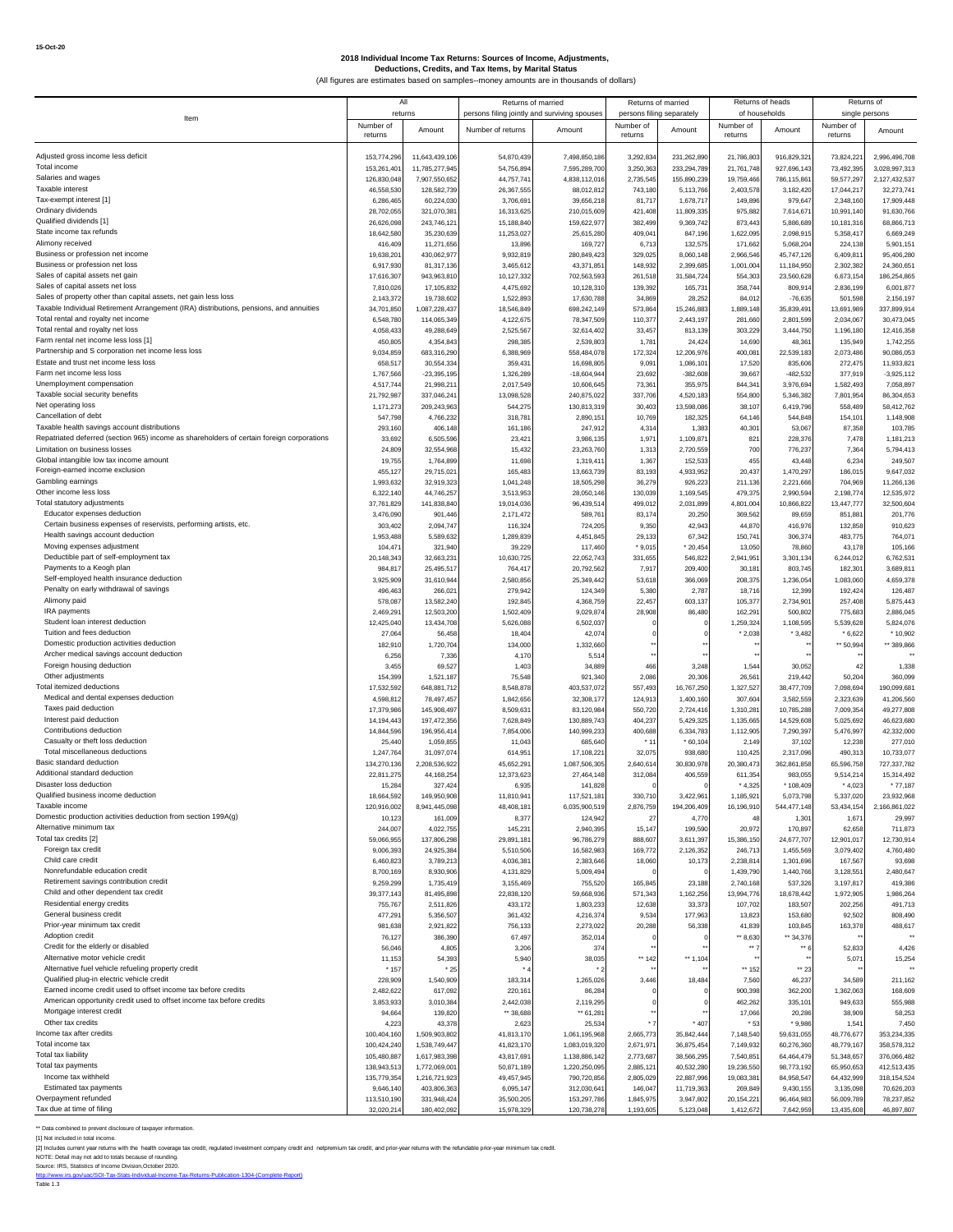|                                                                                           | All                        |                                |                                              | Returns of married             | Returns of married        |                          | Returns of heads        |                          | Returns of               |                            |
|-------------------------------------------------------------------------------------------|----------------------------|--------------------------------|----------------------------------------------|--------------------------------|---------------------------|--------------------------|-------------------------|--------------------------|--------------------------|----------------------------|
| Item                                                                                      | returns                    |                                | persons filing jointly and surviving spouses |                                | persons filing separately |                          |                         | of households            | single persons           |                            |
|                                                                                           | Number of                  | Amount                         | Number of returns                            | Amount                         | Number of                 | Amount                   | Number of               | Amount                   | Number of                | Amount                     |
|                                                                                           | returns                    |                                |                                              |                                | returns                   |                          | returns                 |                          | returns                  |                            |
| Adjusted gross income less deficit                                                        | 153,774,296                | 11,643,439,106                 | 54,870,439                                   | 7,498,850,186                  | 3,292,834                 | 231,262,890              | 21,786,803              | 916,829,321              | 73,824,221               | 2,996,496,708              |
| Total income                                                                              | 153,261,401                | 11,785,277,945                 | 54,756,894                                   | 7,595,289,700                  | 3,250,363                 | 233,294,789              | 21,761,748              | 927,696,143              | 73,492,395               | 3,028,997,313              |
| Salaries and wages                                                                        | 126,830,048                | 7,907,550,652                  | 44,757,74                                    | 4,838,112,016                  | 2,735,545                 | 155,890,239              | 19,759,466              | 786,115,861              | 59,577,297               | 2,127,432,537              |
| Taxable interest                                                                          | 46,558,530                 | 128,582,739                    | 26,367,555                                   | 88,012,812                     | 743,180                   | 5,113,766                | 2,403,578               | 3,182,420                | 17,044,217               | 32,273,741                 |
| Tax-exempt interest [1]                                                                   | 6,286,465                  | 60,224,030                     | 3,706,691                                    | 39,656,218                     | 81,717                    | 1,678,717                | 149,896                 | 979,647                  | 2,348,160                | 17,909,448                 |
| Ordinary dividends                                                                        | 28,702,055                 | 321,070,381                    | 16,313,625                                   | 210,015,609                    | 421,408                   | 11,809,335               | 975,882                 | 7,614,671                | 10,991,140               | 91,630,766                 |
| Qualified dividends [1]                                                                   | 26,626,098                 | 243,746,121                    | 15,188,840                                   | 159,622,977                    | 382,499                   | 9,369,742                | 873,443                 | 5,886,689                | 10,181,316               | 68,866,713                 |
| State income tax refunds                                                                  | 18,642,580                 | 35,230,639                     | 11,253,027                                   | 25,615,280                     | 409,041                   | 847,196                  | 1,622,095               | 2,098,915                | 5,358,417                | 6,669,249                  |
| Alimony received                                                                          | 416,409                    | 11,271,656                     | 13,896                                       | 169,727                        | 6,713                     | 132,575                  | 171,662                 | 5,068,204                | 224,138                  | 5,901,151                  |
| Business or profession net income<br>Business or profession net loss                      | 19,638,20                  | 430,062,977                    | 9,932,81                                     | 280,849,423                    | 329,025                   | 8,060,148                | 2,966,546               | 45,747,126               | 6,409,81                 | 95,406,280                 |
| Sales of capital assets net gain                                                          | 6,917,930<br>17,616,307    | 81,317,136<br>943,963,810      | 3,465,61<br>10,127,332                       | 43,371,85<br>702,563,593       | 148,932<br>261,518        | 2,399,685<br>31,584,724  | 1,001,004<br>554,303    | 11,184,950<br>23,560,628 | 2,302,382<br>6,673,154   | 24,360,651<br>186,254,865  |
| Sales of capital assets net loss                                                          | 7,810,026                  | 17,105,832                     | 4,475,692                                    | 10,128,310                     | 139,392                   | 165,731                  | 358,744                 | 809,914                  | 2,836,199                | 6,001,877                  |
| Sales of property other than capital assets, net gain less loss                           | 2,143,372                  | 19,738,602                     | 1,522,893                                    | 17,630,788                     | 34,869                    | 28,252                   | 84,012                  | $-76,635$                | 501,598                  | 2,156,197                  |
| Taxable Individual Retirement Arrangement (IRA) distributions, pensions, and annuities    | 34,701,850                 | 1,087,228,437                  | 18,546,849                                   | 698,242,149                    | 573,864                   | 15,246,883               | 1,889,148               | 35,839,491               | 13,691,989               | 337,899,914                |
| Total rental and royalty net income                                                       | 6,548,780                  | 114,065,349                    | 4,122,675                                    | 78,347,509                     | 110,377                   | 2,443,197                | 281,660                 | 2,801,599                | 2,034,067                | 30,473,045                 |
| Total rental and royalty net loss                                                         | 4,058,433                  | 49,288,649                     | 2,525,567                                    | 32,614,402                     | 33,457                    | 813,139                  | 303,229                 | 3,444,750                | 1,196,180                | 12,416,358                 |
| Farm rental net income less loss [1]                                                      | 450,805                    | 4,354,843                      | 298,385                                      | 2,539,803                      | 1,781                     | 24,424                   | 14,690                  | 48,361                   | 135,949                  | 1,742,255                  |
| Partnership and S corporation net income less loss                                        | 9,034,859                  | 683,316,290                    | 6,388,96                                     | 558,484,078                    | 172,324                   | 12,206,976               | 400,081                 | 22,539,183               | 2,073,486                | 90,086,053                 |
| Estate and trust net income less loss                                                     | 658,517                    | 30,554,334                     | 359,431                                      | 16,698,805                     | 9,091                     | 1,086,101                | 17,520                  | 835,606                  | 272,475                  | 11,933,821                 |
| Farm net income less loss                                                                 | 1,767,566                  | $-23,395,195$                  | 1,326,289                                    | $-18,604,944$                  | 23,692                    | $-382,608$               | 39,667                  | $-482.532$               | 377,919                  | $-3,925,112$               |
| Unemployment compensation                                                                 | 4,517,744                  | 21,998,211                     | 2,017,549                                    | 10,606,645                     | 73,361                    | 355,975                  | 844,341                 | 3,976,694                | 1,582,493                | 7,058,897                  |
| Taxable social security benefits<br>Net operating loss                                    | 21,792,987                 | 337,046,241                    | 13,098,528                                   | 240,875,022                    | 337,706                   | 4,520,183                | 554,800                 | 5,346,382                | 7,801,954                | 86,304,653                 |
| Cancellation of debt                                                                      | 1,171,273<br>547,798       | 209,243,963<br>4,766,232       | 544,275<br>318,781                           | 130,813,319<br>2,890,15        | 30,403<br>10,769          | 13,598,086<br>182,325    | 38,107<br>64,146        | 6,419,796<br>544.848     | 558,489                  | 58,412,762<br>1,148,908    |
| Taxable health savings account distributions                                              | 293,160                    | 406,148                        | 161,186                                      | 247,912                        | 4,31                      | 1,383                    | 40,301                  | 53,067                   | 154,101<br>87,358        | 103,785                    |
| Repatriated deferred (section 965) income as shareholders of certain foreign corporations | 33,692                     | 6,505,596                      | 23,421                                       | 3,986,135                      | 1,971                     | 1,109,871                | 821                     | 228,376                  | 7,478                    | 1,181,213                  |
| Limitation on business losses                                                             | 24,809                     | 32,554,968                     | 15,43                                        | 23,263,760                     | 1,313                     | 2,720,559                | 700                     | 776,237                  | 7,364                    | 5,794,413                  |
| Global intangible low tax income amount                                                   | 19,755                     | 1,764,899                      | 11,698                                       | 1,319,41                       | 1,367                     | 152,533                  | 455                     | 43,448                   | 6,23                     | 249,507                    |
| Foreign-earned income exclusion                                                           | 455,127                    | 29,715,021                     | 165,483                                      | 13,663,739                     | 83,193                    | 4,933,952                | 20,437                  | 1,470,297                | 186,015                  | 9,647,032                  |
| Gambling earnings                                                                         | 1,993,632                  | 32,919,323                     | 1,041,248                                    | 18,505,298                     | 36,279                    | 926,223                  | 211,136                 | 2,221,666                | 704,969                  | 11,266,136                 |
| Other income less loss                                                                    | 6,322,140                  | 44,746,257                     | 3,513,953                                    | 28,050,146                     | 130,039                   | 1,169,545                | 479,375                 | 2,990,594                | 2,198,77                 | 12,535,972                 |
| Total statutory adjustments                                                               | 37,761,829                 | 141,838,840                    | 19,014,036                                   | 96,439,514                     | 499,012                   | 2,031,899                | 4,801,004               | 10,866,822               | 13,447,777               | 32,500,604                 |
| Educator expenses deduction                                                               | 3,476,090                  | 901.446                        | 2,171,472                                    | 589,76                         | 83,174                    | 20,250                   | 369,562                 | 89,659                   | 851,881                  | 201,776                    |
| Certain business expenses of reservists, performing artists, etc.                         | 303,402                    | 2,094,747                      | 116,32                                       | 724,205                        | 9,350                     | 42,943                   | 44,870                  | 416,976                  | 132,85                   | 910,623                    |
| Health savings account deduction                                                          | 1,953,488                  | 5,589,632                      | 1,289,839                                    | 4,451,845                      | 29,133                    | 67,342                   | 150,741                 | 306,374                  | 483,775                  | 764,071                    |
| Moving expenses adjustment<br>Deductible part of self-employment tax                      | 104,47                     | 321,940                        | 39,229                                       | 117,460                        | $*9,015$                  | $*20,454$                | 13,050                  | 78,860                   | 43,178                   | 105,166                    |
| Payments to a Keogh plan                                                                  | 20,148,343<br>984,817      | 32,663,231<br>25,495,517       | 10,630,725<br>764,417                        | 22,052,743<br>20,792,562       | 331,655<br>7,917          | 546,822<br>209,400       | 2,941,951<br>30,181     | 3,301,134<br>803,745     | 6,244,01<br>182,30       | 6,762,531<br>3,689,811     |
| Self-employed health insurance deduction                                                  | 3,925,909                  | 31,610,944                     | 2,580,856                                    | 25,349,442                     | 53,618                    | 366,069                  | 208,375                 | 1,236,054                | 1,083,060                | 4,659,378                  |
| Penalty on early withdrawal of savings                                                    | 496,463                    | 266,021                        | 279,942                                      | 124,349                        | 5,380                     | 2,787                    | 18,716                  | 12,399                   | 192,42                   | 126,487                    |
| Alimony paid                                                                              | 578,087                    | 13,582,240                     | 192,845                                      | 4,368,759                      | 22,457                    | 603,137                  | 105,377                 | 2,734,901                | 257,408                  | 5,875,443                  |
| IRA payments                                                                              | 2.469.29                   | 12,503,200                     | 1,502,409                                    | 9,029,874                      | 28,908                    | 86,480                   | 162,291                 | 500,802                  | 775,683                  | 2,886,045                  |
| Student loan interest deduction                                                           | 12,425,040                 | 13,434,708                     | 5,626,088                                    | 6,502,037                      |                           |                          | 1,259,324               | 1,108,595                | 5,539,62                 | 5,824,076                  |
| Tuition and fees deduction                                                                | 27,064                     | 56,458                         | 18,404                                       | 42,074                         |                           |                          | $*2,038$                | \$3,482                  | $*6.62$                  | $*10,902$                  |
| Domestic production activities deduction                                                  | 182,910                    | 1,720,704                      | 134,000                                      | 1,332,660                      |                           |                          |                         |                          | ** 50,994                | ** 389,866                 |
| Archer medical savings account deduction                                                  | 6,256                      | 7,336                          | 4,170                                        | 5,514                          |                           |                          |                         |                          |                          |                            |
| Foreign housing deduction                                                                 | 3,455                      | 69,527                         | 1,403                                        | 34,889                         | 466                       | 3,248                    | 1,544                   | 30,052                   | $\overline{4}$           | 1,338                      |
| Other adjustments<br>Total itemized deductions                                            | 154,399                    | 1,521,187                      | 75,548                                       | 921,340                        | 2,086                     | 20,306                   | 26,56                   | 219,442                  | 50,204                   | 360,099                    |
| Medical and dental expenses deduction                                                     | 17,532,592<br>4,598,812    | 648,881,712<br>78,497,457      | 8,548,878<br>1,842,656                       | 403,537,072<br>32,308,177      | 557,493<br>124,913        | 16,767,250<br>1,400,160  | 1,327,527<br>307,604    | 38,477,709<br>3,582,559  | 7,098,694<br>2,323,639   | 190,099,681<br>41,206,560  |
| Taxes paid deduction                                                                      | 17,379,986                 | 145,908,497                    | 8,509,631                                    | 83,120,984                     | 550,720                   | 2,724,416                | 1,310,28                | 10,785,288               | 7,009,354                | 49,277,808                 |
| Interest paid deduction                                                                   | 14,194,443                 | 197,472,356                    | 7,628,849                                    | 130,889,743                    | 404,237                   | 5,429,325                | 1,135,665               | 14,529,608               | 5,025,692                | 46,623,680                 |
| Contributions deduction                                                                   | 14,844,596                 | 196,956,414                    | 7,854,006                                    | 140,999,233                    | 400,688                   | 6,334,783                | 1,112,905               | 7,290,397                | 5,476,997                | 42,332,000                 |
| Casualty or theft loss deduction                                                          | 25,440                     | 1,059,855                      | 11,043                                       | 685,640                        | $*11$                     | $*60,104$                | 2,149                   | 37,102                   | 12,238                   | 277,010                    |
| Total miscellaneous deductions                                                            | 1,247,764                  | 31,097,074                     | 614,951                                      | 17,108,22                      | 32,075                    | 938,680                  | 110,425                 | 2,317,096                | 490,313                  | 10,733,077                 |
| Basic standard deduction                                                                  | 134,270,136                | 2,208,536,922                  | 45.652.29                                    | 1,087,506,305                  | 2,640,614                 | 30,830,978               | 20,380,473              | 362,861,858              | 65,596,758               | 727,337,782                |
| Additional standard deduction                                                             | 22,811,275                 | 44, 168, 254                   | 12,373,623                                   | 27,464,148                     | 312,084                   | 406,559                  | 611,354                 | 983,055                  | 9,514,214                | 15,314,492                 |
| Disaster loss deduction                                                                   | 15,284                     | 327,424                        | 6,935                                        | 141,828                        |                           |                          | $*4,325$                | $*108,409$               | $*4,023$                 | $*77,187$                  |
| Qualified business income deduction<br>Taxable income                                     | 18,664,592                 | 149,950,908                    | 11,810,941                                   | 117,521,181                    | 330,710                   | 3,422,961                | 1,185,921               | 5,073,798                | 5,337,020                | 23,932,968                 |
| Domestic production activities deduction from section 199A(g)                             | 120,916,002                | 8,941,445,098                  | 48,408,181                                   | 6,035,900,519                  | 2,876,759                 | 194,206,409              | 16,196,910<br>48        | 544,477,148              | 53,434,154               | 2,166,861,022              |
| Alternative minimum tax                                                                   | 10,123<br>244,007          | 161,009<br>4,022,755           | 8,377<br>145,231                             | 124,942<br>2,940,395           | 27<br>15,147              | 4,770<br>199,590         | 20,972                  | 1,301<br>170,897         | 1,671<br>62,658          | 29,997<br>711,873          |
| Total tax credits [2]                                                                     | 59,066,955                 | 137,806,298                    | 29,891,181                                   | 96,786,279                     | 888,607                   | 3,611,397                | 15,386,150              | 24,677,707               | 12,901,017               | 12,730,914                 |
| Foreign tax credit                                                                        | 9,006,393                  | 24,925,384                     | 5,510,506                                    | 16,582,983                     | 169,772                   | 2,126,352                | 246,713                 | 1,455,569                | 3,079,402                | 4,760,480                  |
| Child care credit                                                                         | 6,460,823                  | 3,789,213                      | 4,036,38                                     | 2,383,646                      | 18,060                    | 10,173                   | 2,238,814               | 1,301,696                | 167,567                  | 93,698                     |
| Nonrefundable education credit                                                            | 8,700,169                  | 8,930,906                      | 4,131,829                                    | 5,009,494                      |                           |                          | 1,439,790               | 1,440,766                | 3,128,551                | 2,480,647                  |
| Retirement savings contribution credit                                                    | 9,259,299                  | 1,735,419                      | 3,155,469                                    | 755,520                        | 165,845                   | 23,188                   | 2,740,168               | 537,326                  | 3,197,817                | 419,386                    |
| Child and other dependent tax credit                                                      | 39,377,143                 | 81,495,898                     | 22,838,120                                   | 59,668,936                     | 571,343                   | 1,162,256                | 13,994,776              | 18,678,442               | 1,972,905                | 1,986,264                  |
| Residential energy credits                                                                | 755,767                    | 2,511,826                      | 433,172                                      | 1,803,233                      | 12,638                    | 33,373                   | 107,702                 | 183,507                  | 202,256                  | 491,713                    |
| General business credit<br>Prior-year minimum tax credit                                  | 477,291                    | 5,356,507                      | 361,432                                      | 4,216,374                      | 9,534                     | 177,963                  | 13,823                  | 153,680                  | 92,502                   | 808,490                    |
| Adoption credit                                                                           | 981,638                    | 2,921,822                      | 756,133                                      | 2,273,022                      | 20,288                    | 56,338                   | 41,839                  | 103,845                  | 163,378                  | 488,617                    |
| Credit for the elderly or disabled                                                        | 76,127<br>56,046           | 386,390<br>4,805               | 67,497<br>3,206                              | 352,014<br>374                 |                           |                          | $-8,630$<br>$\cdots$    | ** 34,376<br>$\cdots$    | 52,833                   | 4,426                      |
| Alternative motor vehicle credit                                                          | 11,153                     | 54,393                         | 5,940                                        | 38,035                         | ** 142                    | $\cdots$ 1,104           |                         |                          | 5,071                    | 15,254                     |
| Alternative fuel vehicle refueling property credit                                        | $*15$                      | $*25$                          |                                              |                                |                           |                          | ** 152                  | $-23$                    |                          |                            |
| Qualified plug-in electric vehicle credit                                                 | 228,909                    | 1,540,909                      | 183,314                                      | 1,265,026                      | 3,446                     | 18,484                   | 7,560                   | 46,237                   | 34,589                   | 211,162                    |
| Earned income credit used to offset income tax before credits                             | 2,482,622                  | 617,092                        | 220,161                                      | 86,284                         |                           |                          | 900,398                 | 362,200                  | 1,362,063                | 168,609                    |
| American opportunity credit used to offset income tax before credits                      | 3,853,933                  | 3,010,384                      | 2,442,038                                    | 2,119,295                      |                           |                          | 462,262                 | 335.101                  | 949,633                  | 555,988                    |
| Mortgage interest credit                                                                  | 94,664                     | 139,820                        | ** 38,688                                    | $*$ 61,281                     |                           |                          | 17,066                  | 20,286                   | 38,909                   | 58,253                     |
| Other tax credits                                                                         | 4,223                      | 43,378                         | 2,623                                        | 25,534                         | $\ddot{\phantom{1}}$      | $*407$                   | * 53                    | $*9,986$                 | 1,541                    | 7,450                      |
| Income tax after credits                                                                  | 100,404,160                | 1,509,903,802                  | 41,813,170                                   | 1,061,195,968                  | 2,665,773                 | 35,842,444               | 7,148,540               | 59,631,055               | 48,776,677               | 353,234,335                |
| Total income tax<br>Total tax liability                                                   | 100,424,240                | 1,538,749,447                  | 41,823,170                                   | 1,083,019,320                  | 2,671,971                 | 36,875,454               | 7,149,932               | 60,276,360               | 48,779,167               | 358,578,312                |
| Total tax payments                                                                        | 105,480,887<br>138,943,513 | 1,617,983,398<br>1,772,069,001 | 43,817,691<br>50,871,189                     | 1,138,886,142<br>1,220,250,095 | 2,773,687<br>2,885,121    | 38,566,295<br>40,532,280 | 7,540,851<br>19,236,550 | 64,464,479<br>98,773,192 | 51,348,657<br>65,950,653 | 376,066,482<br>412,513,435 |
| Income tax withheld                                                                       | 135,779,354                | 1,216,721,923                  | 49,457,945                                   | 790,720,856                    | 2,805,029                 | 22,887,996               | 19,083,381              | 84,958,547               | 64,432,999               | 318, 154, 524              |
| Estimated tax payments                                                                    | 9,646,140                  | 403,806,363                    | 6,095,147                                    | 312,030,641                    | 146,047                   | 11,719,363               | 269,849                 | 9,430,155                | 3,135,098                | 70,626,203                 |
| Overpayment refunded                                                                      | 113,510,190                | 331,948,424                    | 35,500,205                                   | 153,297,786                    | 1,845,975                 | 3,947,802                | 20, 154, 221            | 96,464,983               | 56,009,789               | 78,237,852                 |
| Tax due at time of filing                                                                 | 32,020,214                 | 180,402,092                    | 15,978,329                                   | 120,738,278                    | 1,193,605                 | 5,123,048                | 1,412,672               | 7,642,959                | 13,435,608               | 46,897,807                 |

\*\* Data combined to prevent disclosure of taxpayer information.

[1] Not included in total income.

[2] Includes current year returns with the health coverage tax credit, regulated investment company credit and netpremium tax credit, and prior-year returns with the refundable prior-year minimum tax credit.

NOTE: Detail may not add to totals because of rounding.<br>Source: IRS, Statistics of Income Division,October 2020.<br>[http://www.irs.gov/uac/SOI-Tax-Stats-Individual-Income-Tax-Returns-Publication-1304-\(Complete-Report\)](http://www.irs.gov/uac/SOI-Tax-Stats-Individual-Income-Tax-Returns-Publication-1304-(Complete-Report))<br>Table 1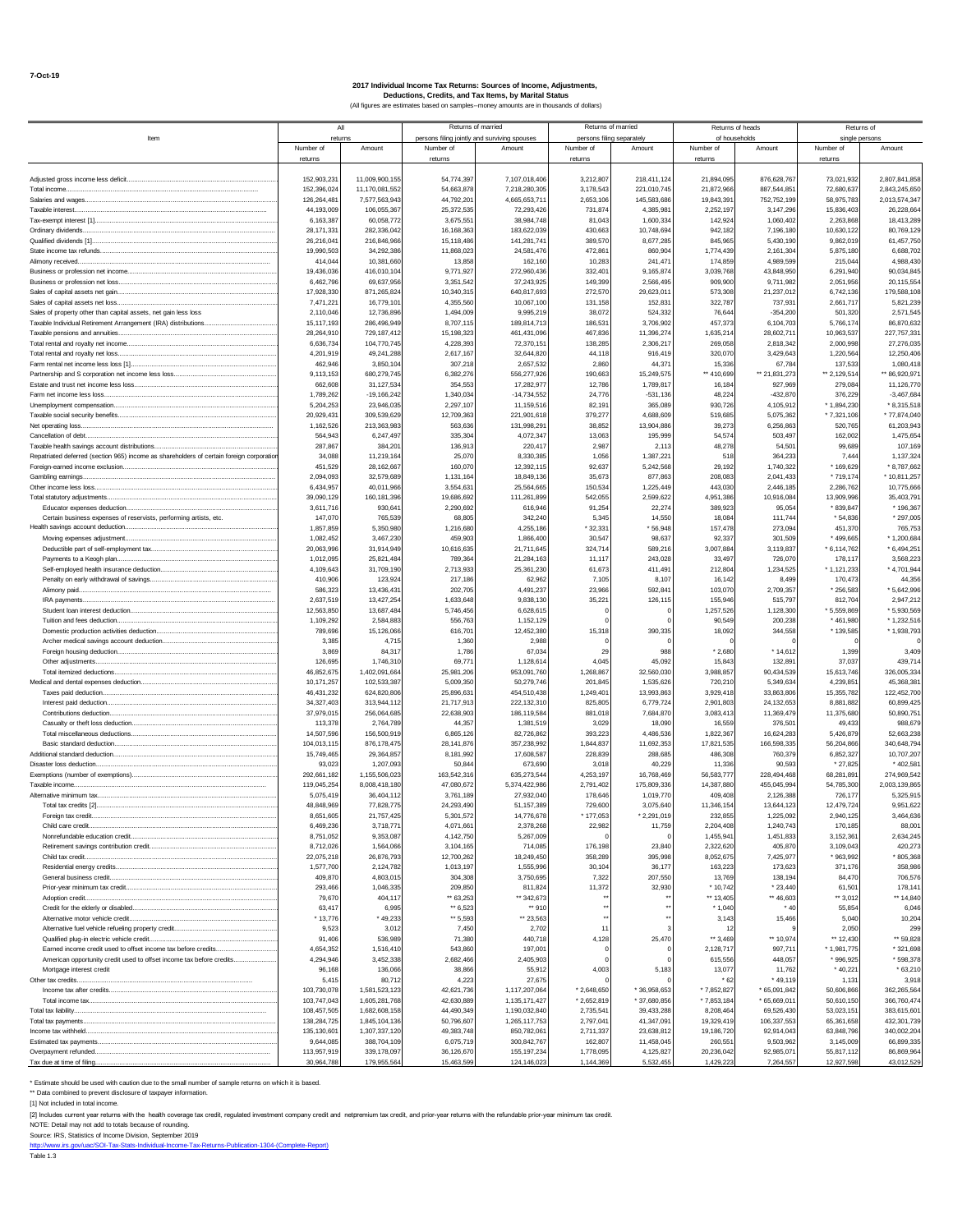|                                                                                                  |                           | All                        | Returns of married     |                                              |                      | Returns of married        | Returns of heads        |                           | Returns of              |                            |
|--------------------------------------------------------------------------------------------------|---------------------------|----------------------------|------------------------|----------------------------------------------|----------------------|---------------------------|-------------------------|---------------------------|-------------------------|----------------------------|
| Item                                                                                             |                           | returns                    |                        | persons filing jointly and surviving spouses |                      | persons filing separately | of households           |                           |                         | single persons             |
|                                                                                                  | Number of                 | Amount                     | Number of              | Amount                                       | Number of            | Amount                    | Number of               | Amount                    | Number of               | Amount                     |
|                                                                                                  | returns                   |                            | returns                |                                              | returns              |                           | returns                 |                           | returns                 |                            |
| Adjusted gross income less deficit                                                               | 152,903,231               | 11,009,900,155             | 54,774,397             | 7,107,018,406                                | 3,212,807            | 218,411,124               | 21,894,095              | 876,628,767               | 73,021,932              | 2,807,841,858              |
| Total income.                                                                                    | 152,396,024               | 11,170,081,552             | 54,663,878             | 7,218,280,305                                | 3,178,543            | 221,010,745               | 21,872,966              | 887,544,85                | 72,680,637              | 2,843,245,650              |
| Salaries and wages                                                                               | 126,264,481               | 7,577,563,943              | 44,792,201             | 4,665,653,711                                | 2,653,106            | 145,583,686               | 19,843,391              | 752,752,199               | 58,975,783              | 2,013,574,347              |
| Taxable interest                                                                                 | 44.193.009                | 106,055,367                | 25,372,53              | 72.293.42                                    | 731.874              | 4.385.98                  | 2.252.197               | 3,147,296                 | 15,836,403              | 26,228,664                 |
| Ordinary dividends                                                                               | 6.163.38<br>28,171,331    | 60,058,77<br>282,336,04    | 3,675,55<br>16,168,36  | 38.984.748<br>183,622,039                    | 81,043<br>430,663    | 1,600,334<br>10,748,694   | 142.924<br>942,182      | 1,060,402<br>7,196,180    | 2.263.868<br>10,630,122 | 18,413,289<br>80,769,129   |
|                                                                                                  | 26,216,041                | 216,846,96                 | 15,118,486             | 141,281,741                                  | 389,570              | 8,677,285                 | 845,965                 | 5,430,190                 | 9,862,019               | 61,457,750                 |
| State income tax refunds                                                                         | 19,990,503                | 34,292,386                 | 11,868,023             | 24,581,476                                   | 472,861              | 860,904                   | 1,774,439               | 2,161,304                 | 5,875,180               | 6,688,702                  |
| Alimony received                                                                                 | 414,044                   | 10,381,660                 | 13,858                 | 162,160                                      | 10,283               | 241.47                    | 174,859                 | 4,989,599                 | 215,044                 | 4,988,430                  |
|                                                                                                  | 19,436,036                | 416,010,104                | 9,771,927              | 272,960,436                                  | 332,401              | 9,165,874                 | 3,039,768               | 43,848,950                | 6,291,940               | 90,034,845                 |
|                                                                                                  | 6,462,796                 | 69,637,95                  | 3,351,54               | 37,243,925                                   | 149,399              | 2,566,495                 | 909,900                 | 9,711,982                 | 2,051,956               | 20,115,554                 |
| Sales of capital assets net loss                                                                 | 17,928,330<br>7,471,221   | 871,265,824<br>16,779,10   | 10,340,31<br>4,355,56  | 640,817,693<br>10,067,100                    | 272,570<br>131,158   | 29,623,011<br>152,831     | 573,308<br>322.787      | 21,237,012<br>737,931     | 6,742,136<br>2,661,717  | 179,588,108<br>5,821,239   |
| Sales of property other than capital assets, net gain less loss                                  | 2,110,046                 | 12,736,89                  | 1,494,009              | 9.995.219                                    | 38,072               | 524.332                   | 76,64                   | $-354.200$                | 501,320                 | 2,571,545                  |
| Taxable Individual Retirement Arrangement (IRA) distributions                                    | 15,117,193                | 286,496,949                | 8,707,11               | 189,814,713                                  | 186,531              | 3,706,902                 | 457,373                 | 6,104,703                 | 5,766,174               | 86,870,632                 |
| Taxable pensions and annuities                                                                   | 28,264,910                | 729,187,41                 | 15,198,32              | 461,431,09                                   | 467,836              | 11,396,274                | 1,635,21                | 28,602,71                 | 10,963,537              | 227,757,331                |
|                                                                                                  | 6,636,734                 | 104,770,74                 | 4,228,393              | 72,370,151                                   | 138,285              | 2,306,217                 | 269,058                 | 2,818,342                 | 2,000,998               | 27,276,035                 |
| Total rental and royalty net loss.                                                               | 4,201,919<br>462.94       | 49,241,288                 | 2,617,167              | 32,644,820                                   | 44,118               | 916,419                   | 320,070                 | 3,429,643                 | 1,220,564               | 12,250,406                 |
|                                                                                                  | 9.113.15                  | 3,850,104<br>680,279,745   | 307,218<br>6,382,276   | 2,657,532<br>556,277,926                     | 2,860<br>190,663     | 44,371<br>15,249,575      | 15,336<br>** 410,699    | 67,784<br>** 21,831,273   | 137,533<br>** 2,129,514 | 1,080,418<br>** 86,920,971 |
| Estate and trust net income less loss                                                            | 662.60                    | 31,127,53                  | 354,55                 | 17,282,977                                   | 12,786               | 1,789,817                 | 16,184                  | 927,96                    | 279,084                 | 11,126,770                 |
| Farm net income less loss                                                                        | 1,789,262                 | $-19, 166, 242$            | 1,340,03               | $-14,734,552$                                | 24.77                | $-531,136$                | 48,224                  | $-432,870$                | 376,229                 | $-3,467,684$               |
|                                                                                                  | 5,204,253                 | 23,946,03                  | 2,297,107              | 11,159,516                                   | 82,191               | 365,089                   | 930,726                 | 4,105,912                 | $*1,894,230$            | $*8,315,518$               |
|                                                                                                  | 20,929,431                | 309,539,629                | 12,709,363             | 221,901,618                                  | 379,277              | 4,688,609                 | 519,685                 | 5,075,362                 | $*7,321,106$            | $*77,874,040$              |
| Net operating loss                                                                               | 1,162,526                 | 213,363,983                | 563,63                 | 131,998,291                                  | 38,852               | 13,904,886                | 39,273                  | 6,256,863                 | 520,765                 | 61,203,943                 |
| Cancellation of debt                                                                             | 564,943<br>287,867        | 6,247,49<br>384,20         | 335,30<br>136,913      | 4,072,347<br>220,417                         | 13,063<br>2,987      | 195,999<br>2.113          | 54,574<br>48,278        | 503,497<br>54,501         | 162,002<br>99,689       | 1,475,654<br>107,169       |
| Repatriated deferred (section 965) income as shareholders of certain foreign corporation         | 34,088                    | 11,219,164                 | 25,070                 | 8,330,385                                    | 1,056                | 1,387,221                 | 518                     | 364,233                   | 7,444                   | 1,137,324                  |
|                                                                                                  | 451.52                    | 28,162,667                 | 160,07                 | 12,392,115                                   | 92,637               | 5,242,568                 | 29,192                  | 1,740,322                 | * 169,629               | $*8,787,662$               |
| Gambling earnings.                                                                               | 2.094.093                 | 32,579,689                 | 1,131,16               | 18,849,136                                   | 35,673               | 877,863                   | 208,083                 | 2,041,433                 | * 719,174               | * 10,811,257               |
|                                                                                                  | 6,434,957                 | 40,011,96                  | 3,554,63               | 25,564,665                                   | 150,534              | 1,225,449                 | 443,030                 | 2,446,185                 | 2,286,762               | 10,775,666                 |
|                                                                                                  | 39,090,129                | 160,181,39                 | 19,686,692             | 111,261,899                                  | 542,055              | 2,599,622                 | 4,951,386               | 10,916,084                | 13,909,996              | 35,403,791                 |
| Educator expenses deduction<br>Certain business expenses of reservists, performing artists, etc. | 3,611,716<br>147.07       | 930,64<br>765.53           | 2,290,692<br>68,805    | 616,946<br>342,240                           | 91.254<br>5.34       | 22.274<br>14.550          | 389,923<br>18.08        | 95,054<br>111,744         | * 839,847<br>$*54.836$  | * 196,367<br>* 297,005     |
| Health savings account deduction                                                                 | 1,857,859                 | 5,350,980                  | 1,216,68               | 4,255,186                                    | *32,331              | $*56,948$                 | 157,478                 | 273,094                   | 451,370                 | 765.753                    |
| Moving expenses adjustment                                                                       | 1,082,452                 | 3,467,23                   | 459,90                 | 1,866,400                                    | 30,547               | 98,637                    | 92,337                  | 301,509                   | $*499,665$              | $*1,200,684$               |
|                                                                                                  | 20,063,996                | 31,914,949                 | 10,616,63              | 21,711,645                                   | 324,714              | 589,216                   | 3,007,884               | 3,119,837                 | $*6,114,762$            | $*6,494,251$               |
| Payments to a Keogh plan                                                                         | 1,012,095                 | 25,821,484                 | 789,36                 | 21,284,163                                   | 11,117               | 243,028                   | 33,497                  | 726,070                   | 178,117                 | 3,568,223                  |
|                                                                                                  | 4,109,643                 | 31,709,190                 | 2,713,933              | 25, 361, 230                                 | 61,673               | 411,491                   | 212,804                 | 1,234,525                 | $*1,121,233$            | $*4,701,944$               |
|                                                                                                  | 410,906                   | 123,92                     | 217,186                | 62,962                                       | 7,105                | 8,107                     | 16,142                  | 8.499                     | 170,473                 | 44,356                     |
| Alimony paid.<br>IRA payments.                                                                   | 586.32<br>2,637,519       | 13,436,43<br>13,427,254    | 202,70<br>1,633,64     | 4,491,237<br>9,838,130                       | 23.966<br>35,221     | 592,841<br>126,115        | 103,070<br>155.946      | 2,709,357<br>515,797      | $*256,583$<br>812,704   | $*5,642,996$<br>2,947,212  |
|                                                                                                  | 12,563,850                | 13,687,484                 | 5,746,456              | 6,628,615                                    |                      |                           | 1,257,526               | 1,128,300                 | \$5,559,869             | * 5,930,569                |
| Tuition and fees deduction                                                                       | 1,109,292                 | 2,584,883                  | 556,763                | 1,152,129                                    |                      |                           | 90,549                  | 200,238                   | $*461,980$              | *1,232,516                 |
|                                                                                                  | 789,696                   | 15,126,066                 | 616,70                 | 12,452,380                                   | 15,318               | 390,335                   | 18,092                  | 344,558                   | * 139,585               | *1,938,793                 |
|                                                                                                  | 3,385                     | 4,71                       | 1,36                   | 2,988                                        |                      |                           |                         |                           |                         |                            |
|                                                                                                  | 3,869                     | 84,31                      | 1,786                  | 67,034                                       | 29                   | 988                       | $*2,680$                | * 14,612                  | 1,399                   | 3,409                      |
| Other adjustments.<br>Total itemized deductions                                                  | 126,695<br>46,852,675     | 1,746,31<br>1,402,091,664  | 69,77<br>25,981,206    | 1,128,614<br>953,091,760                     | 4,045<br>1,268,867   | 45,092<br>32,560,030      | 15,843<br>3,988,857     | 132,89<br>90,434,539      | 37,037<br>15,613,746    | 439,714<br>326,005,334     |
|                                                                                                  | 10,171,257                | 102,533,387                | 5,009,350              | 50,279,746                                   | 201,845              | 1,535,626                 | 720,210                 | 5.349.63                  | 4,239,851               | 45,368,381                 |
| Taxes paid deduction                                                                             | 46, 431, 232              | 624,820,80                 | 25,896,63              | 454,510,438                                  | 1,249,40             | 13,993,863                | 3,929,418               | 33,863,806                | 15,355,782              | 122,452,700                |
|                                                                                                  | 34,327,403                | 313,944,112                | 21,717,91              | 222,132,310                                  | 825,805              | 6,779,724                 | 2,901,803               | 24,132,653                | 8,881,882               | 60,899,425                 |
| Contributions deduction                                                                          | 37,979,015                | 256,064,68                 | 22,638,903             | 186,119,584                                  | 881,018              | 7,684,870                 | 3,083,413               | 11,369,479                | 11,375,680              | 50,890,751                 |
|                                                                                                  | 113.37                    | 2,764,789                  | 44.35                  | 1,381,519                                    | 3,029                | 18,090                    | 16,559                  | 376,501                   | 49.433                  | 988.679                    |
| Basic standard deduction                                                                         | 14,507,596<br>104,013,115 | 156,500,919<br>876,178,47  | 6,865,12<br>28,141,87  | 82,726,86<br>357,238,992                     | 393,223<br>1,844,837 | 4,486,536<br>11,692,353   | 1,822,367<br>17,821,535 | 16,624,283<br>166,598,335 | 5,426,879<br>56,204,866 | 52,663,238<br>340,648,794  |
|                                                                                                  | 15,749,465                | 29,364,85                  | 8,181,992              | 17,608,587                                   | 228,839              | 288,685                   | 486,308                 | 760,379                   | 6,852,327               | 10,707,207                 |
| Disaster loss deduction                                                                          | 93,02                     | 1,207,093                  | 50,84                  | 673,690                                      | 3,018                | 40,229                    | 11,336                  | 90,593                    | $*27,825$               | * 402,581                  |
|                                                                                                  | 292,661,182               | 1,155,506,023              | 163,542,31             | 635,273,54                                   | 4,253,197            | 16,768,469                | 56,583,777              | 228,494,468               | 68,281,891              | 274,969,542                |
| Taxable income.                                                                                  | 119.045.25                | 8,008,418,180              | 47,080,672             | 5.374,422,986                                | 2,791,402            | 175,809,336               | 14,387,880              | 455,045,994               | 54,785,300              | 2,003,139,865              |
|                                                                                                  | 5,075,419                 | 36,404,11                  | 3,761,189              | 27,932,040                                   | 178,646              | 1,019,770                 | 409,408                 | 2,126,388                 | 726,177                 | 5,325,915                  |
| Foreign tax credit.                                                                              | 48,848,969<br>8,651,60    | 77,828,775<br>21,757,42    | 24,293,490<br>5,301,57 | 51, 157, 389<br>14,776,67                    | 729,600<br>177,05    | 3,075,640<br>2.291.019    | 11,346,154<br>232,85    | 13,644,123<br>1,225,09    | 12,479,724<br>2,940,12  | 9,951,622<br>3,464,636     |
| Child care credit.                                                                               | 6,469,236                 | 3,718,77                   | 4,071,661              | 2,378,268                                    | 22,982               | 11,759                    | 2,204,408               | 1,240,743                 | 170,185                 | 88,001                     |
|                                                                                                  | 8,751,052                 | 9,353,087                  | 4,142,750              | 5,267,009                                    |                      |                           | 1,455,94                | 1,451,833                 | 3,152,361               | 2,634,245                  |
|                                                                                                  | 8,712,026                 | 1,564,066                  | 3,104,165              | 714,085                                      | 176,198              | 23,840                    | 2,322,620               | 405,870                   | 3,109,043               | 420,273                    |
|                                                                                                  | 22,075,218                | 26,876,793                 | 12,700,262             | 18,249,450                                   | 358,289              | 395,998                   | 8,052,675               | 7,425,977                 | * 963,992               | 805,368                    |
|                                                                                                  | 1,577,700                 | 2,124,782                  | 1,013,197              | 1,555,996                                    | 30,104               | 36,177                    | 163,223                 | 173,623                   | 371,176                 | 358,986                    |
|                                                                                                  | 409,870<br>293,466        | 4,803,015<br>1,046,335     | 304,308<br>209,850     | 3,750,695                                    | 7,322<br>11,372      | 207,550                   | 13.769<br>$*10,742$     | 138,194<br>$*23,440$      | 84,470                  | 706,576<br>178,141         |
| Adoption credit                                                                                  | 79,670                    | 404,117                    | ** 63,253              | 811,824<br>** 342,673                        |                      | 32,930                    | ** 13,405               | ** 46,603                 | 61,501<br>$-3,012$      | ** 14,840                  |
|                                                                                                  | 63,417                    | 6,995                      | $*$ 6,523              | 910                                          |                      |                           | $*1.040$                | $*40$                     | 55,854                  | 6,046                      |
|                                                                                                  | $*13.776$                 | $*49,233$                  | $+ 5,593$              | ** 23,563                                    |                      |                           | 3,143                   | 15,466                    | 5,040                   | 10,204                     |
|                                                                                                  | 9.523                     | 3,012                      | 7,450                  | 2,702                                        | 11                   |                           | 12                      |                           | 2.050                   | 299                        |
|                                                                                                  | 91,406                    | 536,989                    | 71,380                 | 440,718                                      | 4,128                | 25.470                    | $\cdots$ 3,469          | ** 10,974                 | ** 12,430               | ** 59,828                  |
| Earned income credit used to offset income tax before credits                                    | 4,654,352                 | 1,516,410                  | 543,860                | 197,001                                      |                      |                           | 2,128,717               | 997,71                    | $*1,981,775$            | $*321,698$                 |
| American opportunity credit used to offset income tax before credits                             | 4,294,946                 | 3,452,338<br>136,066       | 2,682,466              | 2,405,903                                    | 4,003                |                           | 615,556                 | 448,057                   | * 996,925               | 598,378                    |
| Mortgage interest credit<br>Other tax credits                                                    | 96,168<br>5.41            | 80,712                     | 38,866<br>4,223        | 55,912<br>27,675                             |                      | 5,183                     | 13,077<br>.62           | 11,762<br>*49,119         | $*40,221$<br>1,131      | $*63,210$<br>3,918         |
|                                                                                                  | 103,730,078               | 1,581,523,123              | 42,621,736             | 1,117,207,064                                | $*2,648,650$         | * 36,958,653              | $*7,852,827$            | $*65,091,842$             | 50,606,866              | 362,265,564                |
|                                                                                                  | 103,747,043               | 1,605,281,768              | 42,630,889             | 1,135,171,427                                | $*2,652,819$         | * 37,680,856              | $*7,853,184$            | $*65,669,01$              | 50,610,150              | 366,760,474                |
|                                                                                                  | 108,457,505               | 1,682,608,158              | 44.490.349             | 1,190,032,840                                | 2,735,541            | 39,433,288                | 8,208,464               | 69,526,430                | 53,023,151              | 383.615.601                |
|                                                                                                  | 138,284,725               | 1,845,104,136              | 50,796,607             | 1,265,117,753                                | 2,797,041            | 41,347,091                | 19,329,419              | 106,337,553               | 65,361,658              | 432,301,739                |
|                                                                                                  | 135, 130, 601             | 1,307,337,120              | 49,383,748             | 850,782,061                                  | 2,711,337            | 23,638,812                | 19,186,720              | 92,914,043                | 63,848,796              | 340,002,204                |
| Overpayment refunded                                                                             | 9,644,085<br>113,957,919  | 388,704,109<br>339,178,097 | 6,075,719<br>36,126,67 | 300,842,767<br>155, 197, 234                 | 162,807<br>1,778,095 | 11,458,045<br>4,125,827   | 260,551<br>20,236,042   | 9,503,962<br>92,985,071   | 3,145,009<br>55,817,112 | 66,899,335<br>86,869,964   |
| Tax due at time of filing.                                                                       | 30,964,788                | 179,955,564                | 15,463,59              | 124,146,023                                  | 1,144,369            | 5,532,455                 | 1,429,223               | 7,264,557                 | 12,927,598              | 43,012,529                 |

\* Estimate should be used with caution due to the small number of sample returns on which it is based.

\*\* Data combined to prevent disclosure of taxpayer information.

[1] Not included in total income.

[2] Includes current year returns with the health coverage tax credit, regulated investment company credit and net premium tax credit, and prior-year returns with the refundable prior-year minimum tax credit.

NOTE: Detail may not add to totals because of rounding.<br>Source: IRS, Statistics of Income Division, September 2019<br>[http://www.irs.gov/uac/SOI-Tax-Stats-Individual-Income-Tax-Returns-Publication-1304-\(Complete-Report\)](http://www.irs.gov/uac/SOI-Tax-Stats-Individual-Income-Tax-Returns-Publication-1304-(Complete-Report)) bource: int<br>http://www.<br>Table 1.3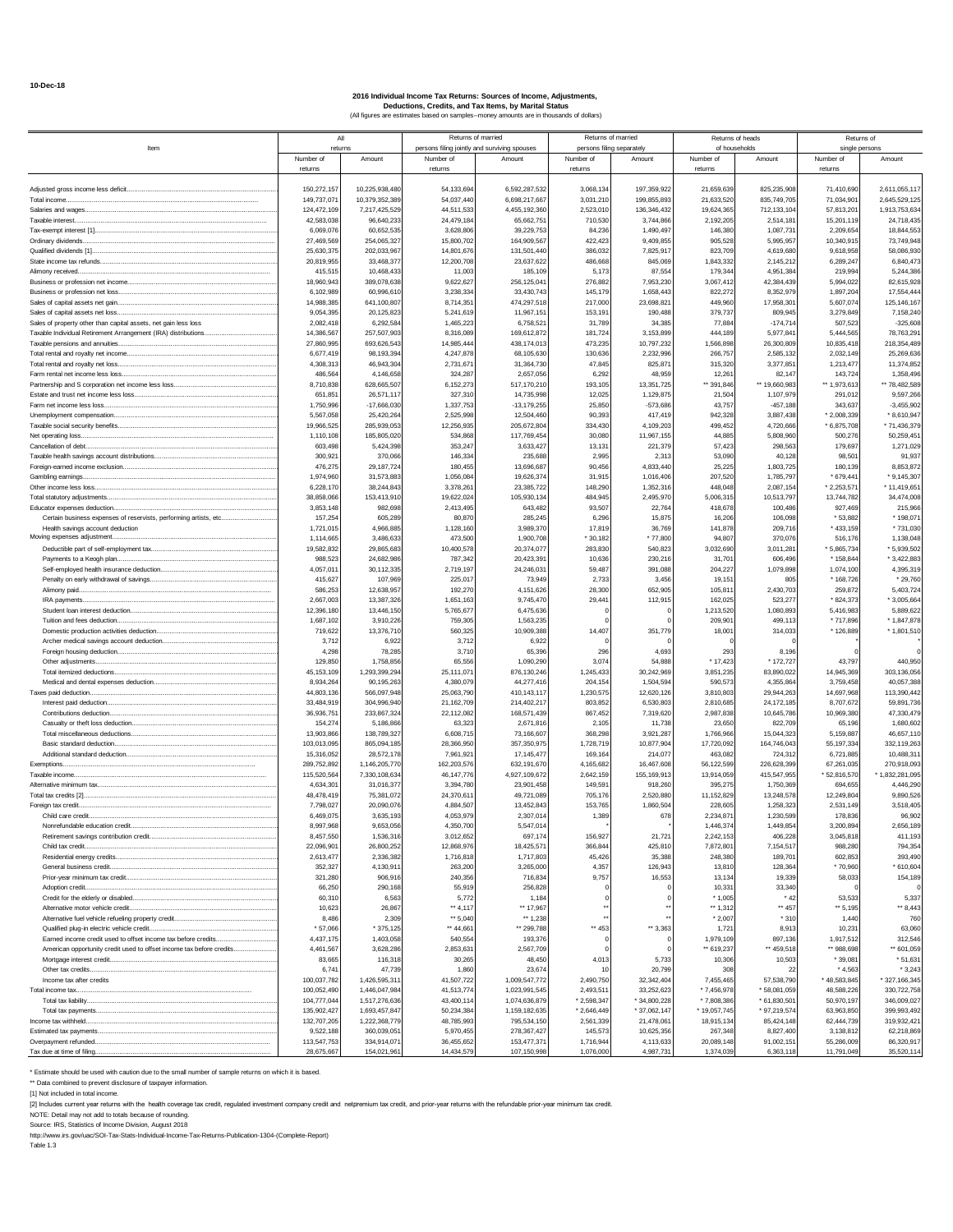|                                                                      |              | All            |              | Returns of married                           |              | Returns of married        |               | Returns of heads | Returns of   |                |
|----------------------------------------------------------------------|--------------|----------------|--------------|----------------------------------------------|--------------|---------------------------|---------------|------------------|--------------|----------------|
| Item                                                                 | returns      |                |              | persons filing jointly and surviving spouses |              | persons filing separately | of households |                  |              | single persons |
|                                                                      | Number of    | Amount         | Number of    | Amount                                       | Number of    | Amount                    | Number of     | Amount           | Number of    | Amount         |
|                                                                      | returns      |                | returns      |                                              | returns      |                           | returns       |                  | returns      |                |
|                                                                      |              |                |              |                                              |              |                           |               |                  |              |                |
| Adjusted gross income less deficit                                   | 150,272,157  | 10,225,938,480 | 54.133.69    | 6,592,287,532                                | 3,068,134    | 197.359.922               | 21,659,639    | 825,235,908      | 71,410,690   | 2.611.055.11   |
| Total income.                                                        | 149,737,071  | 10,379,352,38  | 54,037,440   | 6,698,217,667                                | 3,031,210    | 199,855,893               | 21,633,520    | 835,749,705      | 71,034,901   | 2,645,529,125  |
|                                                                      | 124,472,109  | 7,217,425,529  | 44,511,533   | 4,455,192,360                                | 2,523,010    | 136,346,432               | 19,624,365    | 712,133,104      | 57,813,201   | 1,913,753,634  |
| Taxable interest.                                                    | 42.583.038   | 96,640,23      | 24,479,18    | 65,662,75                                    | 710,530      | 3,744,866                 | 2.192.205     | 2,514,18         | 15,201,11    | 24,718,435     |
|                                                                      | 6.069.076    | 60,652,53      | 3,628,80     | 39,229,753                                   | 84,236       | 1,490,497                 | 146,380       | 1,087,73         | 2,209,654    | 18,844,553     |
| Ordinary dividends                                                   | 27,469,569   | 254,065,327    | 15,800,702   | 164,909,567                                  | 422,423      | 9,409,855                 | 905.528       | 5,995,957        | 10,340,915   | 73,749,948     |
| Qualified dividends [1]                                              | 25,630,375   | 202,033,967    | 14,801,676   | 131,501,440                                  | 386,032      | 7,825,917                 | 823,709       | 4,619,680        | 9,618,958    | 58,086,930     |
|                                                                      | 20,819,955   | 33,468,377     | 12,200,708   | 23,637,622                                   | 486,668      | 845,069                   | 1,843,332     | 2,145,21         | 6,289,247    | 6,840,473      |
| Alimony received                                                     | 415,515      | 10,468,43      | 11,00        | 185,109                                      | 5,17         | 87,554                    | 179,344       | 4,951,38         | 219,99       | 5,244,386      |
|                                                                      | 18,960,943   | 389.078.63     | 9.622.62     | 256,125,041                                  | 276.88       | 7,953,230                 | 3.067.412     | 42.384.43        | 5.994.022    | 82,615,928     |
|                                                                      | 6.102.989    | 60,996,61      | 3.238.33     | 33,430,743                                   | 145.179      | 1,658,443                 | 822,272       | 8,352,97         | 1,897,204    | 17,554,444     |
|                                                                      | 14,988,385   | 641,100,807    | 8,714,351    | 474,297,518                                  | 217,000      | 23,698,821                | 449,960       | 17,958,30        | 5,607,074    | 125, 146, 167  |
|                                                                      | 9,054,395    | 20,125,823     | 5,241,619    | 11,967,151                                   | 153,191      | 190,488                   | 379,737       | 809,94           | 3,279,849    | 7,158,240      |
| Sales of property other than capital assets, net gain less loss      | 2,082,418    | 6,292,58       | 1,465,22     | 6,758,52                                     | 31,789       | 34.385                    | 77,884        | $-174,71$        | 507,523      | $-325,608$     |
|                                                                      | 14.386.56    | 257,507,903    | 8,316,08     | 169,612,872                                  | 181,724      | 3,153,899                 | 444.189       | 5,977,84         | 5,444,565    | 78,763,291     |
| Taxable pensions and annuities                                       | 27,860,995   | 693,626,543    | 14,985,444   | 438,174,013                                  | 473,235      | 10,797,232                | 1,566,898     | 26,300,809       | 10,835,418   | 218, 354, 489  |
|                                                                      | 6,677,419    | 98,193,394     | 4,247,878    | 68,105,630                                   | 130,636      | 2,232,996                 | 266,757       | 2,585,13         | 2,032,149    | 25,269,636     |
|                                                                      | 4,308,313    | 46,943,304     | 2,731,671    | 31,364,730                                   | 47,845       | 825,871                   | 315,320       | 3,377,85         | 1,213,477    | 11,374,852     |
| Farm rental net income less loss                                     | 486,56       | 4,146,65       | 324,287      | 2,657,056                                    | 6,292        | 48,959                    | 12,261        | 82,14            | 143,724      | 1,358,496      |
|                                                                      | 8,710,838    | 628,665,507    | 6.152.27     | 517,170,210                                  | 193.105      | 13,351,725                | ** 391,846    | ** 19,660,98     | ** 1.973.613 | ** 78,482,589  |
|                                                                      |              |                |              |                                              | 12.02        |                           |               |                  |              |                |
|                                                                      | 651,85       | 26,571,117     | 327,31       | 14,735,998                                   |              | 1,129,875                 | 21,504        | 1,107,97         | 291,012      | 9,597,266      |
| Farm net income less loss                                            | 1,750,996    | $-17,666,030$  | 1,337,75     | $-13,179,255$                                | 25,850       | $-573,686$                | 43,757        | $-457,18$        | 343,637      | $-3,455,902$   |
|                                                                      | 5,567,058    | 25,420,264     | 2,525,998    | 12,504,460                                   | 90,393       | 417,419                   | 942,328       | 3,887,438        | $*2,008,339$ | $*8,610,947$   |
|                                                                      | 19,966,525   | 285,939,05     | 12,256,93    | 205,672,80                                   | 334,430      | 4,109,203                 | 499,452       | 4,720,66         | $*6,875,708$ | * 71,436,379   |
|                                                                      | 1,110,108    | 185,805,020    | 534,86       | 117,769,45                                   | 30.08        | 11,967,155                | 44.88         | 5,808.96         | 500.276      | 50,259,451     |
| Cancellation of debt                                                 | 603.498      | 5,424,398      | 353,247      | 3,633,427                                    | 13,131       | 221,379                   | 57,423        | 298,56           | 179,697      | 1,271,029      |
|                                                                      | 300,92       | 370,066        | 146,33       | 235,688                                      | 2,995        | 2,313                     | 53,090        | 40,128           | 98,501       | 91,937         |
|                                                                      | 476,275      | 29,187,724     | 180,455      | 13,696,687                                   | 90,456       | 4,833,440                 | 25,225        | 1,803,72         | 180,139      | 8,853,872      |
| Gambling earnings.                                                   | 1.974.960    | 31,573,88      | 1,056,08     | 19,626,37                                    | 31,915       | 1,016,406                 | 207.520       | 1,785,79         | * 679,441    | $*9,145,307$   |
|                                                                      | 6.228.170    | 38,244,843     | 3,378,26     | 23,385,722                                   | 148.29       | 1,352,316                 | 448,048       | 2.087.15         | $*2.253.57$  | 11,419,651     |
|                                                                      | 38,858,066   | 153,413,91     | 19,622,02    | 105,930,134                                  | 484.94       | 2,495,970                 | 5.006.315     | 10,513,79        | 13,744,782   | 34,474,008     |
|                                                                      | 3,853,148    | 982,69         | 2,413,495    | 643,482                                      | 93,507       | 22,764                    | 418,678       | 100,48           | 927,469      | 215,966        |
|                                                                      | 157,254      | 605,289        | 80,870       | 285,245                                      | 6,296        | 15,875                    | 16,206        | 106,09           | * 53,882     | * 198,071      |
| Health savings account deduction                                     | 1,721,015    | 4,966,88       | 1,128,160    | 3,989,370                                    | 17,81        | 36,769                    | 141,878       | 209,71           | *433,159     | $*731,030$     |
| Moving expenses adjustment.                                          | 1.114.66     | 3.486.63       | 473.50       | 1,900,708                                    | $*30.182$    | $*77.80$                  | 94.80         | 370.07           | 516,176      | 1,138,048      |
|                                                                      | 19,582,832   | 29,865,683     | 10,400,578   | 20,374,077                                   | 283,830      | 540,823                   | 3,032,690     | 3,011,28         | $*5,865,734$ | * 5,939,502    |
| Payments to a Keogh plan                                             | 988,523      | 24,682,986     | 787,342      | 20,423,391                                   | 10,636       | 230,216                   | 31,701        | 606,49           | $*158,844$   | $*3,422,883$   |
|                                                                      | 4,057,011    | 30,112,335     | 2,719,197    | 24,246,031                                   | 59,487       | 391,088                   | 204,227       | 1,079,898        | 1,074,100    | 4,395,319      |
|                                                                      | 415,62       | 107,96         | 225,01       | 73,949                                       | 2,733        | 3,456                     | 19,151        | 80               | * 168,726    | $*29,760$      |
|                                                                      | 586.25       | 12.638.95      | 192.27       | 4,151,626                                    | 28.30        | 652,905                   | 105.81        | 2.430.70         | 259.87       | 5,403,724      |
|                                                                      | 2,667,003    |                |              |                                              | 29.44        |                           | 162.025       | 523,27           |              |                |
|                                                                      |              | 13,387,326     | 1,651,163    | 9,745,470                                    |              | 112,915                   |               |                  | * 824,373    | $*3,005,664$   |
|                                                                      | 12,396,180   | 13,446,150     | 5,765,67     | 6,475,636                                    |              |                           | 1,213,520     | 1,080,89         | 5,416,983    | 5,889,622      |
|                                                                      | 1,687,102    | 3,910,226      | 759,305      | 1,563,235                                    |              |                           | 209,901       | 499,11           | * 717,896    | * 1,847,878    |
|                                                                      | 719,622      | 13,376,71      | 560,325      | 10,909,388                                   | 14,407       | 351,779                   | 18,001        | 314,03           | * 126,889    | $*1,801,510$   |
|                                                                      | 3.71         | 6,92           | 3,712        | 6,922                                        |              |                           |               |                  |              |                |
|                                                                      | 4.298        | 78,285         | 3,710        | 65,396                                       | 296          | 4.693                     | 293           | 8.19             |              |                |
| Other adjustments.                                                   | 129,850      | 1,758,856      | 65,556       | 1,090,290                                    | 3,074        | 54,888                    | $*17,423$     | * 172,727        | 43,797       | 440,950        |
|                                                                      | 45, 153, 109 | 1,293,399,294  | 25,111,071   | 876, 130, 246                                | 1,245,433    | 30,242,969                | 3,851,235     | 83,890,022       | 14,945,369   | 303,136,056    |
|                                                                      | 8,934,264    | 90,195,26      | 4,380,07     | 44,277,41                                    | 204,154      | 1,504,594                 | 590,573       | 4,355,86         | 3,759,458    | 40,057,388     |
| Taxes paid deduction                                                 | 44.803.136   | 566,097,94     | 25,063,790   | 410,143,117                                  | 1,230,575    | 12,620,126                | 3.810.803     | 29.944.26        | 14.697.968   | 113,390,442    |
| Interest paid deduction                                              | 33,484,919   | 304,996,940    | 21,162,709   | 214,402,217                                  | 803,852      | 6,530,803                 | 2,810,685     | 24.172.18        | 8,707,672    | 59,891,736     |
| Contributions deduction                                              | 36,936,75    | 233,867,324    | 22,112,08    | 168,571,439                                  | 867,452      | 7,319,620                 | 2,987,838     | 10,645,786       | 10,969,380   | 47,330,479     |
|                                                                      | 154,274      | 5,186,866      | 63,323       | 2,671,816                                    | 2,105        | 11,738                    | 23,650        | 822,709          | 65,196       | 1,680,602      |
|                                                                      | 13,903,866   | 138,789,32     | 6,608,715    | 73,166,607                                   | 368,298      | 3,921,287                 | 1,766,966     | 15,044,32        | 5,159,887    | 46,657,110     |
| Basic standard deduction                                             | 103.013.095  | 865,094,185    | 28,366,950   | 357,350,975                                  | 1,728,719    | 10,877,904                | 17,720,092    | 164,746,04       | 55, 197, 334 | 332,119,263    |
|                                                                      | 15,316,052   | 28,572,178     | 7,961,921    | 17, 145, 477                                 | 169,164      | 214,077                   | 463,082       | 724,31           | 6,721,885    | 10,488,311     |
| Exemptions.                                                          | 289,752,892  | 1,146,205,770  | 162,203,576  | 632, 191, 670                                | 4,165,682    | 16,467,608                | 56,122,599    | 226,628,39       | 67,261,035   | 270,918,093    |
|                                                                      | 115,520,564  | 7,330,108,634  | 46, 147, 776 | 4,927,109,672                                | 2,642,159    | 155.169.913               | 13,914,059    | 415,547,955      | \$52,816,570 | 1.832.281.095  |
|                                                                      | 4,634,30     | 31,016,37      | 3,394,78     | 23,901,458                                   | 149,59       | 918,260                   | 395,275       | 1,750,36         | 694,655      | 4,446,290      |
|                                                                      | 48.478.41    | 75,381.07      | 24,370,61    | 49.721.08                                    | 705.17       | 2.520.88                  | 11.152.829    | 13.248.57        | 12.249.80    | 9,890,526      |
| Foreign tax credit.                                                  | 7,798,027    | 20,090,076     | 4,884,507    | 13,452,843                                   | 153,765      | 1,860,504                 | 228,605       | 1,258,323        | 2,531,149    | 3,518,405      |
| Child care credit                                                    | 6,469,075    | 3,635,193      | 4,053,979    | 2,307,014                                    | 1,389        | 678                       | 2,234,871     | 1,230,599        | 178,836      | 96,902         |
| Nonrefundable education credit                                       | 8,997,968    | 9,653,056      | 4,350,700    | 5,547,014                                    |              |                           | 1,446,374     | 1,449,854        | 3,200,894    | 2,656,189      |
| Retirement savings contribution credit                               | 8,457,550    | 1,536,31       | 3,012,652    | 697,174                                      | 156,927      | 21.721                    | 2,242,153     | 406,22           | 3,045,818    | 411,193        |
| Child tax credit                                                     | 22,096,901   | 26,800,252     | 12,868,976   | 18,425,571                                   | 366.844      | 425,810                   | 7,872,801     | 7,154,51         | 988,280      | 794,354        |
|                                                                      | 2,613,477    | 2,336,382      | 1,716,818    | 1,717,803                                    |              | 35.388                    | 248,380       | 189.70           | 602,853      | 393,490        |
|                                                                      |              |                |              |                                              | 45,426       |                           |               |                  |              |                |
|                                                                      | 352,327      | 4,130,911      | 263,200      | 3,265,000                                    | 4,357        | 126,943                   | 13,810        | 128,364          | $*70,960$    | $*610,604$     |
|                                                                      | 321,280      | 906,916        | 240,356      | 716,834                                      | 9,757        | 16,553                    | 13,134        | 19,339           | 58,033       | 154,189        |
| Adoption credit                                                      | 66,250       | 290,168        | 55,919       | 256,828                                      |              |                           | 10,331        | 33,340           |              |                |
|                                                                      | 60,310       | 6.56           | 5,772        | 1,184                                        |              |                           | $*1,005$      | $\cdot$ 4        | 53,533       | 5,337          |
| Alternative motor vehicle credit                                     | 10,623       | 26,867         | ** 4,117     | ** 17,967                                    |              |                           | 1,312         | ** 457           | • 5,195      | ** 8,443       |
| Alternative fuel vehicle refueling property credit                   | 8.486        | 2,309          | $-5,040$     | 41,238                                       |              |                           | $*2,007$      | $*310$           | 1,440        | 760            |
|                                                                      | * 57,066     | * 375,125      | ** 44,661    | ** 299,788                                   | ** 453       | ** 3,363                  | 1,721         | 8,913            | 10,231       | 63,060         |
| Earned income credit used to offset income tax before credits        | 4,437,175    | 1,403,058      | 540,554      | 193,376                                      |              |                           | 1,979,109     | 897,13           | 1,917,512    | 312,546        |
| American opportunity credit used to offset income tax before credits | 4,461,567    | 3,628,286      | 2,853,631    | 2,567,709                                    |              |                           | ** 619.237    | ** 459,51        | ** 988.698   | ** 601,059     |
|                                                                      | 83,665       | 116,318        | 30,265       | 48,450                                       | 4,013        | 5,733                     | 10,306        | 10,503           | $*39,081$    | $*51,631$      |
|                                                                      | 6,741        | 47,739         | 1,860        | 23,674                                       | 10           | 20,799                    | 305           |                  | $*4,563$     | $*3,243$       |
| Income tax after credits                                             | 100,037,782  | 1,426,595,311  | 41,507,722   | 1,009,547,772                                | 2,490,750    | 32,342,404                | 7,455,465     | 57,538,790       | * 48,583,845 | * 327,166,345  |
| Total income tax                                                     | 100,052,490  | 1,446,047,984  | 41,513,774   | 1,023,991,545                                | 2,493,51     | 33,252,623                | $*7,456,978$  | $*58,081,059$    | 48,588,226   | 330,722,758    |
|                                                                      | 104,777,044  | 1,517,276,636  | 43,400,114   | 1,074,636,879                                | * 2,598,347  | $*34,800,228$             | *7,808,386    | $*61.830.50$     | 50,970,197   | 346.009.027    |
|                                                                      | 135,902,427  | 1,693,457,847  | 50,234,384   | 1,159,182,635                                | $*2,646,449$ | $*37,062,147$             | * 19,057,745  | * 97,219,574     | 63,963,850   | 399,993,492    |
| Income tax withheld                                                  | 132,707,205  | 1,222,368,779  | 48,785,993   | 795,534,150                                  | 2,561,339    | 21,478,061                | 18,915,134    | 85,424,148       | 62,444,739   | 319,932,421    |
|                                                                      | 9,522,188    | 360,039,051    | 5,970,455    | 278, 367, 427                                | 145,573      | 10,625,356                | 267,348       | 8,827,400        | 3,138,812    | 62,218,869     |
| Overpayment refunded                                                 | 113,547,753  | 334,914,07     | 36,455,652   | 153,477,371                                  | 1,716,944    | 4,113,633                 | 20,089,148    | 91,002,15        | 55,286,009   | 86,320,917     |
| Tax due at time of filing                                            | 28,675,667   | 154,021,961    | 14.434.57    | 107,150,998                                  | 1,076,000    | 4,987,731                 | 1,374,039     | 6,363,11         | 11,791,049   | 35,520,114     |

\* Estimate should be used with caution due to the small number of sample returns on which it is based.

\*\* Data combined to prevent disclosure of taxpayer information. [1] Not included in total income.

[2] Includes current year returns with the health coverage tax credit, regulated investment company credit and netpremium tax credit, and prior-year returns with the refundable prior-year minimum tax credit

NOTE: Detail may not add to totals because of rounding. Source: IRS, Statistics of Income Division, August 2018 http://www.irs.gov/uac/SOI-Tax-Stats-Individual-Income-Tax-Returns-Publication-1304-(Complete-Report) Table 1.3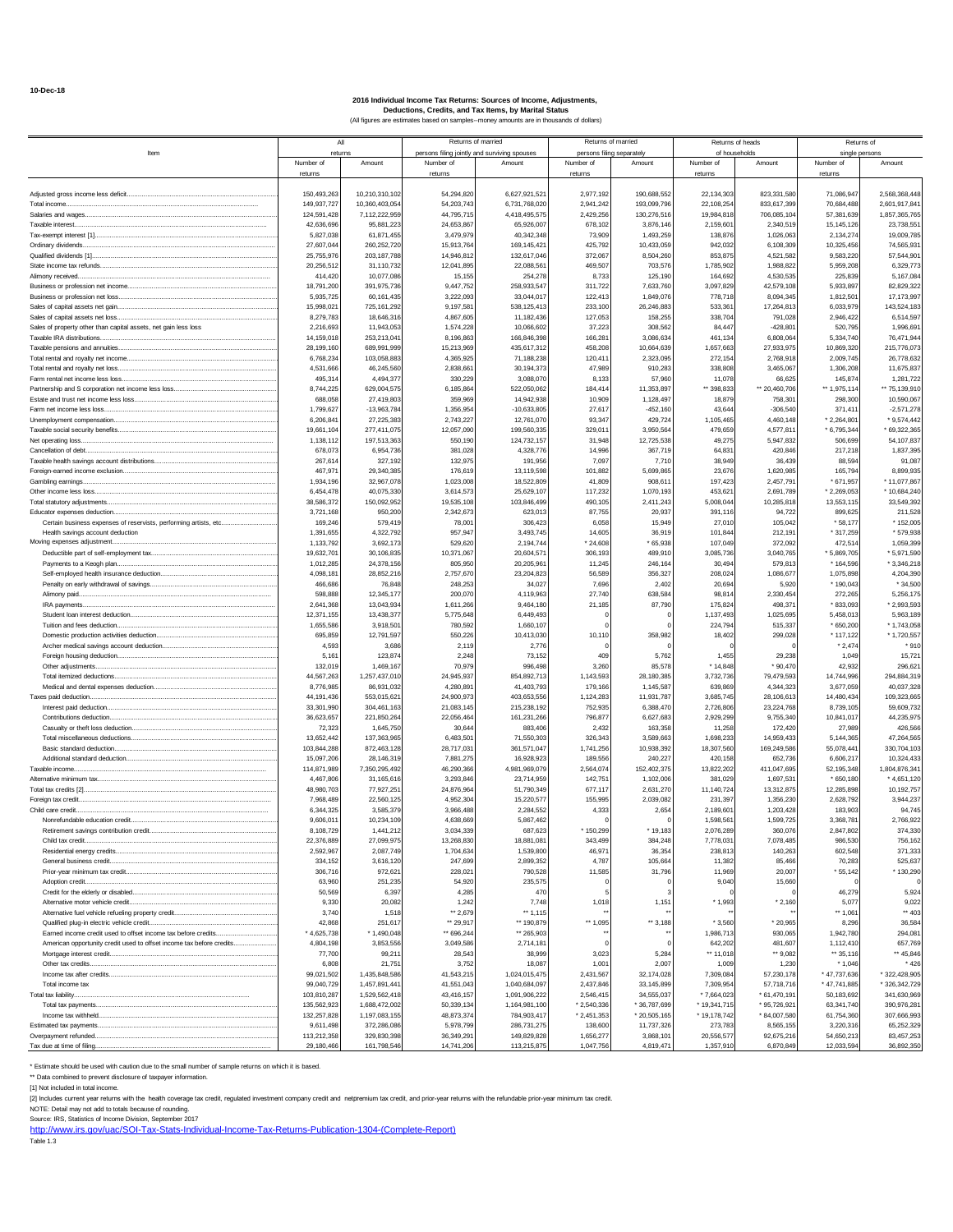|                                                                                                      | All                      |                              | Returns of married                                        |                             | Returns of married      |                                     |                         | Returns of heads           | Returns of                  |                              |
|------------------------------------------------------------------------------------------------------|--------------------------|------------------------------|-----------------------------------------------------------|-----------------------------|-------------------------|-------------------------------------|-------------------------|----------------------------|-----------------------------|------------------------------|
| Item                                                                                                 | returns<br>Number of     | Amount                       | persons filing jointly and surviving spouses<br>Number of | Amount                      | Number of               | persons filing separately<br>Amount | Number of               | of households<br>Amount    | single persons<br>Number of | Amount                       |
|                                                                                                      | returns                  |                              | returns                                                   |                             | returns                 |                                     | returns                 |                            | returns                     |                              |
|                                                                                                      | 150,493,263              | 10,210,310,102               | 54.294.820                                                | 6,627,921,521               | 2.977.192               | 190,688,552                         | 22,134,303              | 823,331,580                | 71.086.947                  | 2,568,368,448                |
| Total income                                                                                         | 149,937,727              | 10,360,403,054               | 54,203,743                                                | 6,731,768,020               | 2,941,242               | 193,099,796                         | 22,108,254              | 833,617,399                | 70,684,488                  | 2,601,917,84                 |
| Salaries and wages                                                                                   | 124,591,428              | 7,112,222,959                | 44,795,715                                                | 4,418,495,575               | 2,429,256               | 130,276,516                         | 19,984,818              | 706,085,104                | 57,381,639                  | 1,857,365,765                |
| Taxable interest.                                                                                    | 42.636.696<br>5,827,038  | 95,881,223<br>61,871,455     | 24,653,867<br>3,479,979                                   | 65,926,007<br>40,342,348    | 678.102<br>73,909       | 3,876,146<br>1.493.259              | 2.159.60<br>138,876     | 2.340.51<br>1.026.06       | 15, 145, 126<br>2.134.274   | 23.738.55<br>19,009,785      |
|                                                                                                      | 27,607,044               | 260,252,720                  | 15.913.76                                                 | 169,145,42                  | 425,792                 | 10,433,059                          | 942.032                 | 6.108.30                   | 10.325.45                   | 74,565,93                    |
|                                                                                                      | 25,755,976               | 203, 187, 788                | 14,946,812                                                | 132,617,046                 | 372,067                 | 8,504,260                           | 853,875                 | 4,521,582                  | 9,583,220                   | 57,544,90                    |
| Alimony received                                                                                     | 20,256,512<br>414,420    | 31,110,732<br>10,077,086     | 12,041,895<br>15,155                                      | 22,088,561<br>254,278       | 469,507<br>8,733        | 703,576<br>125,190                  | 1,785,902<br>164.692    | 1,988,822<br>4.530.535     | 5,959,208<br>225.839        | 6,329,773<br>5,167,084       |
|                                                                                                      | 18,791,200               | 391,975,736                  | 9,447,752                                                 | 258,933,547                 | 311,722                 | 7,633,760                           | 3,097,829               | 42,579,108                 | 5,933,897                   | 82,829,322                   |
| Business or profession net loss                                                                      | 5.935.72                 | 60,161,43                    | 3.222.093                                                 | 33,044,01                   | 122.41                  | 1,849,076                           | 778.71                  | 8.094.34                   | 1.812.50                    | 17, 173, 997                 |
|                                                                                                      | 15,998,021               | 725,161,292                  | 9,197,581                                                 | 538,125,413                 | 233,100                 | 26,246,883                          | 533,361                 | 17,264,813                 | 6,033,979                   | 143,524,183                  |
| Sales of capital assets net loss.<br>Sales of property other than capital assets, net gain less loss | 8,279,783<br>2,216,693   | 18,646,31<br>11,943,053      | 4,867,605<br>1,574,228                                    | 11,182,436<br>10,066,602    | 127,053<br>37,223       | 158,255<br>308.562                  | 338,704<br>84.447       | 791,028<br>$-428.80$       | 2,946,422<br>520,795        | 6,514,597<br>1,996,69        |
| Taxable IRA distributions.                                                                           | 14,159,018               | 253,213,041                  | 8,196,86                                                  | 166,846,398                 | 166,281                 | 3.086.634                           | 461,134                 | 6.808.06                   | 5,334,740                   | 76,471,944                   |
| Taxable pensions and annuities. Taxable persistence and annuities                                    | 28.199.16                | 689.991.99                   | 15.213.969                                                | 435,617,31                  | 458.208                 | 10,664,639                          | 1.657.663               | 27.933.97                  | 10.869.32                   | 215,776.07                   |
| Total rental and royalty net loss                                                                    | 6.768.23<br>4,531,666    | 103,058,883<br>46,245,560    | 4,365,925<br>2,838,661                                    | 71,188,238<br>30,194,373    | 120,411<br>47,989       | 2,323,095<br>910,283                | 272,154<br>338,808      | 2,768,918<br>3,465,067     | 2,009,745<br>1,306,208      | 26,778,632<br>11,675,837     |
|                                                                                                      | 495,314                  | 4,494,37                     | 330,229                                                   | 3,088,070                   | 8,133                   | 57,960                              | 11,078                  | 66.62                      | 145,874                     | 1,281,722                    |
|                                                                                                      | 8,744,225                | 629,004,575                  | 6,185,864                                                 | 522,050,062                 | 184.41                  | 11,353,897                          | ** 398,833              | ** 20,460,706              | ** 1,975,114                | ** 75,139,910                |
|                                                                                                      | 688.05                   | 27,419.80                    | 359,969                                                   | 14.942.938                  | 10.909                  | 1,128,497                           | 18.87                   | 758.30                     | 298.30                      | 10.590.06                    |
| Farm net income less loss.                                                                           | 1,799,627<br>6,206,84    | $-13,963,784$<br>27,225,38   | 1,356,954<br>2,743,227                                    | $-10,633,805$<br>12,761,070 | 27,617<br>93,347        | $-452,160$<br>429,724               | 43,644<br>1,105,465     | $-306,540$<br>4,460,148    | 371,41<br>$*2,264,80$       | $-2,571,278$<br>$*9,574,442$ |
|                                                                                                      | 19.661.104               | 277.411.07                   | 12,057,090                                                | 199.560.335                 | 329.011                 | 3,950,564                           | 479.659                 | 4.577.81                   | $*6,795,344$                | * 69,322,365                 |
| Net operating loss.                                                                                  | 1,138,112                | 197.513.36                   | 550,190                                                   | 124,732,157                 | 31.948                  | 12,725,538                          | 49.275                  | 5.947.83                   | 506.69                      | 54, 107, 837                 |
| Cancellation of debt                                                                                 | 678.07                   | 6.954.73                     | 381.028                                                   | 4,328,776                   | 14.996                  | 367.719                             | 64.83                   | 420.84                     | 217.218                     | 1,837,395                    |
| Foreign-earned income exclusion                                                                      | 267,614<br>467,97        | 327,192<br>29,340,385        | 132,975<br>176,619                                        | 191.95<br>13,119,598        | 7,097<br>101,882        | 7,710<br>5,699,865                  | 38,949<br>23,676        | 36,439<br>1,620,98         | 88,594<br>165,794           | 91.087<br>8,899,935          |
| Gambling earnings                                                                                    | 1.934.196                | 32,967,078                   | 1,023,008                                                 | 18,522,809                  | 41.809                  | 908.61                              | 197.423                 | 2.457.79                   | * 671.957                   | * 11,077,867                 |
|                                                                                                      | 6.454.478                | 40,075,330                   | 3,614,573                                                 | 25,629,107                  | 117,232                 | 1,070,193                           | 453,621                 | 2.691.789                  | $*2,269,053$                | $*10,684,240$                |
|                                                                                                      | 38.586.37<br>3,721,168   | 150,092,95<br>950,20         | 19,535.108<br>2,342,673                                   | 103.846.499<br>623,013      | 490.105<br>87,755       | 2.411.24<br>20,937                  | 5.008.044<br>391.116    | 10.285.81<br>94,722        | 13.553.11<br>899,625        | 33,549,392<br>211,528        |
| Certain business expenses of reservists, performing artists, etc                                     | 169,246                  | 579,41                       | 78,001                                                    | 306,423                     | 6,058                   | 15,949                              | 27,010                  | 105,042                    | $*58,177$                   | $*152,005$                   |
| Health savings account deduction                                                                     | 1,391,655                | 4,322,792                    | 957,947                                                   | 3,493,745                   | 14,605                  | 36.91                               | 101,844                 | 212.19                     | * 317,259                   | * 579,938                    |
| Moving expenses adjustment                                                                           | 1,133,792                | 3,692,173                    | 529,620                                                   | 2,194,744                   | $*24,608$               | * 65.938                            | 107.049                 | 372,092                    | 472,514                     | 1,059,399                    |
| Payments to a Keogh plan                                                                             | 19,632,70<br>1,012,285   | 30,106,83<br>24,378,156      | 10,371,067<br>805,950                                     | 20.604.57<br>20,205,961     | 306.193<br>11,245       | 489.91<br>246,164                   | 3,085,736<br>30.494     | 3.040.76<br>579,813        | 5.869.70<br>* 164,596       | * 5,971,590<br>$*3,346,218$  |
|                                                                                                      | 4,098,18                 | 28,852,21                    | 2,757,670                                                 | 23,204,823                  | 56,589                  | 356,327                             | 208,024                 | 1,086,677                  | 1,075,898                   | 4,204,390                    |
|                                                                                                      | 466.68                   | 76,848                       | 248,253                                                   | 34,027                      | 7.696                   | 2.402                               | 20.694                  | 5.92                       | $*190.043$                  | $*34,500$                    |
| Alimony paid.<br>IRA payments                                                                        | 598.888<br>2,641,368     | 12,345,177<br>13.043.93      | 200,070<br>1.611.266                                      | 4,119,963<br>9.464.180      | 27,740<br>21.185        | 638,584<br>87.790                   | 98.814<br>175.82        | 2,330,454<br>498.37        | 272.26<br>$*833.093$        | 5,256,175<br>* 2,993,593     |
|                                                                                                      | 12,371,155               | 13,438,37                    | 5,775,648                                                 | 6,449,493                   |                         |                                     | 1,137,493               | 1,025,695                  | 5,458,013                   | 5,963,189                    |
| Tuition and fees deduction                                                                           | 1,655,586                | 3,918,50                     | 780,592                                                   | 1,660,107                   |                         |                                     | 224,794                 | 515,337                    | $*650,200$                  | * 1,743,058                  |
|                                                                                                      | 695.85                   | 12,791,597                   | 550,226                                                   | 10,413,030                  | 10.110                  | 358,982                             | 18.402                  | 299.028                    | $*117,122$                  | * 1,720,557                  |
|                                                                                                      | 4.59<br>5.16             | 3,686<br>123,87              | 2,119<br>2,248                                            | 2,776<br>73,152             | 409                     | 5.762                               | 1,455                   | 29.23                      | $*2.474$<br>1,049           | $*910$<br>15,721             |
| Other adjustments                                                                                    | 132,019                  | 1,469,167                    | 70,979                                                    | 996,498                     | 3,260                   | 85,578                              | * 14,848                | 90,47                      | 42,932                      | 296,62                       |
|                                                                                                      | 44,567,263               | 1,257,437,010                | 24,945,937                                                | 854,892,713                 | 1,143,593               | 28,180,385                          | 3,732,736               | 79,479,593                 | 14,744,996                  | 294,884,319                  |
| Taxes paid deduction.                                                                                | 8.776.985<br>44,191,436  | 86,931,032<br>553,015,621    | 4,280,891<br>24,900,973                                   | 41,403,793<br>403,653,556   | 179,166<br>1,124,283    | 1,145,587<br>11,931,787             | 639,869<br>3,685,745    | 4.344.323<br>28,106,613    | 3,677,059<br>14,480,434     | 40,037,328<br>109,323,665    |
|                                                                                                      | 33,301,990               | 304,461,16                   | 21.083.145                                                | 215,238,192                 | 752,935                 | 6.388.470                           | 2.726.80                | 23,224,768                 | 8.739.10                    | 59,609,732                   |
| Contributions deduction                                                                              | 36,623,657               | 221,850,264                  | 22,056,464                                                | 161,231,266                 | 796,877                 | 6,627,683                           | 2,929,299               | 9,755,340                  | 10,841,017                  | 44,235,975                   |
|                                                                                                      | 72,323<br>13.652.44      | 1,645,750                    | 30,64                                                     | 883,406                     | 2,432                   | 163,358<br>3.589.663                | 11,258<br>1.698.233     | 172,420<br>14.959.43       | 27,989                      | 426,566<br>47.264.565        |
| Basic standard deduction                                                                             | 103,844,288              | 137,363,96<br>872.463.128    | 6,483,501<br>28,717,031                                   | 71,550,303<br>361,571,047   | 326,343<br>1,741,256    | 10.938.392                          | 18,307,560              | 169.249.586                | 5,144,365<br>55.078.44      | 330,704,103                  |
|                                                                                                      | 15.097.20                | 28.146.31                    | 7,881,275                                                 | 16.928.92                   | 189,556                 | 240.227                             | 420.15                  | 652.73                     | 6.606.21                    | 10.324.43                    |
| Taxable income                                                                                       | 114,871,989              | 7,350,295,492                | 46,290,366                                                | 4,981,969,079               | 2,564,074               | 152,402,375                         | 13,822,202              | 411,047,695                | 52, 195, 348                | 1.804.876.34                 |
| Alternative minimum tax                                                                              | 4,467,806<br>48.980.703  | 31,165,61<br>77,927,25       | 3,293,846<br>24,876,964                                   | 23,714,959<br>51,790,349    | 142,751<br>677.117      | 1,102,006<br>2,631,270              | 381,029<br>11,140,724   | 1,697,53<br>13,312,875     | $*650,180$<br>12.285.898    | $*4,651,120$<br>10, 192, 757 |
| Foreign tax credit.                                                                                  | 7.968.489                | 22,560,125                   | 4.952.30                                                  | 15,220,577                  | 155,995                 | 2,039,082                           | 231.397                 | 1.356.23                   | 2,628,792                   | 3,944,237                    |
| Child care credit                                                                                    | 6.344.32                 | 3,585,379                    | 3.966.488                                                 | 2,284,552                   | 4.333                   | 2.654                               | 2,189,60                | 1,203,428                  | 183.903                     | 94,745                       |
| Retirement savings contribution credit                                                               | 9,606,01<br>8,108,72     | 10,234,109<br>1,441,21       | 4,638,669<br>3,034,33                                     | 5,867,462<br>687,62         | 150,29                  | * 19,18                             | 1,598,561<br>2,076,28   | 1,599,725<br>360,07        | 3,368,781<br>2,847,80       | 2,766,922<br>374,330         |
| Child tax credit                                                                                     | 22,376,889               | 27,099,975                   | 13,268,830                                                | 18,881,081                  | 343,499                 | 384.248                             | 7,778,031               | 7,078,485                  | 986,530                     | 756,162                      |
|                                                                                                      | 2,592,967                | 2,087,749                    | 1,704,634                                                 | 1,539,800                   | 46,971                  | 36,354                              | 238,813                 | 140,263                    | 602,548                     | 371,333                      |
|                                                                                                      | 334,152                  | 3,616,120                    | 247,699                                                   | 2,899,352                   | 4,787                   | 105,664                             | 11,382                  | 85,466                     | 70,283                      | 525,637                      |
| Adoption credit                                                                                      | 306,716<br>63,960        | 972,621<br>251,235           | 228,021<br>54,920                                         | 790,528<br>235,575          | 11,585                  | 31,796                              | 11,969<br>9,040         | 20,007<br>15,660           | $*55,142$                   | 130,290                      |
|                                                                                                      | 50,569                   | 6,397                        | 4,285                                                     | 470                         |                         |                                     |                         |                            | 46,279                      | 5,924                        |
|                                                                                                      | 9,330                    | 20,082                       | 1,242                                                     | 7,748                       | 1,018                   | 1,151                               | $*1,993$                | $*2,160$                   | 5,077                       | 9,022                        |
| Alternative fuel vehicle refueling property credit                                                   | 3,740<br>42,868          | 1,51<br>251,617              | ** 2,679<br>** 29,917                                     | 1,115<br>** 190,879         | ** 1,095                | ** 3,188                            | $*3,560$                | * 20,965                   | 1,061<br>8,296              | 403<br>36,584                |
| Earned income credit used to offset income tax before credits                                        | $*4,625,738$             | $*1,490,048$                 | ** 696,244                                                | ** 265,903                  |                         |                                     | 1,986,713               | 930,065                    | 1,942,780                   | 294,081                      |
| American opportunity credit used to offset income tax before credits                                 | 4,804,198                | 3,853,556                    | 3,049,586                                                 | 2,714,181                   |                         |                                     | 642,202                 | 481,607                    | 1,112,410                   | 657,769                      |
|                                                                                                      | 77,700                   | 99,21                        | 28,543                                                    | 38,999                      | 3,023                   | 5,284                               | ** 11,018               | $\cdots$ 9,082             | ** 35,116                   | ** 45,846                    |
|                                                                                                      | 6,808<br>99,021,502      | 21,75<br>1,435,848,586       | 3,752<br>41,543,215                                       | 18,087<br>1,024,015,475     | 1,001<br>2,431,567      | 2.007<br>32,174,028                 | 1,009<br>7,309,084      | 1,230<br>57,230,178        | $*1,046$<br>* 47,737,636    | $*426$<br>* 322.428.905      |
| Total income tax                                                                                     | 99,040,729               | 1,457,891,441                | 41,551,043                                                | 1,040,684,097               | 2,437,846               | 33,145,899                          | 7,309,954               | 57,718,716                 | $*$ 47,741,885              | * 326,342,729                |
| Total tax liability                                                                                  | 103,810,287              | 1,529,562,418                | 43,416,157                                                | 1,091,906,222               | 2,546,415               | 34,555,037                          | $*7,664,023$            | $*61,470,191$              | 50,183,692                  | 341,630,969                  |
|                                                                                                      | 135,562,923              | 1,688,472,002                | 50,339,134                                                | 1,164,981,100               | * 2,540,336             | * 36,787,699                        | * 19,341,715            | * 95,726,92                | 63,341,740                  | 390,976,281                  |
| Estimated tax payments                                                                               | 132,257,828<br>9,611,498 | 1,197,083,155<br>372,286,086 | 48,873,374<br>5,978,799                                   | 784,903,417<br>286,731,275  | $*2,451,353$<br>138,600 | $*20,505,165$<br>11,737,326         | * 19,178,742<br>273.783 | $*84,007,580$<br>8,565,155 | 61,754,360<br>3,220,316     | 307,666,993<br>65,252,329    |
| Overpayment refunded                                                                                 | 113,212,358              | 329,830,398                  | 36,349,291                                                | 149,829,828                 | 1,656,277               | 3,868,101                           | 20,556,577              | 92,675,216                 | 54,650,213                  | 83,457,253                   |
| Tax due at time of filing                                                                            | 29,180,466               | 161,798,546                  | 14,741,206                                                | 113,215,875                 | 1,047,756               | 4,819,471                           | 1,357,910               | 6,870,849                  | 12,033,594                  | 36,892,350                   |

\* Estimate should be used with caution due to the small number of sample returns on which it is based.

\*\* Data combined to prevent disclosure of taxpayer information.

#### [1] Not included in total income.

[2] Includes current year returns with the health coverage tax credit, regulated investment company credit and netpremium tax credit, and prior-year returns with the refundable prior-year minimum tax credit

NOTE: Detail may not add to totals because of rounding.<br>Source: IRS, Statistics of Income Division, September 2017<br><u>[http://www.irs.gov/uac/SOI-Tax-Stats-Individual-Income-Tax-Returns-Publication-1304-\(Complete-Report\)](http://www.irs.gov/uac/SOI-Tax-Stats-Individual-Income-Tax-Returns-Publication-1304-(Complete-Report))</u>

Table 1.3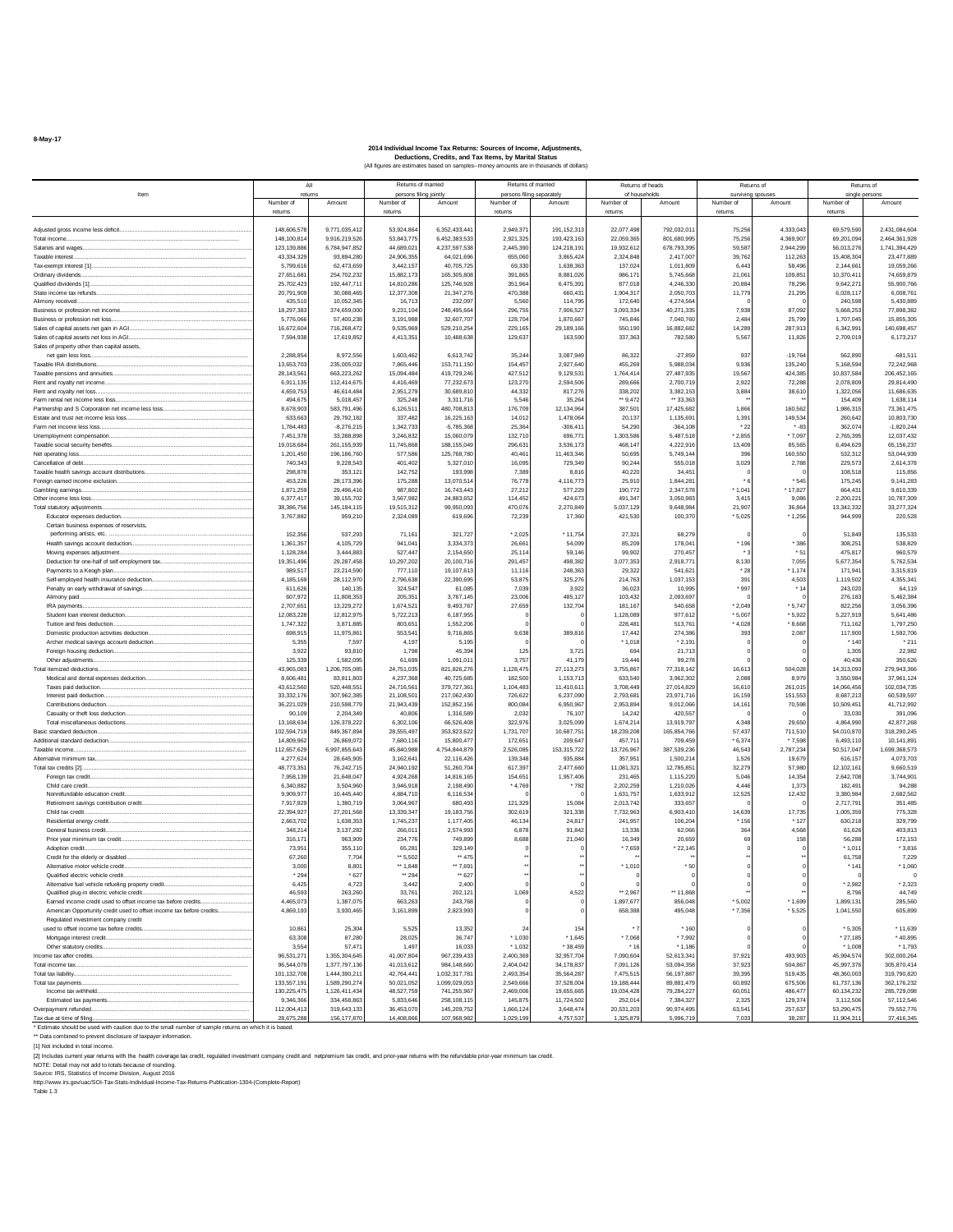**8-May-17**

#### **2014 Individual Income Tax Returns: Sources of Income, Adjustments, Deductions, Credits, and Tax Items, by Marital Status** (All figures are estimates based on samples--money amounts are in thousands of dollars)

| Item                                                                                                   |                             | All                         |                          | Returns of married<br>persons filing jointly | Returns of married<br>persons filing separately |                          | Returns of heads<br>of households |                         |                    | Returns of<br>surviving spouses | Returns of<br>single person |                             |
|--------------------------------------------------------------------------------------------------------|-----------------------------|-----------------------------|--------------------------|----------------------------------------------|-------------------------------------------------|--------------------------|-----------------------------------|-------------------------|--------------------|---------------------------------|-----------------------------|-----------------------------|
|                                                                                                        | Number of                   | Amount                      | Number of                | Amount                                       | Number of                                       | Amount                   | Number of                         | Amount                  | Number of          | Amount                          | Number of                   | Amount                      |
|                                                                                                        | returns                     |                             | returns                  |                                              | returns                                         |                          | returns                           |                         | returns            |                                 | returns                     |                             |
| Adjusted gross income less deficit                                                                     | 148,606,578                 | 9,771,035,412               | 53,924,864               | 6,352,433,441                                | 2,949,37                                        | 191.152.313              | 22,077,498                        | 792.032.01              | 75,256             | 4,333,043                       | 69,579,590                  | 2,431,084,604               |
| Total income.                                                                                          | 148,100,81                  | 9,916,219,526               | 53,843,775               | 6,452,383,53                                 | 2,921,325                                       | 193,423,163              | 22,059,365                        | 801,680,995             | 75,256             | 4,369,907                       | 69,201,09                   | 2,464,361,928               |
| Salaries and wages.<br>Taxable interest.                                                               | 123, 139, 886<br>43.334.329 | 6,784,947,852<br>93,894,280 | 44,689,021<br>24.906.355 | 4,237,597,538<br>64,021,69                   | 2,445,390<br>655,060                            | 124,218,191<br>3.865.424 | 19,932,612<br>2,324,848           | 678,793,395<br>2,417,00 | 59,587<br>39.762   | 2,944,299<br>112,263            | 56,013,276<br>15,408,30     | 1,741,394,429<br>23,477,889 |
|                                                                                                        | 5,799.61                    | 62.473.659                  | 3.442.157                | 40.705.725                                   | 69.33                                           | 1.638.363                | 137.024                           | 1.011.80                | 6.443              | 58,496                          | 2.144.66                    | 19.059.266                  |
| Ordinary dividends                                                                                     | 27.651.68                   | 254.702.232                 | 15.882.173               | 165,305.80                                   | 391.865                                         | 8.881.026                | 986.17                            | 5.745.66                | 21.061             | 109.851                         | 10.370.41                   | 74.659.879                  |
| Qualified dividends [1]<br>State income tax refunds                                                    | 25,702,423<br>20,791,909    | 192,447,71<br>30,088,465    | 14.810.286<br>12,377,308 | 125,746.92<br>21,347,27                      | 351.96<br>470,38                                | 6.475.39<br>660,43       | 877.01<br>1,904,31                | 4.246.33<br>2,050,70    | 20.88<br>11,779    | 78.29<br>21,295                 | 9.642.27<br>6,028,11        | 55.900.766<br>6,008,761     |
| Alimony received.                                                                                      | 435,51                      | 10,052,345                  | 16,713                   | 232,09                                       | 5,56                                            | 114,79                   | 172,640                           | 4,274,56                |                    |                                 | 240,59                      | 5,430,889                   |
| Business or profession net income                                                                      | 18,297,383                  | 374,659,00                  | 9,231,104                | 248,495,66                                   | 296,755                                         | 7.906.527                | 3,093,334                         | 40,271,33               | 7,938              | 87,092                          | 5,668,25                    | 77,898,382                  |
| Business or profession net loss.                                                                       | 5,776,066                   | 57,400,238                  | 3,191,988                | 32,607,70                                    | 128,70                                          | 1.870.667                | 745,846                           | 7,040,76                | 2,484              | 25,799                          | 1,707,04                    | 15,855,305                  |
| Sales of capital assets net gain in AGI                                                                | 16.672.60                   | 716.268.472                 | 9.535.969                | 529.210.254                                  | 229.165                                         | 29.189.166               | 550.190                           | 16.882.68               | 14.289             | 287.913                         | 6.342.99                    | 140.698.457                 |
| Sales of capital assets net loss in AGI<br>Sales of property other than capital assets,                | 7,594,938                   | 17,619,852                  | 4,413,351                | 10,488,638                                   | 129,637                                         | 163,590                  | 337,363                           | 782,580                 | 5,567              | 11,826                          | 2,709,019                   | 6,173,217                   |
| net gain less loss                                                                                     | 2,288,854                   | 8,972,556                   | 1,603,462                | 6,613,742                                    | 35,24                                           | 3,087,949                | 86,322                            | $-27,859$               | 937                | $-19,764$                       | 562,89                      | $-681,511$                  |
| Taxable IRA distributions                                                                              | 13.653.703                  | 235,005,032                 | 7.865.446                | 153,711,150                                  | 154.457                                         | 2.927.640                | 455,269                           | 5,988,03                | 9.936              | 135,240                         | 5,168,59                    | 72,242,968                  |
| Taxable pensions and annuities                                                                         | 28,143,56                   | 663,223,262                 | 15,094,484<br>4.416.469  | 419,729,246<br>77.232.67                     | 427.512                                         | 9,129,531<br>2.594.506   | 1,764,414<br>289,666              | 27,487,93<br>2.700.71   | 19.567<br>2.922    | 424,385                         | 10,837,58<br>2.078.809      | 206, 452, 165<br>29.814.490 |
| Rent and royalty net income<br>Rent and royalty net loss                                               | 6.911.13<br>4,659,753       | 112.414.675<br>46,614,484   | 2,951,279                | 30,689,810                                   | 123.27<br>44,332                                | 817,276                  | 338.202                           | 3,382,153               | 3,884              | 72,288<br>38,610                | 1,322,056                   | 11,686,635                  |
| Farm rental net income less loss.                                                                      | 494.67                      | 5,018,457                   | 325.248                  | 3,311,71                                     | 5.54                                            | 35.26                    | ** 9.472                          | ** 33.36                |                    |                                 | 154,409                     | 1.638.114                   |
| Partnership and S Corporation net income less loss                                                     | 8,678,903                   | 583,791,496                 | 6,126,51                 | 480,708,81                                   | 176,70                                          | 12,134,96                | 387,501                           | 17,425,68               | 1,866              | 160,562                         | 1,986,31                    | 73,361,475                  |
| Estate and trust net income less loss                                                                  | 633,66                      | 29,792,182                  | 337,482                  | 16,225,16                                    | 14,012                                          | 1,478,06                 | 20,13                             | 1,135,69                | 1,391              | 149,534                         | 260,642                     | 10,803,730                  |
| Farm net income less loss.                                                                             | 1,784,483<br>7.451.378      | $-8,276,21$<br>33.288.898   | 1,342,733<br>3.246.832   | $-5,785,36$<br>15.060.07                     | 25.36<br>132.71                                 | $-306, 41$<br>696,771    | 54,290<br>1.303.586               | $-364, 10$<br>5.487.51  | * 22<br>$*2,855$   | $* -82$<br>* 7,097              | 362,07<br>2.765.39          | $-1,820,244$<br>12.037.432  |
| Unemployment compensation                                                                              | 19.018.684                  | 261.155.939                 | 11.745.868               | 188, 155, 049                                | 296.63                                          | 3.536.173                | 468.147                           | 4.222.91                | 13.409             | 85,565                          | 6.494.62                    | 65.156.237                  |
| Net operating loss                                                                                     | 1,201,450                   | 196,186,760                 | 577,586                  | 125,768,780                                  | 40,461                                          | 11,463,346               | 50.695                            | 5,749,144               | 396                | 160,550                         | 532,312                     | 53,044,939                  |
| Cancellation of debt                                                                                   | 740,343                     | 9,228,543                   | 401,402                  | 5,327,010                                    | 16,095                                          | 729,349                  | 90,244                            | 555,01                  | 3,029              | 2,788                           | 229,57                      | 2,614,378                   |
| Taxable health savings account distributions                                                           | 298,878                     | 353,12                      | 142,752                  | 193,99                                       | 7,389                                           | 8,816                    | 40,220                            | 34,45                   |                    |                                 | 108,51                      | 115,856                     |
| Foreign earned income exclusion<br>Gambling earnings.                                                  | 453.226<br>1.871.259        | 28, 173, 396<br>29.496.416  | 175,288<br>987.802       | 13,070,51<br>16,743,443                      | 76,778<br>27.212                                | 4,116,773<br>577,229     | 25.910<br>190,772                 | 1,844,28<br>2.347.57    | ٠,<br>* 1.041      | * 545<br>* 17.827               | 175,24<br>664.43            | 9,141,283<br>9.810.339      |
| Other income less loss                                                                                 | 6,377.41                    | 39.155.702                  | 3.567.982                | 24.883.652                                   | 114.452                                         | 424.673                  | 491.347                           | 3.050.98                | 3.415              | 9.086                           | 2.200.22                    | 10.787.309                  |
| Total statutory adjustments                                                                            | 38.386.75                   | 145, 184, 11                | 19.515.312               | 99,950,093                                   | 470.07                                          | 2.270.84                 | 5,037,129                         | 9.648.98                | 21.907             | 36,864                          | 13.342.33                   | 33.277.324                  |
| Educator expenses deduction                                                                            | 3,767,882                   | 959,210                     | 2,324,089                | 619,696                                      | 72,239                                          | 17,360                   | 421,530                           | 100,37                  | $*5,025$           | * 1,256                         | 944,999                     | 220,528                     |
| Certain business expenses of reservists,                                                               |                             |                             |                          |                                              |                                                 |                          |                                   |                         |                    |                                 |                             |                             |
| performing artists, etc<br>Health savings account deduction                                            | 152,356<br>1.361.357        | 537,293<br>4,105,729        | 71,161<br>941,041        | 321,72<br>3.334.37                           | $*2,025$<br>26.66                               | * 11,754<br>54.099       | 27,321<br>85,209                  | 68,279<br>178.04        | * 196              | *386                            | 51.84<br>308.25             | 135,533<br>538,829          |
| Moving expenses adjustment                                                                             | 1.128.284                   | 3.444.883                   | 527.447                  | 2.154,650                                    | 25.11                                           | 59,146                   | 99.902                            | 270.45                  |                    | * 51                            | 475.81                      | 960.579                     |
| Deduction for one-half of self-employment tax                                                          | 19,351,496                  | 29,287,458                  | 10,297,202               | 20,100,716                                   | 291,457                                         | 498.382                  | 3,077,353                         | 2,918,77                | 8,130              | 7,055                           | 5,677,35                    | 5,762,534                   |
| Payments to a Keogh plan                                                                               | 989,517                     | 23,214,590                  | 777,110                  | 19,107,613                                   | 11.116                                          | 248,363                  | 29,322                            | 541,621                 | * 28               | * 1,174                         | 171,94                      | 3.315.819                   |
| Self-employed health insurance deduction                                                               | 4,185,169                   | 28,112,970                  | 2,796,638                | 22,390,695                                   | 53,875                                          | 325,276                  | 214,763                           | 1,037,153               | 391                | 4,503                           | 1,119,502                   | 4,355,341                   |
| Penalty on early withdrawal of savings<br>Alimony paid.                                                | 611,626<br>607.972          | 140,135<br>11,808,353       | 324,547<br>205.35        | 61,085<br>3,767,145                          | 7,039<br>23.00                                  | 3,922<br>485.127         | 36,023<br>103,432                 | 10,99<br>2.093.69       | * 997              | * 14                            | 243,02<br>276.18            | 64,119<br>5.462.384         |
| IRA payments.                                                                                          | 2.707.65                    | 13.229.272                  | 1.674.52                 | 9.493.767                                    | 27.659                                          | 132,704                  | 181.167                           | 540,65                  | $*2.049$           | * 5.747                         | 822.25                      | 3.056.396                   |
| Student loan interest deduction                                                                        | 12.083.228                  | 12,812,975                  | 5,722,213                | 6,187,955                                    |                                                 |                          | 1,128,089                         | 977.61                  | $*5.007$           | * 5,922                         | 5,227,91                    | 5,641,486                   |
| Tuition and fees deduction                                                                             | 1.747.322                   | 3.871.88                    | 803,651                  | 1,552,206                                    |                                                 |                          | 228,481                           | 513.76                  | 4,028              | * 8,668                         | 711.16                      | 1,797,250                   |
| Domestic production activities deduction                                                               | 698,91                      | 11,975,86                   | 553,54                   | 9,716,865                                    | 9,638                                           | 389,816                  | 17,442                            | 274,38                  | 393                | 2,087                           | 117,900                     | 1,592,706                   |
| Archer medical savings account deduction<br>Foreign housing deduction.                                 | 5,35<br>3,92                | 7,597<br>93,81              | 4,19<br>1,798            | 5,19<br>45,39                                | 125                                             | 3,721                    | $*1,018$<br>694                   | $*2,19$<br>21,71        |                    |                                 | * 14<br>1,305               | $*211$<br>22,982            |
| Other adjustments.                                                                                     | 125,339                     | 1.582.095                   | 61.699                   | 1.091.01                                     | 3,757                                           | 41.179                   | 19,446                            | 99.27                   |                    |                                 | 40.436                      | 350.626                     |
| Total itemized deductions                                                                              | 43,965,083                  | 1.206.705.085               | 24.751.035               | 821.826.276                                  | 1.128.47                                        | 27.113.273               | 3,755,867                         | 77.318.14               | 16.613             | 504.028                         | 14.313.093                  | 279.943.366                 |
| Medical and dental expenses deduction                                                                  | 8,606,481                   | 83,811,803                  | 4,237,368                | 40,725,685                                   | 182,500                                         | 1,153,713                | 633,540                           | 3,962,302               | 2,088              | 8,979                           | 3,550,984                   | 37,961,124                  |
| Taxes paid deduction.<br>Interest paid deduction                                                       | 43,612,560<br>33,332,176    | 520,448,55<br>307,962,385   | 24,716,561<br>21,108,501 | 379,727,36<br>217,062,430                    | 1,104,483<br>726,622                            | 11,410,611<br>6,237,090  | 3,708,449<br>2,793,681            | 27,014,82<br>23,971,716 | 16,610<br>16,159   | 261,015<br>151,553              | 14,066,45<br>8,687,21       | 102,034,735<br>60,539,597   |
| Contributions deduction                                                                                | 36,221,029                  | 210,598,779                 | 21,943,439               | 152,852,15                                   | 800,08                                          | 6,950,967                | 2,953,894                         | 9,012,06                | 14,161             | 70,598                          | 10,509,45                   | 41,712,992                  |
|                                                                                                        | 90.109                      | 2.204.349                   | 40,806                   | 1.316.589                                    | 2.032                                           | 76.107                   | 14.242                            | 420.55                  |                    |                                 | 33.03                       | 391.096                     |
| Total miscellaneous deductions                                                                         | 13,168,634                  | 126.378.222                 | 6.302.106                | 66,526,408                                   | 322.976                                         | 3.025.099                | 1,674,214                         | 13.919.79               | 4.348              | 29,650                          | 4.864.99                    | 42.877.268                  |
| Basic standard deduction<br>Additional standard deduction                                              | 102.594.71<br>14,809,962    | 849,367,89<br>26,869,07     | 28.555.497<br>7,680,116  | 353.823.62<br>15,800,47                      | 1,731,707<br>172,65                             | 10.687.75<br>209,64      | 18,239,208<br>457,71              | 165,854,76<br>709,45    | 57,437<br>$*6,374$ | 711,51<br>* 7,59                | 54,010,870<br>6,493,11      | 318.290.245<br>10,141,89    |
| Taxable income.                                                                                        | 112,657,62                  | 6,997,855,643               | 45,840,988               | 4,754,844,87                                 | 2,526,08                                        | 153,315,722              | 13,726,96                         | 387,539,23              | 46,543             | 2,787,234                       | 50,517,047                  | 1,699,368,573               |
| Alternative minimum tax                                                                                | 4,277,62                    | 28,645,905                  | 3,162,64                 | 22,116,42                                    | 139.348                                         | 935.884                  | 357,951                           | 1,500,21                | 1,526              | 19,67                           | 616.15                      | 4,073,703                   |
| Total tax credits [2].                                                                                 | 48,773,35                   | 76,242,71                   | 24,940,192               | 51,260,70                                    | 617.397                                         | 2.477.660                | 11,081,321                        | 12,785,85               | 32,279             | 57,98                           | 12,102,16                   | 9,660,519                   |
| Foreign tax credit.<br>Child care credit.                                                              | 7.958.139<br>6.340.882      | 21.648.047<br>3,504,960     | 4.924.268<br>3,946,918   | 14,816,165<br>2,198,490                      | 154.65<br>$*4,769$                              | 1.957.406<br>* 782       | 231.465<br>2,202,259              | 1.115.22<br>1,210,026   | 5.046<br>4,446     | 14.354<br>1,373                 | 2.642.70<br>182,49          | 3.744.901<br>94.288         |
|                                                                                                        | 9,909,977                   | 10,445,440                  | 4.884.710                | 6,116,534                                    |                                                 |                          | 1,631,757                         | 1,633,912               | 12,525             | 12,432                          | 3,380,984                   | 2.682.562                   |
| Retirement savings contribution credit                                                                 | 7,917,829                   | 1,380,719                   | 3,064,967                | 680,493                                      | 121,329                                         | 15,084                   | 2,013,742                         | 333,657                 |                    |                                 | 2,717,79                    | 351,485                     |
| Child tax credit.                                                                                      | 22.394.927                  | 27,201,568                  | 13,339,347               | 19, 183, 756                                 | 302.619                                         | 321,338                  | 7,732,963                         | 6,903,41                | 14,639             | 17,735                          | 1,005,35                    | 775,328                     |
| Residential energy credit.                                                                             | 2,663,702                   | 1,638,353                   | 1,745,237                | 1,177,405                                    | 46.13                                           | 24,817                   | 241,957                           | 106,20                  | * 156              | $*127$                          | 630,21                      | 329,799                     |
| General business credit.<br>Prior year minimum tax credit                                              | 348.21<br>316.17            | 3.137.282<br>963,909        | 266.01<br>234,776        | 2.574.993<br>749,899                         | 6.878<br>8.68                                   | 91.842<br>21,040         | 13,336<br>16,349                  | 62.06<br>20,659         | 364<br>69          | 4.568<br>158                    | 61.62<br>56.28              | 403.813<br>172.153          |
| Adoption credit                                                                                        | 73.95                       | 355.11                      | 65.28                    | 329,149                                      |                                                 |                          | * 7,659                           | 22,145                  |                    |                                 | $*1.01$                     | $*3,816$                    |
| Credit for the elderly or disabled                                                                     | 67,260                      | 7,70                        | "5,502                   | ** 47                                        |                                                 |                          |                                   |                         |                    |                                 | 61,758                      | 7,229                       |
| Alternative motor vehicle credit                                                                       | 3,000                       | 8,801                       | 1,848                    | $-7,691$                                     |                                                 |                          | $*1,010$                          | $*50$                   |                    |                                 | $*14$                       | $*1,060$                    |
| Qualified electric vehicle credit.                                                                     | * 29                        | * 627                       | ** 294                   | ** 62                                        |                                                 |                          |                                   |                         |                    |                                 |                             | $\Omega$                    |
| Alternative fuel vehicle refueling property credit<br>Qualified plug-in electric vehicle credit        | 6.425<br>46,593             | 4.723<br>263,260            | 3.442<br>33.761          | 2.400<br>202.121                             | 1.069                                           | 4.522                    | ** 2,967                          | ** 11,868               |                    |                                 | $*2,982$<br>8.796           | $*2.323$<br>44,749          |
| Earned income credit used to offset income tax before credits                                          | 4,465,073                   | 1,387,075                   | 663.263                  | 243,768                                      |                                                 |                          | 1,897,677                         | 856,048                 | $*5.002$           | * 1.699                         | 1,899,131                   | 285,560                     |
| American Opportunity credit used to offset income tax before credits                                   | 4,869,193                   | 3,930,465                   | 3,161,899                | 2,823,993                                    |                                                 | $\mathbf 0$              | 658,388                           | 495,048                 | * 7,356            | $*5,525$                        | 1,041,550                   | 605,899                     |
| Regulated investment company credit                                                                    |                             |                             |                          |                                              |                                                 |                          |                                   |                         |                    |                                 |                             |                             |
| used to offset income tax before credits                                                               | 10.86                       | 25.30                       | 5.525                    | 13,352                                       | $\mathcal{D}$                                   | 154                      |                                   | $*160$                  |                    |                                 | $*5.305$                    | *11.639                     |
| Mortgage interest credit                                                                               | 63,308<br>3.554             | 87.280<br>57.47             | 28.025<br>1.497          | 36,747<br>16,033                             | * 1.030<br>* 1.032                              | $*1.645$<br>* 38.459     | * 7.068<br>* 16                   | $*7.992$<br>$*1.186$    |                    |                                 | $*27.185$<br>$*1.008$       | * 40,895<br>$*1.793$        |
|                                                                                                        | 96,531,27                   | 1 355 304 645               | 41.007.804               | 967,239,433                                  | 2.400.369                                       | 32.957.704               | 7,090,604                         | 52.613.34               | 37.921             | 493,903                         | 45.994.574                  | 302.000.264                 |
|                                                                                                        | 96,544,07                   | 1,377,797,136               | 41,013,612               | 984, 148, 660                                | 2,404,042                                       | 34,178,837               | 7,091,126                         | 53,094,358              | 37,923             | 504,867                         | 45,997,376                  | 305,870,414                 |
|                                                                                                        | 101,132,708                 | 1.444.390.21                | 42,764,441               | 1,032,317,78                                 | 2,493,354                                       | 35,564,287               | 7,475,515                         | 56, 197, 887            | 39,395             | 519,435                         | 48,360,003                  | 319,790,820                 |
| Total tax payments                                                                                     | 133,557,19                  | 1,589,290,274               | 50,021,052               | 1,099,029,05                                 | 2,549,666                                       | 37,528,004               | 19,188,444                        | 89, 881, 479            | 60,892             | 675,506                         | 61,737,136                  | 362, 176, 232               |
| Income tax withheld                                                                                    | 130,225,475<br>9,346,366    | 1,126,411,43<br>334.458.863 | 48,527,759<br>5.833.646  | 741,255,967<br>258.108.115                   | 2,469,006<br>145,875                            | 19,655,665<br>11.724.502 | 19,034,428<br>252.014             | 79.284.227<br>7.384.327 | 60,051<br>2.325    | 486,477<br>129,374              | 60,134,232<br>3.112.506     | 285,729,098<br>57.112.546   |
| Overpayment refunded                                                                                   | 112,004,413                 | 319,643,133                 | 36,453,070               | 145,209,752                                  | 1,666,124                                       | 3,648,474                | 20,531,203                        | 90,974,495              | 63,541             | 257,637                         | 53,290,475                  | 79,552,776                  |
| Tax due at time of filing                                                                              | 28.675.288                  | 156.177.870                 | 14.408.866               | 107.968.982                                  | 1.029.199                                       | 4.757.537                | 1.325.879                         | 5.996.719               | 7.033              | 38.287                          | 11.904.311                  | 37,416,345                  |
| * Estimate should be used with caution due to the small number of sample returns on which it is based. |                             |                             |                          |                                              |                                                 |                          |                                   |                         |                    |                                 |                             |                             |
| ** Data combined to prevent disclosure of taxpayer information.<br>[1] Not included in total income.   |                             |                             |                          |                                              |                                                 |                          |                                   |                         |                    |                                 |                             |                             |

[2] Includes current year returns with the health coverage tax credit, regulated investment company credit and netpremium tax credit, and prior-year returns with the refundable prior-year minimum tax credit

NOTE: Detail may not add to totals because of rounding. Source: IRS, Statistics of Income Division, August 2016 http://www.irs.gov/uac/SOI-Tax-Stats-Individual-Income-Tax-Returns-Publication-1304-(Complete-Report) Table 1.3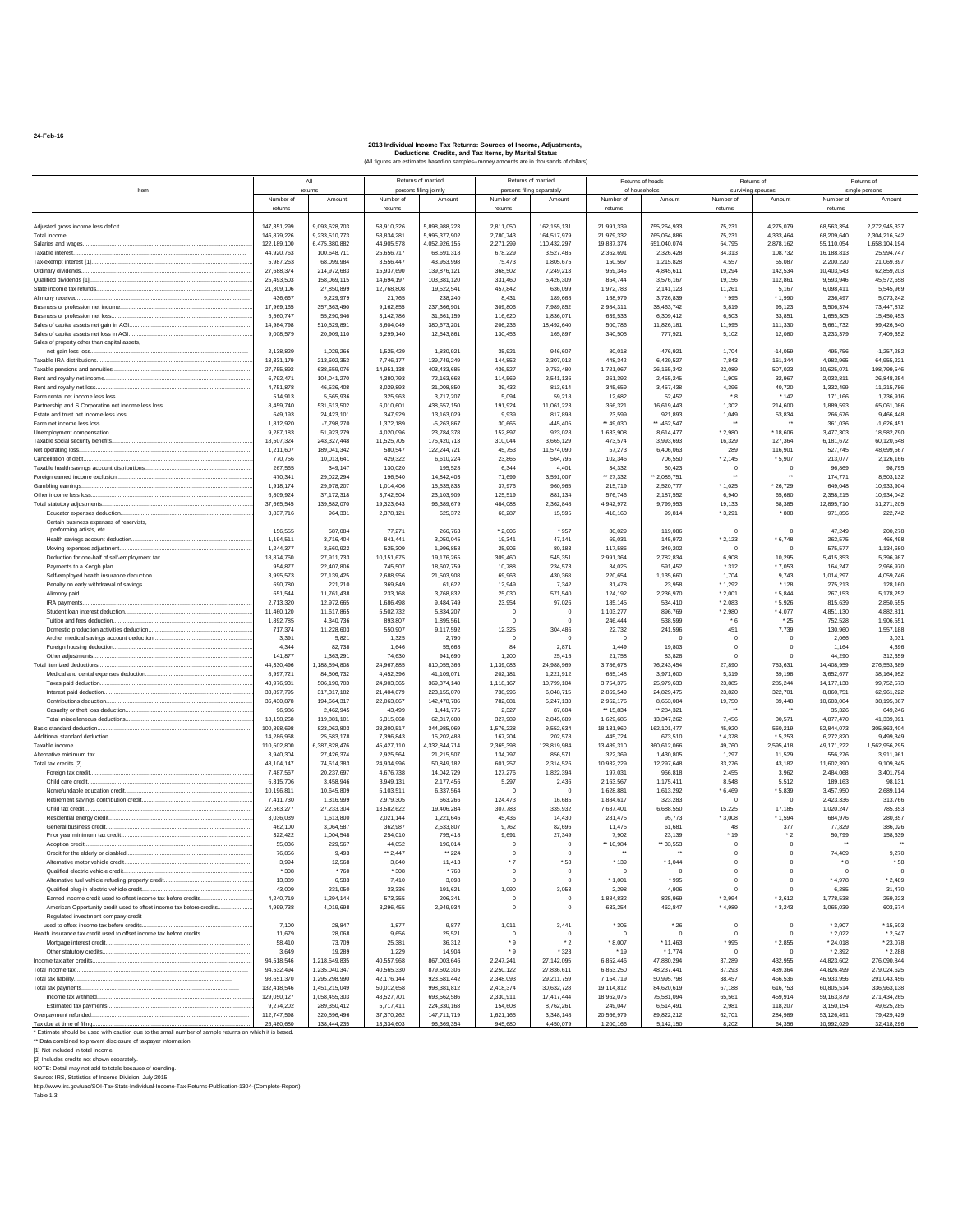**24-Feb-16**

|                                                                                                             |                            | All                            |                          | Returns of married             |                          | Returns of married         |                               | Returns of heads                 |                      | Returns of             |                          | Returns of                     |
|-------------------------------------------------------------------------------------------------------------|----------------------------|--------------------------------|--------------------------|--------------------------------|--------------------------|----------------------------|-------------------------------|----------------------------------|----------------------|------------------------|--------------------------|--------------------------------|
| Item                                                                                                        |                            | return:                        |                          | persons filing jointly         |                          | persons filing separately  |                               | of households                    |                      | surviving spouse       |                          | single person                  |
|                                                                                                             | Number of<br>returns       | Amount                         | Number of<br>returns     | Amount                         | Number of<br>returns     | Amount                     | Number of<br>returns          | Amount                           | Number of<br>returns | Amount                 | Number of<br>returns     | Amount                         |
|                                                                                                             |                            |                                |                          |                                |                          |                            |                               |                                  |                      |                        |                          |                                |
| Adiusted gross income less deficit                                                                          | 147,351,299                | 9.093.628.703                  | 53.910.326               | 5,898,988,223                  | 2.811.050                | 162, 155, 131              | 21.991.339                    | 755,264,933                      | 75.231               | 4,275,079              | 68,563,354               | 2,272,945,337                  |
| Total income.                                                                                               | 146,879,226<br>122,189,100 | 9,233,510,773<br>6,475,380,882 | 53.834.281<br>44,905,578 | 5.995.377.902<br>4,052,926,155 | 2,780,743<br>2,271,299   | 164,517,979<br>110,432,297 | 21,979,332<br>19,837,374      | 765.064.886<br>651,040,074       | 75.231<br>64,795     | 4,333,464<br>2,878,162 | 68,209,640<br>55,110,054 | 2.304.216.542<br>1,658,104,194 |
| Taxable interest.                                                                                           | 44,920,763                 | 100,648,711                    | 25,656,717               | 68,691,318                     | 678,229                  | 3,527,485                  | 2,362,691                     | 2,326,428                        | 34,313               | 108,732                | 16,188,813               | 25,994,747                     |
|                                                                                                             | 5,987,263                  | 68,099,984                     | 3.556.447                | 43,953,998                     | 75,473                   | 1,805,675                  | 150,567                       | 1,215,828                        | 4,557                | 55.087                 | 2,200,220                | 21.069.397                     |
| Ordinary dividends.                                                                                         | 27.688.374                 | 214.972.683                    | 15.937.690               | 139.876.121                    | 368.502                  | 7.249.213                  | 959,345                       | 4.845.611                        | 19.294               | 142.534                | 10.403.543               | 62.859.203                     |
| Qualified dividends [1]                                                                                     | 25,493,503                 | 158,069.115<br>27,850,899      | 14,694,197               | 103.381.120                    | 331.460                  | 5.426.309<br>636,099       | 854,744                       | 3.576.167                        | 19.156               | 112,861                | 9.593.946<br>6.098.411   | 45,572,658<br>5.545.969        |
| Alimony received.                                                                                           | 21,309,106<br>436,667      | 9,229,979                      | 12,768,808<br>21,765     | 19,522,541<br>238,240          | 457,842<br>8,431         | 189,668                    | 1,972,783<br>168,979          | 2,141,123<br>3,726,839           | 11,261<br>* 995      | 5,167<br>* 1,990       | 236,497                  | 5,073,242                      |
| Business or profession net income                                                                           | 17,969,165                 | 357, 363, 490                  | 9,162,855                | 237,366,901                    | 309,806                  | 7,989,852                  | 2,984,311                     | 38,463,742                       | 5,819                | 95,123                 | 5,506,374                | 73,447,872                     |
| Business or profession net loss.                                                                            | 5,560,747                  | 55,290,946                     | 3.142.786                | 31.661.159                     | 116,620                  | 1.836.071                  | 639,533                       | 6,309,412                        | 6.503                | 33.851                 | 1.655.305                | 15.450.453                     |
| Sales of capital assets net gain in AGI.                                                                    | 14.984.798                 | 510 529 891                    | 8.604.049                | 380.673.201                    | 206.236                  | 18.492.640                 | 500.786                       | 11,826,181                       | 11.995               | 111.330                | 5.661.732                | 99.426.540                     |
| Sales of capital assets net loss in AGI<br>Sales of property other than capital assets,                     | 9,008,579                  | 20,909.110                     | 5.299.140                | 12,543,861                     | 130.453                  | 165,897                    | 340.505                       | 777,921                          | 5.102                | 12.080                 | 3,233,379                | 7.409.352                      |
| net gain less loss                                                                                          | 2.138.829                  | 1.029.266                      | 1.525.429                | 1.830.921                      | 35,921                   | 946,607                    | 80.018                        | $-476.921$                       | 1.704                | $-14.059$              | 495.756                  | $-1.257.282$                   |
|                                                                                                             | 13,331,179                 | 213,602,353                    | 7,746,177                | 139,749,249                    | 144,852                  | 2,307,012                  | 448,342                       | 6,429,527                        | 7,843                | 161,344                | 4,983,965                | 64,955,221                     |
| Taxable pensions and annuities                                                                              | 27,755,892                 | 638,659,076                    | 14,951,138               | 403,433,685                    | 436,527                  | 9,753,480                  | 1,721,067                     | 26, 165, 342                     | 22.089               | 507,023                | 10,625,071               | 198,799,546                    |
| Rent and royalty net income<br>Rent and royalty net loss                                                    | 6,792,471<br>4.751.878     | 104,041,270<br>46,536,408      | 4.380.793<br>3.029.893   | 72,163,668<br>31,008,850       | 114,569<br>39.432        | 2,541,136<br>813.614       | 261,392<br>345,659            | 2,455,245<br>3.457.438           | 1,905<br>4.396       | 32,967<br>40.720       | 2,033,811<br>1.332.499   | 26,848,254<br>11.215.786       |
| Farm rental net income less loss                                                                            | 514,913                    | 5.565.936                      | 325,963                  | 3,717,207                      | 5,094                    | 59,218                     | 12,682                        | 52,452                           | *8                   | $*142$                 | 171,166                  | 1,736,916                      |
| Partnership and S Corporation net income less loss                                                          | 8.459.740                  | 531.613.502                    | 6,010,601                | 438.657.150                    | 191.924                  | 11,061,223                 | 366.321                       | 16,619,443                       | 1,302                | 214,600                | 1,889,593                | 65,061,086                     |
| Estate and trust net income less loss                                                                       | 649,193                    | 24,423,101                     | 347,929                  | 13,163,029                     | 9,939                    | 817,898                    | 23,599                        | 921,893                          | 1,049                | 53,834                 | 266,676                  | 9,466,448                      |
| Farm net income less loss.                                                                                  | 1,812,920                  | $-7,798,270$                   | 1,372,189                | $-5.263.867$                   | 30.665                   | $-445.405$                 | ** 49.030                     | ** -462,547                      |                      | * 18,606               | 361,036                  | $-1.626.451$                   |
| Unemployment compensation                                                                                   | 9.287.183<br>18,507,324    | 51.923.279<br>243.327.448      | 4.020.096<br>11.525.705  | 23,784,378<br>175.420.713      | 152.897<br>310.044       | 923.028<br>3.665.129       | 1.633.908<br>473.574          | 8.614.477<br>3.993.693           | $*$ 2.980<br>16,329  | 127.364                | 3,477,303<br>6.181.672   | 18,582,790<br>60.120.548       |
| Net operating loss.                                                                                         | 1,211,607                  | 189.041.342                    | 580.547                  | 122,244,721                    | 45.753                   | 11,574,090                 | 57.273                        | 6.406.063                        | 289                  | 116,901                | 527.745                  | 48.699.567                     |
| Cancellation of debt                                                                                        | 770,756                    | 10,013,641                     | 429.322                  | 6,610,224                      | 23,865                   | 564,795                    | 102,346                       | 706,550                          | $*2,145$             | * 5,907                | 213,077                  | 2,126,166                      |
| Taxable health savings account distributions                                                                | 267,565                    | 349,147                        | 130,020                  | 195,528                        | 6,344                    | 4,401                      | 34,332                        | 50,423                           | $\overline{0}$       | $\circ$<br>$\bullet$   | 96,869                   | 98,795                         |
| Foreign earned income exclusion<br>Gambling earnings.                                                       | 470,341<br>1.918.174       | 29,022,294<br>29,978,207       | 196,540<br>1.014.406     | 14,842,403<br>15,535,833       | 71,699<br>37,976         | 3,591,007<br>960,965       | ** 27,332<br>215,719          | ** 2,085,751<br>2,520,777        | $*1.025$             | $*26.729$              | 174,771<br>649,048       | 8,503,132<br>10,933,904        |
| Other income less loss                                                                                      | 6,809,924                  | 37.172.318                     | 3.742.504                | 23,103,909                     | 125.519                  | 881.134                    | 576,746                       | 2.187.552                        | 6,940                | 65,680                 | 2.358.215                | 10.934.042                     |
| Total statutory adiustments                                                                                 | 37,665,545                 | 139.882.070                    | 19.323.643               | 96,389,679                     | 484.088                  | 2.362.848                  | 4.942.972                     | 9.799.953                        | 19.133               | 58.385                 | 12.895.710               | 31,271,205                     |
| Educator expenses deduction                                                                                 | 3,837,716                  | 964,331                        | 2,378,121                | 625.372                        | 66,287                   | 15,595                     | 418.160                       | 99,814                           | * 3.291              | *808                   | 971,856                  | 222,742                        |
| Certain business expenses of reservists,<br>performing artists, etc.                                        | 156,555                    | 587,084                        | 77,271                   | 266,763                        | $*2,006$                 | * 957                      | 30,029                        | 119,086                          | $\overline{0}$       | $^{\circ}$             | 47,249                   | 200,278                        |
| Health savings account deduction                                                                            | 1.194.511                  | 3,716,404                      | 841.441                  | 3,050,045                      | 19,341                   | 47.141                     | 69.031                        | 145,972                          | $*2,123$             | $*6,748$               | 262.575                  | 466.498                        |
| Moving expenses adjustment.                                                                                 | 1.244.377                  | 3,560,922                      | 525.309                  | 1.996.858                      | 25.906                   | 80.183                     | 117,586                       | 349,202                          | $\Omega$             | $\Omega$               | 575,577                  | 1.134.680                      |
| Deduction for one-half of self-employment tax                                                               | 18,874,760                 | 27.911.733                     | 10.151.675               | 19.176.265                     | 309.460                  | 545.351                    | 2.991.364                     | 2.782.834                        | 6.908                | 10.295                 | 5.415.353                | 5.396.987                      |
| Payments to a Keogh plan                                                                                    | 954,877                    | 22,407,806                     | 745,507                  | 18,607,759                     | 10,788                   | 234.573                    | 34,025                        | 591,452                          | * 312                | $*7,053$               | 164,247                  | 2.966.970                      |
| Self-employed health insurance deduction<br>Penalty on early withdrawal of savings                          | 3,995,573<br>690,780       | 27, 139, 425<br>221,210        | 2.688.956<br>369,849     | 21,503,908<br>61,622           | 69,963<br>12,949         | 430,368<br>7,342           | 220,654<br>31,478             | 1,135,660<br>23,958              | 1,704<br>* 1,292     | 9.743<br>* 128         | 1,014,297<br>275,213     | 4,059,746<br>128,160           |
| Alimony paid.                                                                                               | 651,544                    | 11,761,438                     | 233,168                  | 3,768,832                      | 25,030                   | 571.540                    | 124.192                       | 2,236,970                        | $*2.001$             | $*5.844$               | 267.153                  | 5,178,252                      |
| IRA payments                                                                                                | 2,713,320                  | 12,972,665                     | 1,686,498                | 9,484,749                      | 23,954                   | 97,026                     | 185.145                       | 534,410                          | $*2083$              | * 5.926                | 815,639                  | 2.850.555                      |
|                                                                                                             | 11.460.120                 | 11.617.865                     | 5.502.732                | 5.834.207                      | $^{\circ}$               | $^{\circ}$                 | 1.103.277                     | 896,769                          | 2.980                | * 4.077                | 4.851.130                | 4.882.811                      |
| Tuition and fees deduction.<br>Domestic production activities deduction                                     | 1,892,785<br>717.374       | 4,340,736<br>11.228.603        | 893,807<br>550,907       | 1,895,561<br>9.117.592         | $\overline{0}$<br>12,325 | $\circ$<br>304,486         | 246,444<br>22,732             | 538,599<br>241,596               | * 6<br>451           | $*25$<br>7,739         | 752,528<br>130,960       | 1,906,551<br>1,557,188         |
| Archer medical savings account deduction                                                                    | 3,391                      | 5,821                          | 1,325                    | 2,790                          | $\overline{\mathbf{0}}$  | $\circ$                    | $\circ$                       | $\mathbf 0$                      | $\circ$              | $\circ$                | 2,066                    | 3,031                          |
| Foreign housing deduction.                                                                                  | 4.344                      | 82.738                         | 1.646                    | 55,668                         | 84                       | 2871                       | 1.449                         | 19,803                           | $^{\circ}$           | $^{\circ}$             | 1,164                    | 4,396                          |
| Other adjustments                                                                                           | 141.877                    | 1,363,291                      | 74.630                   | 941.690                        | 1,200                    | 25.415                     | 21,758                        | 83,828                           | $\Omega$             | $^{\circ}$             | 44.290                   | 312,359                        |
| Total itemized deductions.<br>Medical and dental expenses deduction                                         | 44,330,496<br>8,997,721    | 1.188.594.808<br>84,506,732    | 24.967.885<br>4.452.396  | 810.055.366<br>41.109.071      | 1.139.083<br>202.181     | 24.988.969<br>1.221.912    | 3.786.678<br>685.148          | 76.243.454<br>3.971.600          | 27,890<br>5.319      | 753,631<br>39.198      | 14.408.959<br>3,652,677  | 276.553.389<br>38.164.952      |
| Taxes paid deduction.                                                                                       | 43,976,931                 | 506,190,703                    | 24,903,365               | 369,374,148                    | 1,118,167                | 10,799,104                 | 3,754,375                     | 25,979,633                       | 23.885               | 285.244                | 14, 177, 138             | 99,752,573                     |
|                                                                                                             | 33,897,795                 | 317,317,182                    | 21,404,679               | 223,155,070                    | 738,996                  | 6,048,715                  | 2,869,549                     | 24,829,475                       | 23,820               | 322,701                | 8,860,751                | 62,961,222                     |
| Contributions deduction                                                                                     | 36,430,878                 | 194,664,317                    | 22,063,867               | 142,478,786                    | 782,081                  | 5,247,133                  | 2,962,176                     | 8,653,084                        | 19,750               | 89,448                 | 10,603,004               | 38,195,867                     |
| Casualty or theft loss deduction<br>Total miscellaneous deductions                                          | 96,986<br>13,158,268       | 2,462,945<br>119,881.101       | 43.499<br>6.315.668      | 1,441,775<br>62.317.688        | 2.327<br>327,989         | 87,604<br>2.845.689        | ** 15.834<br>1.629.685        | ** 284,321<br>13.347.262         | 7.456                | 30.571                 | 35,326<br>4.877.470      | 649,246<br>41.339.891          |
| Basic standard deduction                                                                                    | 100,898,698                | 823.062.803                    | 28.300.517               | 344.985.069                    | 1.576.228                | 9.552.634                  | 18,131,960                    | 162.101.477                      | 45.920               | 560.219                | 52.844.073               | 305.863.404                    |
| Additional standard deduction                                                                               | 14.286.968                 | 25,583,178                     | 7.396.843                | 15,202,488                     | 167,204                  | 202.578                    | 445.724                       | 673,510                          | $*4.378$             | * 5.253                | 6,272,820                | 9.499.349                      |
| Taxable income.                                                                                             | 110,502,800                | 3,387,828,476                  | 45,427,110               | ,332,844,714                   | 2,365,398                | 128,819,984                | 13,489,310                    | 360,612,066                      | 49,760               | 2,595,418              | 49,171,222               | 1,562,956,295                  |
| Alternative minimum tax                                                                                     | 3,940,304                  | 27,426,374                     | 2,925,564                | 21,215,507                     | 134,797                  | 856,571                    | 322,369                       | 1,430,805                        | 1,297                | 11,529                 | 556,276                  | 3,911,961                      |
| Total tax credits [2].<br>Foreign tax credit.                                                               | 48.104.147<br>7.487.567    | 74,614,383<br>20.237.697       | 24.934.996<br>4,676,738  | 50.849.182<br>14.042.729       | 601,257<br>127,276       | 2.314.526<br>1.822.394     | 10.932.229<br>197.031         | 12,297,648<br>966,818            | 33.276<br>2,455      | 43,182<br>3.962        | 11.602.390<br>2,484,068  | 9.109.845<br>3,401,794         |
| Child care credit.                                                                                          | 6,315,706                  | 3.458.946                      | 3.949.131                | 2.177.456                      | 5,297                    | 2.436                      | 2.163.567                     | 1.175.411                        | 8.548                | 5.512                  | 189.163                  | 98.131                         |
| Nonrefundable education credit                                                                              | 10,196,811                 | 10,645,809                     | 5,103,511                | 6,337,564                      | $\overline{0}$           | $\mathbf 0$                | 1,628,881                     | 1,613,292                        | $*6,469$             | $*5,839$               | 3,457,950                | 2.689.114                      |
|                                                                                                             | 7,411,730                  | 1,316,999                      | 2,979,305                | 663,266                        | 124,473                  | 16,685                     | 1,884,617                     | 323,283                          | $\mathbf 0$          | $\circ$                | 2.423.336                | 313,766                        |
| Child tax credit.<br>Residential energy credit.                                                             | 22,563,277<br>3,036,039    | 27,233,304<br>1,613,800        | 13,582,622<br>2,021,144  | 19,406,284<br>1,221,646        | 307,783<br>45,436        | 335,932<br>14,430          | 7,637,401<br>281,475          | 6,688,550<br>95,773              | 15,225<br>$*3.008$   | 17,185<br>* 1,594      | 1,020,247<br>684,976     | 785,353<br>280,357             |
| General business credit.                                                                                    | 462,100                    | 3,064,587                      | 362,987                  | 2,533,807                      | 9.762                    | 82.696                     | 11,475                        | 61,681                           | 48                   | 377                    | 77,829                   | 386.026                        |
| Prior year minimum tax credit                                                                               | 322,422                    | 1.004.548                      | 254.010                  | 795.418                        | 9.691                    | 27.349                     | 7.902                         | 23,139                           | 19                   | $^\star$ 2             | 50,799                   | 158,639                        |
| Adoption credit.                                                                                            | 55.036                     | 229,567                        | 44.052                   | 196,014                        | $\overline{0}$           | $\mathbf{0}$               | ** 10.984                     | ** 33.553                        | $\circ$              | $\circ$                | $\ddot{\phantom{0}}$     | $\ddot{\phantom{0}}$           |
| Credit for the elderly or disabled.                                                                         | 76,856<br>3.994            | 9.493<br>12,568                | ** 2.447                 | ** 224                         | $^{\circ}$<br>$*7$       | $\mathbf{0}$<br>* 53       | $\ddot{\phantom{0}}$<br>* 139 | $\ddot{\phantom{0}}$<br>$*1.044$ | $\circ$<br>$\Omega$  | $\circ$<br>$\Omega$    | 74.409<br>* 8            | 9.270<br>* 58                  |
| Alternative motor vehicle credit.<br>Qualified electric vehicle credit                                      | * 308                      | * 760                          | 3,840<br>* 308           | 11,413<br>* 760                | $\overline{\mathbf{0}}$  | $^{\circ}$                 | $^{\circ}$                    | $\Omega$                         | $\bf{0}$             | $\mathbf 0$            | $\circ$                  | $^{\circ}$                     |
| Alternative fuel vehicle refueling property credit                                                          | 13,389                     | 6,583                          | 7,410                    | 3,098                          | $^{\circ}$               | $\Omega$                   | $*1.001$                      | * 995                            | $\mathbf 0$          | $\circ$                | * 4.978                  | $*2.489$                       |
| Qualified plug-in electric vehicle credit.                                                                  | 43,009                     | 231.050                        | 33,336                   | 191.621                        | 1.090                    | 3.053                      | 2.298                         | 4.906                            | $\Omega$             | $^{\circ}$             | 6.285                    | 31.470                         |
| Earned income credit used to offset income tax before credits                                               | 4.240.719                  | 1.294.144                      | 573,355                  | 206,341                        | $^{\circ}$               | $^{\circ}$                 | 1.884.832                     | 825.969                          | $*3.994$             | $*2,612$               | 1.778.538                | 259.223                        |
| American Opportunity credit used to offset income tax before credits<br>Regulated investment company credit | 4,999,738                  | 4,019,698                      | 3,296,455                | 2,949,934                      | $\mathbb O$              | $\mathbf 0$                | 633,254                       | 462,847                          | * 4,989              | $*3,243$               | 1,065,039                | 603,674                        |
| used to offset income tax before credits                                                                    | 7,100                      | 28,847                         | 1,877                    | 9,877                          | 1,011                    | 3,441                      | * 305                         | $^*$ 26                          | $^{\circ}$           | $\circ$                | $*3,907$                 | * 15,503                       |
| Health insurance tax credit used to offset income tax before credits                                        | 11,679                     | 28,068                         | 9.656                    | 25.521                         | - 0                      | $\Omega$                   | - 0                           | $\Omega$                         | $\Omega$             | $\Omega$               | $*2.022$                 | $*2.547$                       |
| Mortgage interest credit                                                                                    | 58.410                     | 73,709                         | 25.381                   | 36,312                         | $^*$ 9                   | $^*$ 2                     | $*8.007$                      | $*11.463$                        | * 995                | $*2.855$               | $*24.018$                | $*23.078$                      |
|                                                                                                             | 3.649<br>94.518.546        | 19,289<br>1 218 549 835        | 1.229<br>40.557.968      | 14,904<br>867.003.646          | * 9                      | * 323<br>27.142.095        | * 19<br>6.852.446             | $*1.774$<br>47.880.294           | $\Omega$<br>37,289   | $^{\circ}$<br>432.955  | $*2.392$                 | $*2.288$                       |
| Total income tax                                                                                            | 94,532,494                 | 1.235.040.347                  | 40,565,330               | 879,502,306                    | 2,247,241<br>2,250,122   | 27,836,611                 | 6,853,250                     | 48,237,441                       | 37,293               | 439,364                | 44,823,602<br>44,826,499 | 276,090,844<br>279,024,625     |
| Total tax liability                                                                                         | 98,651,370                 | 1,295,298,990                  | 42,176,144               | 923,581,442                    | 2,348,093                | 29,211,759                 | 7,154,719                     | 50,995,798                       | 38,457               | 466,536                | 46,933,956               | 291,043,456                    |
| Total tax payments                                                                                          | 132,418,546                | 1,451,215,049                  | 50,012,658               | 998.381.812                    | 2,418,374                | 30,632,728                 | 19,114,812                    | 84,620,619                       | 67.188               | 616,753                | 60,805,514               | 336,963,138                    |
| Income tax withheld                                                                                         | 129,050,127                | 1,058,455,303                  | 48,527,701               | 693.562.586                    | 2,330,911                | 17,417,444                 | 18,962,075                    | 75,581,094                       | 65,561               | 459,914                | 59,163,879               | 271,434,265                    |
| Estimated tax payments<br>Overpayment refunded                                                              | 9,274,202<br>112,747,598   | 289.350.412<br>320,596,496     | 5.717.411<br>37,370,262  | 224.330.168<br>147,711,719     | 154,608<br>1,621,165     | 8.762.261<br>3,348,148     | 249.047<br>20,566,979         | 6,514,491<br>89,822,212          | 2.981<br>62.701      | 118,207<br>284,989     | 3.150.154<br>53,126,491  | 49.625.285<br>79,429,429       |
| Tax due at time of filing                                                                                   | 26,480,680                 | 138.444.235                    | 13.334.603               | 96.369.354                     | 945,680                  | 4.450.079                  | 1.200.166                     | 5.142.150                        | 8.202                | 64.356                 | 10.992.029               | 32.418.296                     |
| * Estimate should be used with caution due to the small number of sample returns on which it is based.      |                            |                                |                          |                                |                          |                            |                               |                                  |                      |                        |                          |                                |
| ** Data combined to prevent disclosure of taxpayer information.                                             |                            |                                |                          |                                |                          |                            |                               |                                  |                      |                        |                          |                                |
| [1] Not included in total income.<br>[2] Includes credits not shown separately.                             |                            |                                |                          |                                |                          |                            |                               |                                  |                      |                        |                          |                                |
| NOTE: Detail may not add to totals because of rounding.                                                     |                            |                                |                          |                                |                          |                            |                               |                                  |                      |                        |                          |                                |
| Source: IRS, Statistics of Income Division, July 2015                                                       |                            |                                |                          |                                |                          |                            |                               |                                  |                      |                        |                          |                                |
| http://www.irs.gov/uac/SOI-Tax-Stats-Individual-Income-Tax-Returns-Publication-1304-(Complete-Report)       |                            |                                |                          |                                |                          |                            |                               |                                  |                      |                        |                          |                                |
| Table 1.3                                                                                                   |                            |                                |                          |                                |                          |                            |                               |                                  |                      |                        |                          |                                |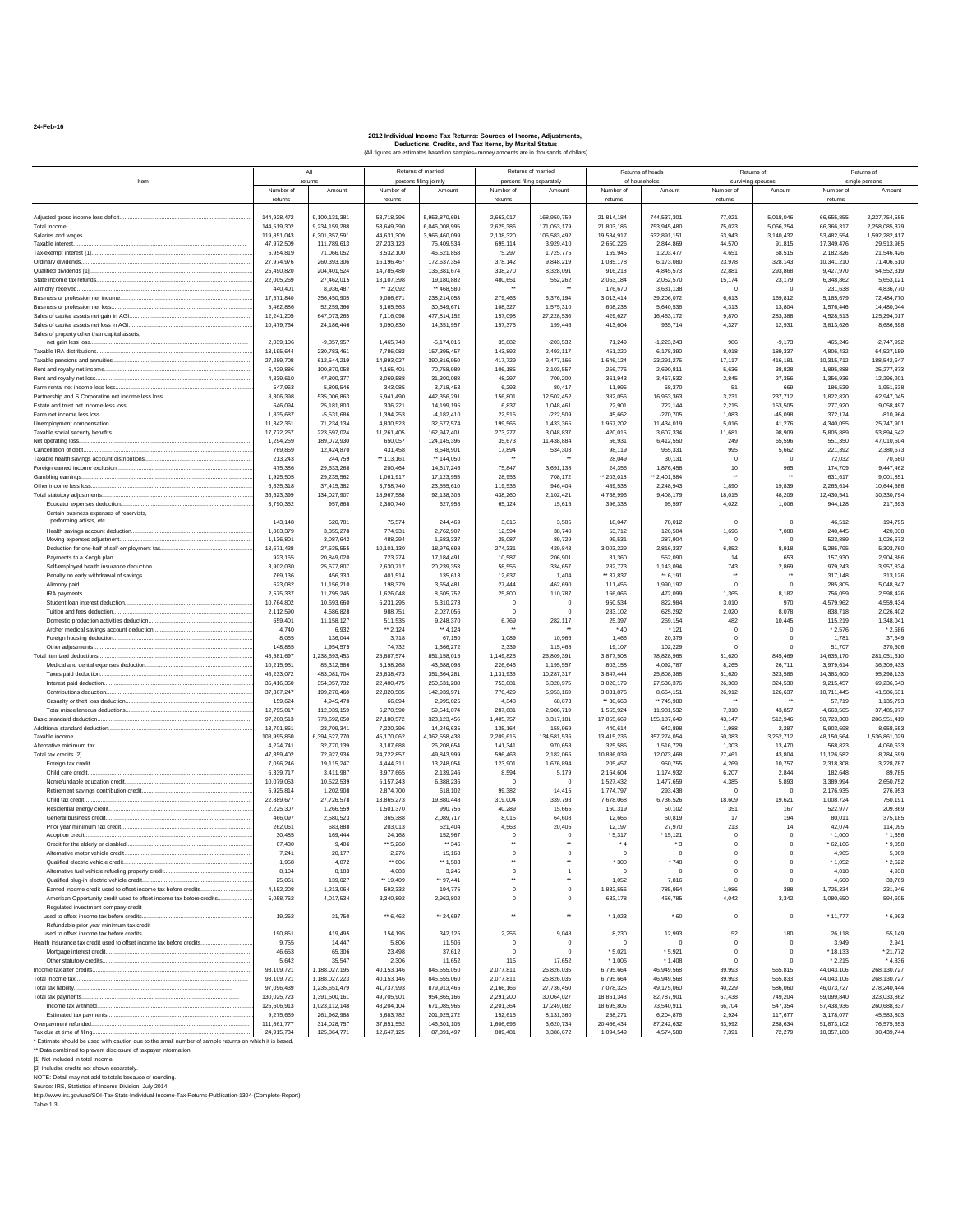**24-Feb-16**

|                                                                                                                                                                                                                                                                                                                                                                                 |                           | All                            |                           | Returns of married               |                                | Returns of married                  |                         | Returns of heads         |                             | Returns of                  |                          | Returns of                 |
|---------------------------------------------------------------------------------------------------------------------------------------------------------------------------------------------------------------------------------------------------------------------------------------------------------------------------------------------------------------------------------|---------------------------|--------------------------------|---------------------------|----------------------------------|--------------------------------|-------------------------------------|-------------------------|--------------------------|-----------------------------|-----------------------------|--------------------------|----------------------------|
| Item                                                                                                                                                                                                                                                                                                                                                                            | Number of                 | eturn:<br>Amount               | Number of                 | persons filing jointly<br>Amount | Number of                      | persons filing separately<br>Amount | Number of               | of households<br>Amount  | Number of                   | surviving spouses<br>Amount | Number of                | single persons<br>Amount   |
|                                                                                                                                                                                                                                                                                                                                                                                 | returns                   |                                | returns                   |                                  | returns                        |                                     | returns                 |                          | returns                     |                             | returns                  |                            |
| Adjusted gross income less deficit                                                                                                                                                                                                                                                                                                                                              | 144.928.472               | 9.100.131.381                  | 53.718.396                | 5.953.870.691                    | 2.663.017                      | 168.950.759                         | 21.814.184              | 744.537.301              | 77.021                      | 5.018.046                   | 66,655,855               | 2.227.754.585              |
| Total income                                                                                                                                                                                                                                                                                                                                                                    | 144.519.302               | 9.234.159.288                  | 53,649,390                | 6.046.008.995                    | 2.625.386                      | 171.053.179                         | 21.803.186              | 753.945.480              | 75.023                      | 5.066.254                   | 66.366.317               | 2.258.085.379              |
| Salaries and wages                                                                                                                                                                                                                                                                                                                                                              | 119,851,043               | 6,301,357,591                  | 44,631,309                | 3,966,460,099                    | 2,138,320                      | 106,583,492                         | 19,534,917              | 632,891,151              | 63,943                      | 3,140,432                   | 53,482,554               | 1,592,282,417              |
| Toyohlo interest<br>Tax-exempt interest [1]                                                                                                                                                                                                                                                                                                                                     | 47,972,509<br>5,954,819   | 111,789,613<br>71.066.052      | 27, 233, 123<br>3.532.100 | 75.409.534<br>46.521.858         | 695.114<br>75,297              | 3.929.410<br>1,725,775              | 2,650,226<br>159.945    | 2.844.869<br>1,203,477   | 44,570<br>4.651             | 91,815<br>68,515            | 17.349.476<br>2,182,826  | 29,513,985<br>21.546.426   |
| Ordinary dividends.                                                                                                                                                                                                                                                                                                                                                             | 27.974.976                | 260.393.306                    | 16, 196, 467              | 172.637.354                      | 378.142                        | 9.848.219                           | 1.035.178               | 6.173.080                | 23,978                      | 328.143                     | 10.341.210               | 71.406.510                 |
| Qualified dividends [1]                                                                                                                                                                                                                                                                                                                                                         | 25,490,820                | 204, 401, 524                  | 14,785,480                | 136,381,674                      | 338.270                        | 8,328,091                           | 916,218                 | 4,845,573                | 22,881                      | 293.868                     | 9,427,970                | 54.552.319                 |
|                                                                                                                                                                                                                                                                                                                                                                                 | 22.005.269                | 27,462.015                     | 13,107,398                | 19,180,882                       | 480,651                        | 552,262                             | 2.053.184               | 2.052.570                | 15,174                      | 23,179                      | 6,348,862                | 5.653.121                  |
| Alimony received.<br>Business or profession net income                                                                                                                                                                                                                                                                                                                          | 440,401<br>17,571,840     | 8,936,487<br>356,450,905       | ** 32,092<br>9,086,671    | ** 468,580<br>238,214,058        | 279,463                        | 6.376.194                           | 176,670<br>3,013,414    | 3,631,138<br>39,206,072  | 6,613                       | $\bf{0}$<br>169,812         | 231,638<br>5,185,679     | 4,836,770<br>72,484,770    |
| Business or profession net loss.                                                                                                                                                                                                                                                                                                                                                | 5.462.886                 | 52.259.366                     | 3.165.563                 | 30.549.671                       | 108,327                        | 1.575.310                           | 608.238                 | 5,640,536                | 4.313                       | 13,804                      | 1,576,446                | 14,480,044                 |
| Sales of capital assets net gain in AGI                                                                                                                                                                                                                                                                                                                                         | 12.241.205                | 647 073 265                    | 7.116.098                 | 477.814.152                      | 157,098                        | 27.228.536                          | 429.627                 | 16.453.172               | 9.870                       | 283.388                     | 4.528.513                | 125.294.017                |
| Sales of capital assets net loss in AGL<br>Sales of property other than capital assets,                                                                                                                                                                                                                                                                                         | 10.479.764                | 24.186.446                     | 6.090.830                 | 14,351.957                       | 157,375                        | 199,446                             | 413.604                 | 935.714                  | 4.327                       | 12.931                      | 3.813.626                | 8,686,398                  |
| net gain less loss.                                                                                                                                                                                                                                                                                                                                                             | 2,039,106                 | $-9,357,957$                   | 1,465,743                 | $-5,174,016$                     | 35,882                         | $-203,532$                          | 71,249                  | $-1,223,243$             | 986                         | $-9,173$                    | 465,246                  | $-2,747,992$               |
| Taxable IRA distributions                                                                                                                                                                                                                                                                                                                                                       | 13,195,644                | 230,783,461                    | 7,786,082                 | 157,395,457                      | 143,892                        | 2,493,117                           | 451,220                 | 6,178,390                | 8,018                       | 189,337                     | 4,806,432                | 64,527,159                 |
| Taxable pensions and annuities                                                                                                                                                                                                                                                                                                                                                  | 27,289,708                | 612.544.219                    | 14,893,027                | 390,816,950                      | 417.729                        | 9.477.166                           | 1,646,124               | 23,291,276               | 17.117                      | 416,181                     | 10,315,712               | 188,542,647                |
| Rent and royalty net income<br>Rent and rovalty net loss.                                                                                                                                                                                                                                                                                                                       | 6.429.886<br>4,839,610    | 100.870.058<br>47,800,377      | 4.165.401<br>3.069.588    | 70,758,989<br>31,300,088         | 106.185<br>48.297              | 2.103.557<br>709.200                | 256,776<br>361.943      | 2.690.811<br>3.467.532   | 5.636<br>2.845              | 38,828<br>27,356            | 1.895.888<br>1.356.936   | 25,277,873<br>12.296.201   |
| Farm rental net income less loss                                                                                                                                                                                                                                                                                                                                                | 547,963                   | 5,809,546                      | 343,085                   | 3,718,453                        | 6,293                          | 80,417                              | 11,995                  | 58,370                   | 51                          | 669                         | 186,539                  | 1,951,638                  |
| Partnership and S Corporation net income less loss                                                                                                                                                                                                                                                                                                                              | 8,306,398                 | 535,006,863                    | 5,941,490                 | 442,356,291                      | 156,801                        | 12,502,452                          | 382,056                 | 16,963,363               | 3,231                       | 237,712                     | 1,822,820                | 62,947,045                 |
| Estate and trust net income less loss<br>Farm net income less loss.                                                                                                                                                                                                                                                                                                             | 646,094                   | 25, 181, 803                   | 336,221                   | 14,199,195                       | 6,837                          | 1,048,461                           | 22,901                  | 722,144                  | 2,215                       | 153,505                     | 277,920                  | 9,058,497                  |
|                                                                                                                                                                                                                                                                                                                                                                                 | 1,835,687<br>11.342.361   | $-5,531,686$<br>71.234.134     | 1,394,253<br>4.830.523    | $-4, 182, 410$<br>32.577.574     | 22,515<br>199,565              | $-222,509$<br>1.433.365             | 45.662<br>1.967.202     | $-270,705$<br>11.434.019 | 1,083<br>5.016              | $-45,098$<br>41.276         | 372,174<br>4.340.055     | $-810,964$<br>25.747.901   |
| Taxable social security benefits                                                                                                                                                                                                                                                                                                                                                | 17.772.267                | 223.597.024                    | 11.261.405                | 162.947.401                      | 273.277                        | 3.048.837                           | 420.015                 | 3.607.334                | 11,681                      | 98,909                      | 5,805,889                | 53.894.542                 |
| Net operating loss.                                                                                                                                                                                                                                                                                                                                                             | 1,294,259                 | 189,072,930                    | 650,057                   | 124.145.396                      | 35,673                         | 11,438,884                          | 56,931                  | 6,412,550                | 249                         | 65,596                      | 551,350                  | 47,010,504                 |
| Cancellation of debt.<br>Taxable health savings account distributions                                                                                                                                                                                                                                                                                                           | 769.859<br>213,243        | 12.424.870<br>244,759          | 431,458<br>** 113,161     | 8,548,901<br>** 144,050          | 17,894<br>$\ddot{\phantom{1}}$ | 534,303                             | 98.119<br>28,049        | 955.331<br>30,131        | 995<br>$\circ$              | 5,662<br>$\mathbf 0$        | 221.392<br>72,032        | 2,380,673<br>70,580        |
| Foreign earned income exclusion                                                                                                                                                                                                                                                                                                                                                 | 475,386                   | 29,633,268                     | 200,464                   | 14,617,246                       | 75.847                         | 3.691.138                           | 24.356                  | 1,876,458                | 10                          | 965                         | 174,709                  | 9,447,462                  |
| Gambling earnings                                                                                                                                                                                                                                                                                                                                                               | 1.925.505                 | 29.235.562                     | 1,061,917                 | 17.123.955                       | 28,953                         | 708.172                             | ** 203,018              | ** 2.401.584             |                             |                             | 631.617                  | 9.001.851                  |
| Other income less loss.                                                                                                                                                                                                                                                                                                                                                         | 6,635,318                 | 37.415.382                     | 3,758,740                 | 23,555,610                       | 119,535<br>438.260             | 946,404                             | 489.538                 | 2.248.943                | 1,890<br>18.015             | 19,839<br>48.209            | 2.265.614                | 10.644.586                 |
| Total statutory adjustments.<br>Educator expenses deduction                                                                                                                                                                                                                                                                                                                     | 36,623,399<br>3,790,352   | 134,027,907<br>957,868         | 18,967,588<br>2,380,740   | 92,138,305<br>627,958            | 65,124                         | 2,102,421<br>15,615                 | 4,768,996<br>396,338    | 9,408,179<br>95,597      | 4,022                       | 1,006                       | 12,430,541<br>944,128    | 30,330,794<br>217,693      |
| Certain business expenses of reservists,                                                                                                                                                                                                                                                                                                                                        |                           |                                |                           |                                  |                                |                                     |                         |                          |                             |                             |                          |                            |
| performing artists, etc                                                                                                                                                                                                                                                                                                                                                         | 143.148                   | 520.781                        | 75.574                    | 244.469                          | 3.015                          | 3.505                               | 18,047                  | 78,012                   | $\Omega$                    | $\mathbf 0$                 | 46.512                   | 194.795                    |
| Health savings account deduction<br>Moving expenses adjustment                                                                                                                                                                                                                                                                                                                  | 1,083,379<br>1.136.801    | 3.355.278<br>3.087.642         | 774,931<br>488.294        | 2.762.907<br>1.683.337           | 12.594<br>25.087               | 38,740<br>89.729                    | 53,712<br>99.531        | 126,504<br>287.904       | 1,696                       | 7,088<br>$^{\circ}$         | 240,445<br>523,889       | 420,038<br>1.026.672       |
| Deduction for one-half of self-employment tax                                                                                                                                                                                                                                                                                                                                   | 18.671.438                | 27.535.555                     | 10.101.130                | 18.976.698                       | 274.331                        | 429.843                             | 3.003.329               | 2.816.337                | 6.852                       | 8.918                       | 5.285.795                | 5,303,760                  |
| Payments to a Keogh plan                                                                                                                                                                                                                                                                                                                                                        | 923.165                   | 20,849.020                     | 723.274                   | 17,184,491                       | 10.587                         | 206.901                             | 31,360                  | 552,090                  | 14                          | 653                         | 157,930                  | 2.904.886                  |
| Self-employed health insurance deduction                                                                                                                                                                                                                                                                                                                                        | 3,902,030                 | 25,677,807                     | 2,630,717                 | 20,239,353                       | 58,555                         | 334,657                             | 232,773                 | 1,143,094                | 743<br>$\ddot{\phantom{0}}$ | 2,869<br>$\bullet$          | 979,243                  | 3,957,834                  |
| Penalty on early withdrawal of savings<br>Alimony paid.                                                                                                                                                                                                                                                                                                                         | 769,136<br>623.082        | 456,333<br>11,156,210          | 401,514<br>198,379        | 135,613<br>3.654.481             | 12,637<br>27.444               | 1,404<br>462.690                    | ** 37.837<br>111.455    | ** 6,191<br>1,990,192    | $\Omega$                    | $\Omega$                    | 317,148<br>285,805       | 313,126<br>5.048.847       |
| IRA payments.                                                                                                                                                                                                                                                                                                                                                                   | 2.575.337                 | 11.795.245                     | 1.626.048                 | 8.605.752                        | 25,800                         | 110,787                             | 166,066                 | 472.099                  | 1.365                       | 8.182                       | 756,059                  | 2.598.426                  |
| Student loan interest deduction                                                                                                                                                                                                                                                                                                                                                 | 10.764.802                | 10.693.660                     | 5.231.295                 | 5.310.273                        | $^{\circ}$                     | $^{\circ}$                          | 950.534                 | 822.984                  | 3.010                       | 970                         | 4.579.962                | 4.559.434                  |
| Tuition and fees deduction.<br>Domestic production activities deduction                                                                                                                                                                                                                                                                                                         | 2,112,590<br>659,401      | 4.686.828<br>11, 158, 127      | 988,751<br>511,535        | 2,027,056<br>9,248,370           | $\circ$<br>6,769               | $^{\circ}$<br>282,117               | 283.102<br>25,397       | 625.292<br>269,154       | 2,020<br>482                | 8.078<br>10,445             | 838,718<br>115,219       | 2,026,402<br>1,348,041     |
| Archer medical savings account deduction                                                                                                                                                                                                                                                                                                                                        | 4,740                     | 6,932                          | "2,124                    | ** 4,124                         | $\ddot{\phantom{a}}$           |                                     | $*40$                   | * 121                    | $^{\circ}$                  | $\bf{0}$                    | $*2,576$                 | $*2,686$                   |
| Foreign housing deduction                                                                                                                                                                                                                                                                                                                                                       | 8.055                     | 136,044                        | 3,718                     | 67,150                           | 1.089                          | 10,966                              | 1,466                   | 20,379                   | $^{\circ}$                  | $^{\circ}$                  | 1,781                    | 37,549                     |
| Other adiustments.                                                                                                                                                                                                                                                                                                                                                              | 148,885                   | 1.954.575                      | 74,732                    | 1.366.272                        | 3.339                          | 115,468                             | 19.107                  | 102.229                  | $\Omega$                    | $\mathbf{0}$                | 51,707                   | 370,606                    |
| Total itemized deductions.<br>Medical and dental expenses deduction                                                                                                                                                                                                                                                                                                             | 45,581,697<br>10,215,951  | 1.238.693.453<br>85,312,586    | 25.887.574<br>5,198,268   | 851.158.015<br>43,688,098        | 1.149.825<br>226,646           | 26.809.391<br>1,195,557             | 3.877.508<br>803,158    | 78,828,968<br>4,092,787  | 31.620<br>8.265             | 845.469<br>26,711           | 14,635.170<br>3,979,614  | 281.051.610<br>36,309,433  |
| Taxes paid deduction.                                                                                                                                                                                                                                                                                                                                                           | 45.233.072                | 483.081.704                    | 25.838.473                | 351.364.281                      | 1,131,935                      | 10.287.317                          | 3.847.444               | 25,808,388               | 31.620                      | 323,586                     | 14.383.600               | 95.298.133                 |
| Interest paid deduction.                                                                                                                                                                                                                                                                                                                                                        | 35,416,360                | 354,057,732                    | 22,400,475                | 250,631,208                      | 753,881                        | 6,328,975                           | 3,020,179               | 27,536,376               | 26,368                      | 324,530                     | 9,215,457                | 69,236,643                 |
| Contributions deduction                                                                                                                                                                                                                                                                                                                                                         | 37, 367, 247              | 199,270,460                    | 22,820,585                | 142,939,971                      | 776,429                        | 5,953,169                           | 3,031,876<br>** 30.663  | 8,664,151<br>** 745.980  | 26,912                      | 126,637                     | 10,711,445               | 41,586,531                 |
| Casualty or theft loss deduction                                                                                                                                                                                                                                                                                                                                                | 159,624<br>12,795.017     | 4.945.470<br>112.039.159       | 66.894<br>6,270,590       | 2.995.025<br>59.541.074          | 4,348<br>287.681               | 68,673<br>2.986.719                 | 1.565.924               | 11.981.532               | 7,318                       | 43,857                      | 57,719<br>4.663.505      | 1,135,793<br>37.485.977    |
| Basic standard deduction.                                                                                                                                                                                                                                                                                                                                                       | 97,208,513                | 773.692.650                    | 27,180,572                | 323,123,456                      | 1.405.757                      | 8,317,181                           | 17,855,669              | 155, 187, 649            | 43.147                      | 512,946                     | 50,723,368               | 286,551,419                |
|                                                                                                                                                                                                                                                                                                                                                                                 | 13,701,861                | 23,709,341                     | 7,220,396                 | 14.246.635                       | 135,164                        | 158,969                             | 440,614                 | 642,898                  | 1,988                       | 2,287                       | 5,903,698                | 8,658,553                  |
| Taxable income.<br>Alternative minimum tax                                                                                                                                                                                                                                                                                                                                      | 108,995,860<br>4,224,741  | 6,394,527,770<br>32,770,139    | 45,170,062<br>3,187,688   | ,362,558,438<br>26,208,654       | 2,209,615<br>141,341           | 134,581,536<br>970,653              | 13,415,236<br>325.585   | 357,274,054<br>1,516,729 | 50,383<br>1,303             | 3,252,712<br>13,470         | 48,150,564<br>568,823    | 1,536,861,029<br>4,060,633 |
| Total tax credits [2].                                                                                                                                                                                                                                                                                                                                                          | 47,359,402                | 72,927,936                     | 24,722,857                | 49.843.999                       | 596.463                        | 2.182.066                           | 10,886,039              | 12,073,468               | 27.461                      | 43.804                      | 11,126,582               | 8,784,599                  |
| Foreign tax credit                                                                                                                                                                                                                                                                                                                                                              | 7.096.246                 | 19.115.247                     | 4.444.311                 | 13.248.054                       | 123.901                        | 1.676.894                           | 205.457                 | 950,755                  | 4.269                       | 10.757                      | 2.318.308                | 3.228.787                  |
| Child care credit.<br>Nonrefundable education credit                                                                                                                                                                                                                                                                                                                            | 6,339,717                 | 3.411.987<br>10.522.539        | 3.977.665                 | 2.139.246<br>6,388,236           | 8.594<br>$\overline{0}$        | 5,179                               | 2.164.604               | 1.174.932                | 6.207                       | 2.844                       | 182,648<br>3,389,994     | 89,785                     |
| Retirement savings contribution credit                                                                                                                                                                                                                                                                                                                                          | 10,079,053<br>6,925,814   | 1,202,908                      | 5, 157, 243<br>2,874,700  | 618,102                          | 99,382                         | 14,415                              | 1,527,432<br>1,774,797  | 1,477,659<br>293,438     | 4,385<br>$\circ$            | 5,893<br>$\bf{0}$           | 2,176,935                | 2,650,752<br>276,953       |
| Child tax credit                                                                                                                                                                                                                                                                                                                                                                | 22,889,677                | 27,726,578                     | 13,865,273                | 19,880,448                       | 319,004                        | 339,793                             | 7,678,068               | 6,736,526                | 18,609                      | 19,621                      | 1,008,724                | 750,191                    |
| Residential energy credit.                                                                                                                                                                                                                                                                                                                                                      | 2.225.307                 | 1,266,559                      | 1,501,370                 | 990,756                          | 40,289                         | 15,665                              | 160,319                 | 50,102                   | 351                         | 167                         | 522.977                  | 209,869                    |
| General business credit.<br>Prior vear minimum tax credit                                                                                                                                                                                                                                                                                                                       | 466.097<br>262.061        | 2.580.523<br>683,888           | 365,388<br>203.013        | 2.089.717<br>521.404             | 8.015<br>4.563                 | 64,608<br>20,405                    | 12.666<br>12.197        | 50.819<br>27,970         | 17<br>213                   | 194<br>14                   | 80.011<br>42.074         | 375.185<br>114.095         |
| Adoption credit.                                                                                                                                                                                                                                                                                                                                                                | 30,485                    | 169,444                        | 24.168                    | 152,967                          | $\circ$                        | $^{\circ}$                          | $*5,317$                | * 15,121                 | $^{\circ}$                  | $\mathbf{0}$                | $*1.000$                 | $*1.356$                   |
| Credit for the elderly or disabled.                                                                                                                                                                                                                                                                                                                                             | 67,430                    | 9,406                          | ** 5,260                  | ** 346                           | $\bullet\star$                 | $\bullet\star$                      | * 4                     | *3                       | $^{\circ}$                  | $\mathbf 0$                 | $*62,166$                | $*9,058$                   |
| Alternative motor vehicle credit<br>Qualified electric vehicle credit.                                                                                                                                                                                                                                                                                                          | 7,241                     | 20,177                         | 2,276<br>** 606           | 15,168<br>** 1.503               | 0<br>                          |                                     | $\bf{0}$                | $\pmb{0}$                |                             | $\bf{0}$                    | 4,965                    | 5,009                      |
| Alternative fuel vehicle refueling property credit                                                                                                                                                                                                                                                                                                                              | 1.958<br>8.104            | 4.872<br>8.183                 | 4.083                     | 3.245                            | 3                              | $\overline{1}$                      | $*300$<br>$^{\circ}$    | * 748<br>$^{\circ}$      | $\mathbf{0}$<br>$^{\circ}$  | $^{\circ}$<br>$\circ$       | * 1.052<br>4.018         | $*2.622$<br>4.938          |
| Qualified plug-in electric vehicle credit                                                                                                                                                                                                                                                                                                                                       | 25.061                    | 139.027                        | ** 19.409                 | ** 97.441                        | $\star\star$                   | $\ddot{\phantom{a}}$                | 1.052                   | 7.816                    | $^{\circ}$                  | $\mathbf{0}$                | 4.600                    | 33.769                     |
| Earned income credit used to offset income tax before credits                                                                                                                                                                                                                                                                                                                   | 4,152,208                 | 1,213,064                      | 592,332                   | 194,775                          | $\mathbf{0}$                   | $\circ$                             | 1,832,556               | 785.954                  | 1.986                       | 388                         | 1,725,334                | 231,946                    |
| American Opportunity credit used to offset income tax before credits<br>Regulated investment company credit                                                                                                                                                                                                                                                                     | 5,058,762                 | 4,017,534                      | 3,340,892                 | 2,962,802                        | $\circ$                        | $\mathbf 0$                         | 633,178                 | 456,785                  | 4.042                       | 3,342                       | 1,080,650                | 594,605                    |
| used to offset income tax before credits                                                                                                                                                                                                                                                                                                                                        | 19,262                    | 31,750                         | $-6.462$                  | ** 24.697                        | $\ddot{\phantom{a}}$           |                                     | $*1.023$                | .60                      | $\mathbf{0}$                | $\bf{0}$                    | * 11,777                 | $*6,993$                   |
| Refundable prior year minimum tax credit                                                                                                                                                                                                                                                                                                                                        |                           |                                |                           |                                  |                                |                                     |                         |                          |                             |                             |                          |                            |
| used to offset income tax before credits                                                                                                                                                                                                                                                                                                                                        | 190.851                   | 419.495                        | 154.195                   | 342.125                          | 2.256<br>$^{\circ}$            | 9.048                               | 8.230                   | 12.993<br>$\overline{0}$ | 52                          | 180<br>$^{\circ}$           | 26.118                   | 55.149                     |
| Health insurance tax credit used to offset income tax before credits<br>Mortgage interest credit                                                                                                                                                                                                                                                                                | 9,755<br>46.653           | 14,447<br>65,306               | 5,806<br>23,498           | 11,506<br>37,612                 | $\circ$                        | 0                                   | $^{\circ}$<br>$*5.021$  | $*5.921$                 | $^{\circ}$<br>$^{\circ}$    | $\circ$                     | 3,949<br>* 18.133        | 2,941<br>$*21.772$         |
|                                                                                                                                                                                                                                                                                                                                                                                 | 5,642                     | 35,547                         | 2,306                     | 11,652                           | 115                            | 17,652                              | $*1,006$                | * 1,408                  |                             | $\bf{0}$                    | $*2,215$                 | $*4,836$                   |
|                                                                                                                                                                                                                                                                                                                                                                                 | 93,109,721                | 1.188.027.195                  | 40, 153, 146              | 845,555,050                      | 2,077,811                      | 26,826,035                          | 6,795,664               | 46,949,568               | 39,993                      | 565,815                     | 44,043,106               | 268, 130, 727              |
| Total income tax                                                                                                                                                                                                                                                                                                                                                                | 93,109,721<br>97.096.439  | 1,188,027,223<br>1.235.651.479 | 40.153.146<br>41,737,993  | 845,555,060<br>879.913.466       | 2,077,811<br>2.166.166         | 26.826.035<br>27.736.450            | 6,795,664<br>7.078.325  | 46.949.568<br>49.175.060 | 39.993<br>40.229            | 565.833<br>586,060          | 44,043,106<br>46.073.727 | 268.130.727<br>278.240.444 |
| Total tax payments                                                                                                                                                                                                                                                                                                                                                              | 130.025.723               | 1.391.500.161                  | 49.705.901                | 954.865.166                      | 2.291.200                      | 30.064.027                          | 18.861.343              | 82,787.901               | 67.438                      | 749.204                     | 59.099.840               | 323.033.862                |
|                                                                                                                                                                                                                                                                                                                                                                                 | 126,606,913               | 1,023,112,148                  | 48,204,104                | 671,085,965                      | 2,201,364                      | 17,249,082                          | 18,695,805              | 73,540,911               | 66.704                      | 547,354                     | 57,438,936               | 260,688,837                |
| Estimated tax payments                                                                                                                                                                                                                                                                                                                                                          | 9,275,669                 | 261,962,988                    | 5,683,782                 | 201,925,272                      | 152,615                        | 8,131,360                           | 258,271                 | 6,204,876                | 2,924                       | 117,677                     | 3,178,077                | 45,583,803                 |
| Overpayment refunded.<br>Tax due at time of filing                                                                                                                                                                                                                                                                                                                              | 111,861,777<br>24.915.734 | 314,028,757<br>125,864.771     | 37,851,552<br>12.647.125  | 146,301,105<br>87 391 497        | 1,606,696<br>809 481           | 3,620,734<br>3.386.672              | 20,466,434<br>1 094 549 | 87,242,632<br>4.574.580  | 63,992<br>7.391             | 288,634<br>72.279           | 51,873,102<br>10,357.188 | 76,575,653<br>30.439.744   |
| Estimate should be used with caution due to the small number of sample returns on which it is based.                                                                                                                                                                                                                                                                            |                           |                                |                           |                                  |                                |                                     |                         |                          |                             |                             |                          |                            |
| ** Data combined to prevent disclosure of taxpayer information.<br>[1] Not included in total income.<br>[2] Includes credits not shown separately.<br>NOTE: Detail may not add to totals because of rounding.<br>Source: IRS, Statistics of Income Division, July 2014<br>http://www.irs.gov/uac/SOI-Tax-Stats-Individual-Income-Tax-Returns-Publication-1304-(Complete-Report) |                           |                                |                           |                                  |                                |                                     |                         |                          |                             |                             |                          |                            |
| Table 1.3                                                                                                                                                                                                                                                                                                                                                                       |                           |                                |                           |                                  |                                |                                     |                         |                          |                             |                             |                          |                            |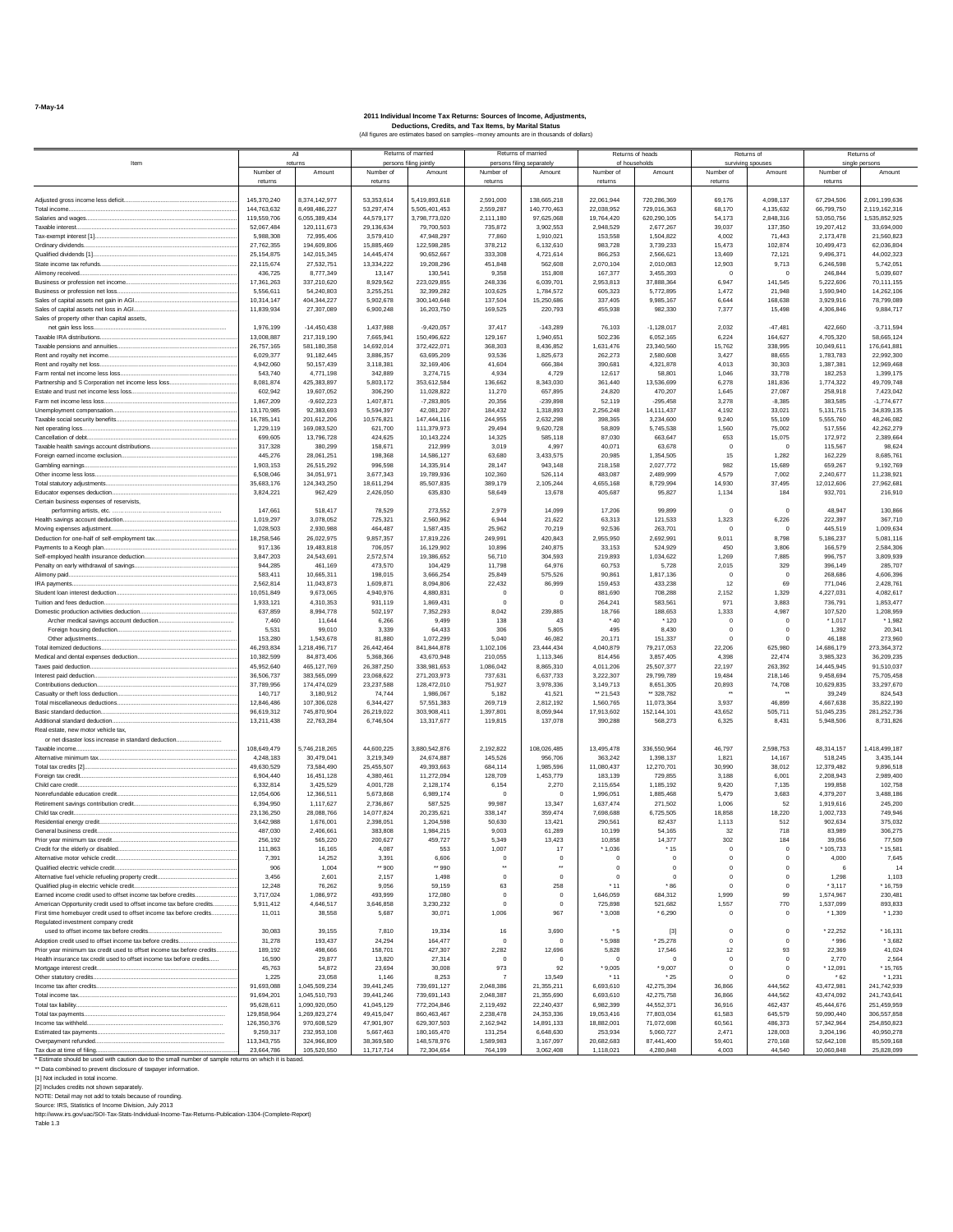|                                                                                                                                                                         |                          | All                            |                          | Returns of married         |                        | Returns of married                     |                        | Returns of heads         |                        | Returns of              |                          | Returns of                 |
|-------------------------------------------------------------------------------------------------------------------------------------------------------------------------|--------------------------|--------------------------------|--------------------------|----------------------------|------------------------|----------------------------------------|------------------------|--------------------------|------------------------|-------------------------|--------------------------|----------------------------|
| Item                                                                                                                                                                    |                          | returns                        |                          | persons filing jointly     |                        | persons filing separately              |                        | of households            |                        | surviving spouses       |                          | single persons             |
|                                                                                                                                                                         | Number of                | Amount                         | Number of                | Amount                     | Number of              | Amount                                 | Number of              | Amount                   | Number of              | Amount                  | Number of                | Amount                     |
|                                                                                                                                                                         | returns                  |                                | returns                  |                            | returns                |                                        | returns                |                          | returns                |                         | returns                  |                            |
| Adjusted gross income less deficit                                                                                                                                      | 145.370.240              | 3.374.142.977                  | 53,353,614               | 5,419,893,618              | 2.591.000              | 138.665.218                            | 22.061.944             | 720 286 369              | 69,176                 | 4.098.137               | 67.294.506               | 2.091.199.636              |
| Total income                                                                                                                                                            | 144.763.632              | 3.498.486.227                  | 53.297.474               | 5,505,401,453              | 2.559.287              | 140.770.463                            | 22.038.952             | 729,016,363              | 68,170                 | 4.135.632               | 66,799,750               | 2.119.162.316              |
| Salaries and wages                                                                                                                                                      | 119,559,706              | 6.055.389.434                  | 44,579,177               | 3,798,773,020              | 2,111,180              | 97.625.068                             | 19,764,420             | 620.290.105              | 54.173                 | 2.848.316               | 53,050,756               | 1,535,852,925              |
| Taxable interest.                                                                                                                                                       | 52.067.484               | 120.111.673                    | 29.136.634               | 79.700.503                 | 735.872                | 3.902.553                              | 2.948.529              | 2.677.267                | 39.037                 | 137,350                 | 19.207.412               | 33,694,000                 |
| Ordinary dividends.                                                                                                                                                     | 5.988.308<br>27.762.355  | 72.995.406<br>194.609.806      | 3.579.410<br>15,885,469  | 47.948.297<br>122.598.285  | 77,860<br>378,212      | 1.910.021<br>6.132.610                 | 153,558<br>983.728     | 1.504.822<br>3.739.233   | 4.002<br>15.473        | 71.443<br>102.874       | 2.173.478<br>10.499.473  | 21,560,823<br>62.036.804   |
| Qualified dividends [1]<br>                                                                                                                                             | 25.154.875               | 142.015.345                    | 14,445,474               | 90.652.667                 | 333,308                | 4.721.614                              | 866,253                | 2.566.621                | 13.469                 | 72.121                  | 9.496.371                | 44.002.323                 |
| State income tax refunds                                                                                                                                                | 22,115,674               | 27,532,751                     | 13.334.222               | 19,208,296                 | 451,848                | 562,608                                | 2,070,104              | 2,010,083                | 12,903                 | 9,713                   | 6,246,598                | 5,742,051                  |
| Alimony received                                                                                                                                                        | 436,725                  | 8,777,349                      | 13,147                   | 130,541                    | 9.358                  | 151,808                                | 167,377                | 3.455.393                | $\mathbf 0$            | $\circ$                 | 246,844                  | 5.039.607                  |
| Business or profession net income                                                                                                                                       | 17,361,263               | 337,210,620                    | 8.929.562                | 223,029,855                | 248,336                | 6.039.701                              | 2,953,813              | 37,888,364               | 6,947                  | 141.545                 | 5.222.606                | 70,111,155                 |
| Business or profession net loss                                                                                                                                         | 5,556,611                | 54,240,803                     | 3,255,251                | 32,399,282                 | 103,625                | 1,784,572                              | 605,323                | 5,772,895                | 1,472                  | 21,948                  | 1,590,940                | 14,262,106                 |
| Sales of capital assets net gain in AGI.                                                                                                                                | 10,314,147               | 404,344,227                    | 5,902,678                | 300,140,648                | 137,504                | 15,250,686                             | 337,405                | 9,985,167                | 6,644                  | 168,638                 | 3,929,916                | 78,799,089                 |
| Sales of capital assets net loss in AGI.<br>Sales of property other than capital assets,                                                                                | 11,839,934               | 27,307,089                     | 6,900,248                | 16,203,750                 | 169,525                | 220,793                                | 455,938                | 982,330                  | 7,377                  | 15,498                  | 4,306,846                | 9,884,717                  |
| net gain less loss.                                                                                                                                                     | 1,976,199                | $-14.450.438$                  | 1.437.988                | $-9,420,057$               | 37,417                 | $-143.289$                             | 76,103                 | $-1.128.017$             | 2,032                  | $-47.481$               | 422,660                  | $-3.711.594$               |
| Taxable IRA distributions.                                                                                                                                              | 13,008,887               | 217.319.190                    | 7.665.941                | 150,496,622                | 129.167                | 1.940.651                              | 502.236                | 6.052.165                | 6,224                  | 164,627                 | 4.705.320                | 58.665.124                 |
|                                                                                                                                                                         | 26,757.165               | 581.180.358                    | 14.692.014               | 372.422.071                | 368,303                | 8.436.852                              | 1.631.476              | 23.340.560               | 15.762                 | 338,995                 | 10,049,611               | 176.641.881                |
| Rent and royalty net income.                                                                                                                                            | 6.029.377                | 91.182.445                     | 3.886.357                | 63,695,209                 | 93.536                 | 1.825.673                              | 262.273                | 2.580.608                | 3.427                  | 88,655                  | 1.783.783                | 22.992.300                 |
| Rent and rovalty net loss                                                                                                                                               | 4.942.060                | 50,157,439                     | 3.118.381                | 32.169.406                 | 41.604                 | 666,384                                | 390.681                | 4.321.878                | 4.013                  | 30,303                  | 1,387,381                | 12.969.468                 |
| Farm rental net income less loss<br>Partnership and S Corporation net income less loss                                                                                  | 543,740<br>8,081,874     | 4,771,198<br>425,383,897       | 342,889<br>5,803,172     | 3,274,715<br>353,612,584   | 4,934<br>136,662       | 4,729<br>8,343,030                     | 12,617<br>361.440      | 58,801<br>13,536,699     | 1,046<br>6,278         | 33,778<br>181.836       | 182,253<br>1.774.322     | 1,399,175<br>49,709,748    |
| Estate and trust net income less loss                                                                                                                                   | 602,942                  | 19,607,052                     | 306,290                  | 11,028,822                 | 11,270                 | 657,895                                | 24,820                 | 470,207                  | 1,645                  | 27.087                  | 258.918                  | 7,423,042                  |
| Farm net income less loss.                                                                                                                                              | 1,867,209                | $-9,602,223$                   | 1,407,871                | $-7,283,805$               | 20,356                 | $-239,898$                             | 52,119                 | $-295,458$               | 3,278                  | $-8,385$                | 383,585                  | $-1,774,677$               |
| Unemployment compensation                                                                                                                                               | 13,170,985               | 92,383,693                     | 5,594,397                | 42,081,207                 | 184,432                | 1,318,893                              | 2,256,248              | 14, 111, 437             | 4,192                  | 33,021                  | 5,131,715                | 34,839,135                 |
| Taxable social security benefits                                                                                                                                        | 16,785,141               | 201,612,206                    | 10,576,821               | 147,444,116                | 244,955                | 2,632,298                              | 398,365                | 3,234,600                | 9,240                  | 55,109                  | 5,555,760                | 48,246,082                 |
| Net operating loss.                                                                                                                                                     | 1,229,119                | 169,083,520                    | 621,700                  | 111,379,973                | 29,494                 | 9,620,728                              | 58,809                 | 5,745,538                | 1,560                  | 75,002                  | 517,556                  | 42,262,279                 |
| Cancellation of debt.                                                                                                                                                   | 699,605                  | 13,796,728                     | 424,625                  | 10,143,224                 | 14,325                 | 585,118                                | 87,030                 | 663,647                  | 653                    | 15,075                  | 172,972                  | 2,389,664                  |
| Taxable health savings account distributions<br>Foreign earned income exclusion                                                                                         | 317,328<br>445.276       | 380.299<br>28.061.251          | 158,671<br>198,368       | 212,999<br>14.586.127      | 3.019<br>63,680        | 4.997<br>3.433.575                     | 40,071<br>20.985       | 63,678<br>1.354.505      | $\circ$<br>15          | $\Omega$<br>1.282       | 115,567<br>162.229       | 98,624<br>8.685.761        |
| Gambling earnings                                                                                                                                                       | 1.903.153                | 26.515.292                     | 996.598                  | 14.335.914                 | 28.147                 | 943.148                                | 218,158                | 2.027.772                | 982                    | 15,689                  | 659.267                  | 9.192.769                  |
| Other income less loss                                                                                                                                                  | 6,508,046                | 34.051.971                     | 3.677.343                | 19,789,936                 | 102.360                | 526.114                                | 483.087                | 2.489.999                | 4.579                  | 7.002                   | 2.240.677                | 11.238.921                 |
| Total statutory adjustments                                                                                                                                             | 35,683,176               | 124.343.250                    | 18.611.294               | 85,507,835                 | 389.179                | 2.105.244                              | 4.655.168              | 8.729.994                | 14.930                 | 37,495                  | 12.012.606               | 27.962.681                 |
| Educator expenses deduction                                                                                                                                             | 3,824,221                | 962,429                        | 2,426,050                | 635,830                    | 58,649                 | 13,678                                 | 405,687                | 95,827                   | 1,134                  | 184                     | 932,701                  | 216,910                    |
| Certain business expenses of reservists,                                                                                                                                |                          |                                |                          |                            |                        |                                        |                        |                          |                        |                         |                          |                            |
| Health savings account deduction                                                                                                                                        | 147.661<br>1,019,297     | 518,417<br>3,078,052           | 78,529<br>725,321        | 273.552<br>2,560,962       | 2.979<br>6,944         | 14.099<br>21,622                       | 17.206<br>63,313       | 99.899<br>121,533        | $\circ$<br>1,323       | $\overline{0}$<br>6,226 | 48.947<br>222,397        | 130,866<br>367,710         |
| Moving expenses adjustment                                                                                                                                              | 1,028,503                | 2,930,988                      | 464,487                  | 1,587,435                  | 25,962                 | 70,219                                 | 92,536                 | 263,701                  | $\bf{0}$               | $\overline{0}$          | 445,519                  | 1,009,634                  |
| Deduction for one-half of self-employment tax                                                                                                                           | 18,258,546               | 26,022,975                     | 9.857.357                | 17,819,226                 | 249,991                | 420,843                                | 2.955.950              | 2,692,991                | 9,011                  | 8,798                   | 5,186,237                | 5,081,116                  |
| Payments to a Keogh plan.                                                                                                                                               | 917,136                  | 19,483,818                     | 706,057                  | 16,129,902                 | 10.896                 | 240,875                                | 33,153                 | 524,929                  | 450                    | 3.806                   | 166,579                  | 2,584,306                  |
| Self-employed health insurance deduction                                                                                                                                | 3,847,203                | 24.543.691                     | 2.572.574                | 19,386,652                 | 56,710                 | 304.593                                | 219,893                | 1.034.622                | 1,269                  | 7,885                   | 996.757                  | 3,809,939                  |
| Penalty on early withdrawal of sayings                                                                                                                                  | 944.285                  | 461.169                        | 473,570                  | 104.429                    | 11.798                 | 64,976                                 | 60.753                 | 5,728                    | 2,015                  | 329                     | 396.149                  | 285,707                    |
| Alimony paid.                                                                                                                                                           | 583.411<br>2.562.814     | 10.665.311<br>11.043.873       | 198,015<br>1.609.871     | 3.666.254<br>8.094.806     | 25,849<br>22.432       | 575.526<br>86,999                      | 90.861<br>159.453      | 1.817.136<br>433.238     | $^{\circ}$<br>12       | $^{\circ}$<br>69        | 268,686<br>771.046       | 4.606.396<br>2.428.761     |
| IRA payments.                                                                                                                                                           | 10.051.849               | 9.673.065                      | 4.940.976                | 4.880.831                  | $^{\circ}$             | $\overline{0}$                         | 881.690                | 708.288                  | 2.152                  | 1.329                   | 4.227.031                | 4.082.617                  |
| Tuition and fees deduction.                                                                                                                                             | 1,933,121                | 4,310,353                      | 931,119                  | 1,869,431                  | $\overline{0}$         | $\circ$                                | 264.241                | 583.561                  | 971                    | 3,883                   | 736.791                  | 1,853,477                  |
| Domestic production activities deduction                                                                                                                                | 637,859                  | 8,994,778                      | 502.197                  | 7,352,293                  | 8,042                  | 239,885                                | 18,766                 | 188,653                  | 1,333                  | 4,987                   | 107,520                  | 1,208,959                  |
| Archer medical savings account deduction                                                                                                                                | 7,460                    | 11,644                         | 6.266                    | 9,499                      | 138                    | 43                                     | $*40$                  | $*120$                   | $\circ$                | $\circ$                 | $*1.017$                 | $*1,982$                   |
| Foreign housing deduction                                                                                                                                               | 5,531                    | 99,010                         | 3,339                    | 64,433                     | 306                    | 5,805                                  | 495                    | 8,430                    | $\bf{0}$               | $^{\circ}$              | 1,392                    | 20,341                     |
| Other adjustments.                                                                                                                                                      | 153,280                  | 1,543,678                      | 81,880                   | 1,072,299                  | 5,040                  | 46,082                                 | 20,171                 | 151,337                  | $\mathbf 0$            | $^{\circ}$              | 46,188                   | 273,960                    |
| Total itemized deductions                                                                                                                                               | 46,293,834               | 1,218,496,717                  | 26,442,464               | 841,844,878                | 1,102,106              | 23,444,434                             | 4,040,879              | 79,217,053               | 22,206                 | 625,980                 | 14,686,179               | 273,364,372                |
| Medical and dental expenses deduction<br>Taxes paid deduction                                                                                                           | 10,382,599<br>45,952,640 | 84,873,406<br>465, 127, 769    | 5.368.366<br>26,387,250  | 43,670,948<br>338,981,653  | 210,055<br>1,086,042   | 1,113,346<br>8,865,310                 | 814,456<br>4,011,206   | 3,857,405<br>25,507,377  | 4.398<br>22.197        | 22.474<br>263.392       | 3,985,323<br>14,445,945  | 36,209,235<br>91,510,037   |
| Interest paid deduction                                                                                                                                                 | 36,506,737               | 383,565,099                    | 23,068,622               | 271,203,973                | 737,631                | 6,637,733                              | 3.222.307              | 29,799,789               | 19,484                 | 218,146                 | 9,458,694                | 75,705,458                 |
| Contributions deduction                                                                                                                                                 | 37.789.956               | 174.474.029                    | 23.237.588               | 128.472.010                | 751.927                | 3.978.336                              | 3.149.713              | 8.651.305                | 20,893                 | 74,708                  | 10.629.835               | 33,297.670                 |
| Casualty or theft loss deduction                                                                                                                                        | 140,717                  | 3.180.912                      | 74.744                   | 1.986.067                  | 5.182                  | 41.521                                 | ** 21.543              | ** 328,782               |                        |                         | 39.249                   | 824.543                    |
| Total miscellaneous deductions                                                                                                                                          | 12.846.486               | 107.306.028                    | 6.344.427                | 57.551.383                 | 269,719                | 2.812.192                              | 1.560.765              | 11.073.364               | 3.937                  | 46,899                  | 4.667.638                | 35.822.190                 |
| Basic standard deduction.                                                                                                                                               | 96.619.312               | 745.870.904                    | 26,219,022               | 303,908.411                | 1,397,801              | 8.059.944                              | 17.913.602             | 152.144.101              | 43.652                 | 505.711                 | 51.045.235               | 281,252,736                |
| Additional standard deduction<br>Real estate, new motor vehicle tax.                                                                                                    | 13,211,438               | 22,763,284                     | 6,746,504                | 13,317,677                 | 119,815                | 137,078                                | 390.288                | 568,273                  | 6,325                  | 8,431                   | 5.948.506                | 8,731,826                  |
| or net disaster loss increase in standard deduction                                                                                                                     |                          |                                |                          |                            |                        |                                        |                        |                          |                        |                         |                          |                            |
| Taxable income                                                                                                                                                          | 108,649,479              | 5,746,218,265                  | 44,600,225               | 3,880,542,876              | 2,192,822              | 108,026,485                            | 13,495,478             | 336,550,964              | 46,797                 | 2,598,753               | 48,314,157               | 1,418,499,187              |
| Alternative minimum tax                                                                                                                                                 | 4,248,183                | 30,479,041                     | 3,219,349                | 24,674,887                 | 145,526                | 956,706                                | 363,242                | 1,398,137                | 1,821                  | 14,167                  | 518,245                  | 3,435,144                  |
| Total tax credits [2].                                                                                                                                                  | 49,630,529               | 73,584,490                     | 25,455,507               | 49,393,663                 | 684,114                | 1,985,596                              | 11,080,437             | 12,270,701               | 30,990                 | 38,012                  | 12,379,482               | 9,896,518                  |
| Foreign tax credit.                                                                                                                                                     | 6,904,440                | 16,451,128                     | 4.380.461                | 11,272,094                 | 128,709                | 1.453.779                              | 183.139                | 729,855                  | 3,188                  | 6.001                   | 2.208.943                | 2,989,400                  |
| Child care credit.                                                                                                                                                      | 6,332,814                | 3.425.529                      | 4,001,728                | 2,128,174                  | 6,154                  | 2,270                                  | 2,115,654              | 1,185,192                | 9,420                  | 7,135                   | 199.858                  | 102.758                    |
| Nonrefundable education credit.<br>Retirement savings contribution credit                                                                                               | 12.054.606<br>6.394.950  | 12,366.511<br>1.117.627        | 5,673,868<br>2.736.867   | 6,989,174<br>587.525       | $\Omega$<br>99.987     | $\Omega$<br>13,347                     | 1.996.051<br>1.637.474 | 1.885.468<br>271.502     | 5,479<br>1.006         | 3,683<br>52             | 4,379,207<br>1.919.616   | 3,488,186<br>245,200       |
| Child tax credit.                                                                                                                                                       | 23.136.250               | 28.088.766                     | 14.077.824               | 20.235.621                 | 338,147                | 359,474                                | 7.698.688              | 6.725.505                | 18,858                 | 18.220                  | 1,002,733                | 749,946                    |
| Residential energy credit                                                                                                                                               | 3.642.988                | 1.676.001                      | 2.398.051                | 1.204.598                  | 50.630                 | 13.421                                 | 290.561                | 82.437                   | 1.113                  | 512                     | 902.634                  | 375.032                    |
| General business credit.                                                                                                                                                | 487,030                  | 2,406,661                      | 383,808                  | 1,984,215                  | 9.003                  | 61,289                                 | 10.199                 | 54,165                   | 32                     | 718                     | 83,989                   | 306.275                    |
| Prior year minimum tax credit.                                                                                                                                          | 256.192                  | 565.220                        | 200.627                  | 459.727                    | 5.349                  | 13.423                                 | 10.858                 | 14,377                   | 302                    | 184                     | 39.056                   | 77,509                     |
| Credit for the elderly or disabled.                                                                                                                                     | 111,863                  | 16.165                         | 4.087                    | 553                        | 1,007                  | 17                                     | $*1,036$               | $*15$                    | $\circ$                | $\circ$                 | * 105.733                | * 15.581                   |
| Alternative motor vehicle credit.<br>Qualified electric vehicle credit.                                                                                                 | 7,391<br>906             | 14,252<br>1,004                | 3,391<br>** 900          | 6,606<br>** 990            | $\circ$<br>$\cdots$    | $\overline{0}$<br>$\ddot{\phantom{1}}$ | 0<br>$\mathbf 0$       | $\bf{0}$<br>$\bf{0}$     | $\mathbf 0$<br>$\bf 0$ | $\circ$<br>$^{\circ}$   | 4,000<br>6               | 7,645<br>14                |
| Alternative fuel vehicle refueling property credit                                                                                                                      | 3,456                    | 2,601                          | 2,157                    | 1,498                      | $^{\circ}$             | $\overline{0}$                         | $\mathbf 0$            | $\bf{0}$                 | $\mathbf 0$            | $^{\circ}$              | 1,298                    | 1,103                      |
| Qualified plug-in electric vehicle credit.                                                                                                                              | 12,248                   | 76,262                         | 9,056                    | 59,159                     | 63                     | 258                                    | * 11                   | * 86                     | $\mathbf 0$            | $\Omega$                | $*3,117$                 | * 16,759                   |
| Earned income credit used to offset income tax before credits                                                                                                           | 3,717,024                | 1,086,972                      | 493,999                  | 172,080                    | $\Omega$               | $\overline{0}$                         | 1,646,059              | 684.312                  | 1,999                  | 99                      | 1,574,967                | 230.481                    |
| American Opportunity credit used to offset income tax before credits.                                                                                                   | 5,911,412                | 4,646,517                      | 3,646,858                | 3,230,232                  | $\Omega$               | $\overline{0}$                         | 725,898                | 521,682                  | 1,557                  | 770                     | 1,537,099                | 893,833                    |
| First time homebuver credit used to offset income tax before credits                                                                                                    | 11.011                   | 38,558                         | 5.687                    | 30,071                     | 1.006                  | 967                                    | $*3.008$               | $*6.290$                 | $^{\circ}$             | $^{\circ}$              | $*1,309$                 | $*1.230$                   |
| Regulated investment company credit<br>used to offset income tax before credits.                                                                                        | 30.083                   | 39.155                         | 7.810                    | 19,334                     | 16                     | 3,690                                  | * 5                    | $[3]$                    | $\mathbf 0$            | $\overline{0}$          | * 22.252                 | * 16.131                   |
| Adoption credit used to offset income tax before credits                                                                                                                | 31.278                   | 193.437                        | 24.294                   | 164,477                    | $\Omega$               | $^{\circ}$                             | $*5.988$               | *25.278                  | $\circ$                | $\overline{0}$          | * 996                    | *3.682                     |
| Prior year minimum tax credit used to offset income tax before credits                                                                                                  | 189,192                  | 498.666                        | 158.701                  | 427,307                    | 2,282                  | 12,696                                 | 5.828                  | 17,546                   | 12                     | 93                      | 22.369                   | 41,024                     |
| Health insurance tax credit used to offset income tax before credits                                                                                                    | 16,590                   | 29.877                         | 13,820                   | 27,314                     | $\overline{0}$         | $\overline{0}$                         | $\circ$                | $\circ$                  | $\circ$                | $\circ$                 | 2.770                    | 2.564                      |
|                                                                                                                                                                         | 45.763                   | 54.872                         | 23,694                   | 30,008                     | 973                    | 92                                     | $*9.005$               | $*9,007$                 | $\circ$                | $\circ$                 | 12.091                   | 15.765                     |
| Other statutory credits                                                                                                                                                 | 1,225                    | 23,058                         | 1,146                    | 8,253                      |                        | 13,549                                 | $*11$                  | $^\star$ 25              | $\mathbf 0$            | $^{\circ}$              | * 62                     | * 1,231                    |
| Income tax after credits                                                                                                                                                | 91,693,088               | 1,045,509,234                  | 39,441,245               | 739,691,127                | 2,048,386              | 21,355,211                             | 6,693,610              | 42,275,394               | 36,866                 | 444,562                 | 43,472,981               | 241,742,939                |
| Total income tax<br>Total tax liability.                                                                                                                                | 91,694,201<br>95,628,611 | 1,045,510,793<br>1,090,920,050 | 39,441,246<br>41,045,129 | 739,691,143<br>772,204,846 | 2,048,387<br>2,119,492 | 21,355,690<br>22,240,437               | 6,693,610<br>6.982.399 | 42,275,758<br>44,552,371 | 36,866<br>36,916       | 444,562<br>462,437      | 43,474,092<br>45,444,676 | 241,743,641<br>251,459,959 |
| Total tax payments                                                                                                                                                      | 129,858,964              | 1.269.823.274                  | 49,415,047               | 860,463,467                | 2.238.478              | 24,353,336                             | 19.053.416             | 77,803,034               | 61,583                 | 645.579                 | 59.090.440               | 306,557,858                |
| Income tax withheld                                                                                                                                                     | 126,350,376              | 970.608.529                    | 47,901,907               | 629.307.503                | 2,162,942              | 14,891,133                             | 18.882.001             | 71,072,698               | 60.561                 | 486.373                 | 57.342.964               | 254.850.823                |
| Estimated tax navments                                                                                                                                                  | 9.259.317                | 232.953.108                    | 5.667.463                | 180.165.470                | 131.254                | 6.648.630                              | 253.934                | 5.060.727                | 2.471                  | 128,003                 | 3.204.196                | 40.950.278                 |
| Overpayment refunded                                                                                                                                                    | 113,343,755              | 324.966.809                    | 38,369,580               | 148,578,976                | 1.589.983              | 3.167.097                              | 20.682.683             | 87.441.400               | 59,401                 | 270.168                 | 52.642.108               | 85,509,168                 |
| Tax due at time of filing                                                                                                                                               | 23,664,786               | 105,520,550                    | 11,717,714               | 72,304,654                 | 764,199                | 3,062,408                              | 1,118,021              | 4,280,848                | 4.003                  | 44,540                  | 10,060,848               | 25,828,099                 |
| Estimate should be used with caution due to the small number of sample returns on which it is based.<br>** Data combined to prevent disclosure of taxpayer information. |                          |                                |                          |                            |                        |                                        |                        |                          |                        |                         |                          |                            |
| [1] Not included in total income.                                                                                                                                       |                          |                                |                          |                            |                        |                                        |                        |                          |                        |                         |                          |                            |
| [2] Includes credits not shown separately.                                                                                                                              |                          |                                |                          |                            |                        |                                        |                        |                          |                        |                         |                          |                            |
| NOTE: Detail may not add to totals because of rounding                                                                                                                  |                          |                                |                          |                            |                        |                                        |                        |                          |                        |                         |                          |                            |
| Source: IRS, Statistics of Income Division, July 2013                                                                                                                   |                          |                                |                          |                            |                        |                                        |                        |                          |                        |                         |                          |                            |
| http://www.irs.gov/uac/SOI-Tax-Stats-Individual-Income-Tax-Returns-Publication-1304-(Complete-Report)                                                                   |                          |                                |                          |                            |                        |                                        |                        |                          |                        |                         |                          |                            |
| Table 1.3                                                                                                                                                               |                          |                                |                          |                            |                        |                                        |                        |                          |                        |                         |                          |                            |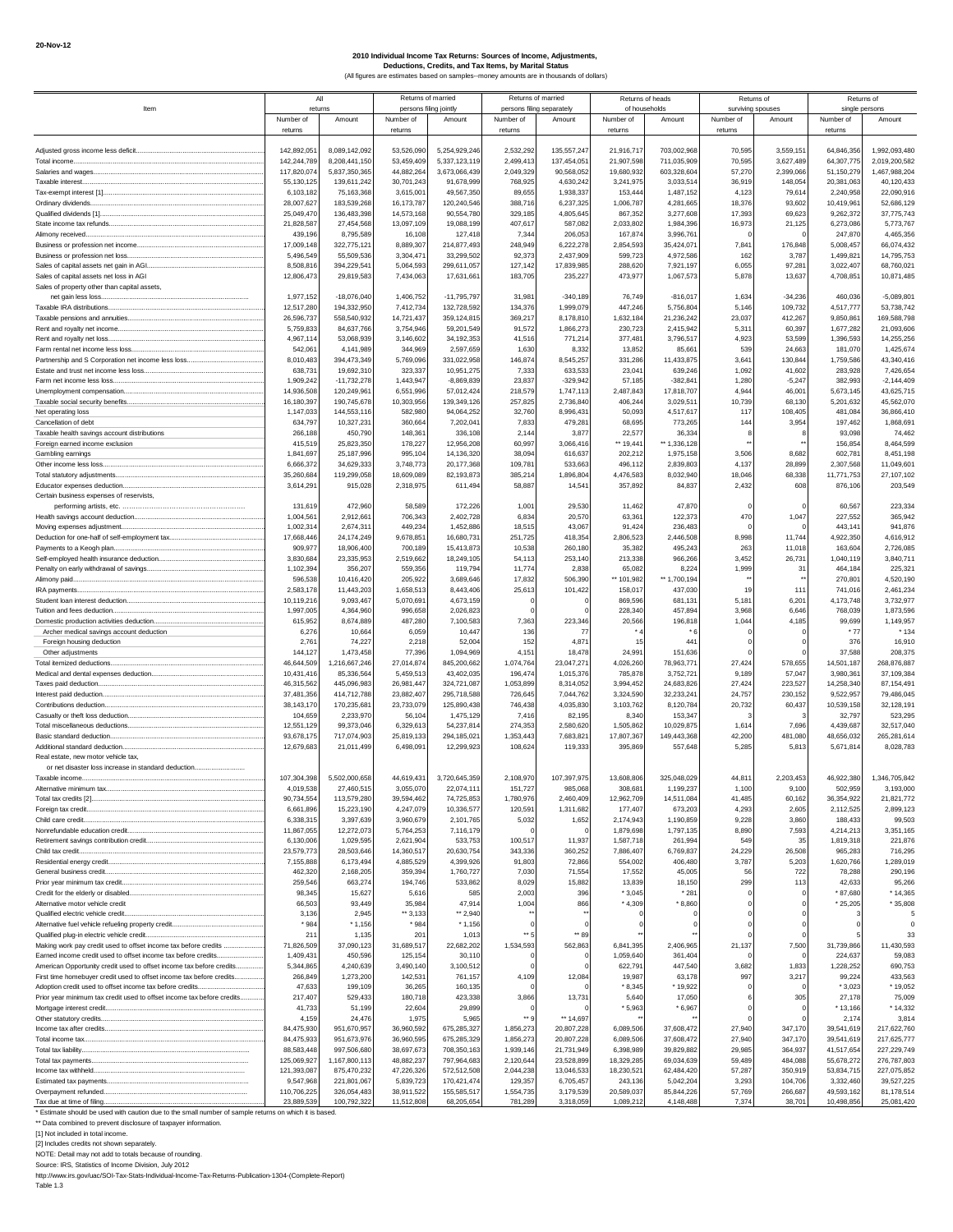|                                                                                                                                                                         | All                        |                                |                          | Returns of married               | Returns of married                     |                           | Returns of heads           |                            | Returns of                     |                        | Returns of                  |                                |
|-------------------------------------------------------------------------------------------------------------------------------------------------------------------------|----------------------------|--------------------------------|--------------------------|----------------------------------|----------------------------------------|---------------------------|----------------------------|----------------------------|--------------------------------|------------------------|-----------------------------|--------------------------------|
| Item                                                                                                                                                                    | returns<br>Number of       | Amount                         | Number of                | persons filing jointly<br>Amount | persons filing separately<br>Number of | Amount                    | of households<br>Number of | Amount                     | surviving spouses<br>Number of | Amount                 | single persons<br>Number of | Amount                         |
|                                                                                                                                                                         | returns                    |                                | returns                  |                                  | returns                                |                           | returns                    |                            | returns                        |                        | returns                     |                                |
|                                                                                                                                                                         |                            |                                |                          |                                  |                                        |                           |                            |                            |                                |                        |                             |                                |
|                                                                                                                                                                         | 142,892,05                 | 8,089,142,092                  | 53,526,090               | 5,254,929,246                    | 2,532,292                              | 135, 557, 247             | 21,916,717                 | 703,002,968                | 70,595                         | 3,559,151              | 64,846,356                  | 1,992,093,480                  |
| Total income                                                                                                                                                            | 142,244,789<br>117,820,074 | 8,208,441,150<br>5,837,350,365 | 53,459,409<br>44,882,264 | 5,337,123,119<br>3,673,066,439   | 2,499,413<br>2,049,329                 | 137,454,051<br>90,568,052 | 21,907,598<br>19,680,932   | 711,035,909<br>603,328,604 | 70,595<br>57,270               | 3,627,489<br>2,399,066 | 64,307,775<br>51,150,279    | 2,019,200,582<br>1,467,988,204 |
| Taxable interest.                                                                                                                                                       | 55,130,125                 | 139,611,242                    | 30,701,243               | 91,678,999                       | 768,925                                | 4,630,242                 | 3,241,975                  | 3,033,51                   | 36.919                         | 148,054                | 20,381,063                  | 40,120,433                     |
|                                                                                                                                                                         | 6,103,182                  | 75,163,368                     | 3,615,001                | 49,567,350                       | 89,655                                 | 1,938,337                 | 153,444                    | 1,487,152                  | 4,123                          | 79,614                 | 2,240,958                   | 22,090,916                     |
| Ordinary dividends.                                                                                                                                                     | 28,007,627                 | 183,539,268                    | 16,173,787               | 120,240,546                      | 388,716                                | 6,237,325                 | 1,006,787                  | 4,281,665                  | 18.376                         | 93,602                 | 10,419,961                  | 52,686,129                     |
|                                                                                                                                                                         | 25,049,470                 | 136,483,398                    | 14,573,168               | 90,554,780                       | 329,185                                | 4,805,645                 | 867,352                    | 3,277,608                  | 17,393                         | 69,623                 | 9,262,372                   | 37,775,743                     |
| Alimony received                                                                                                                                                        | 21,828,587<br>439,196      | 27,454,568<br>8,795,589        | 13,097,109<br>16,108     | 19,088,199<br>127,418            | 407,617<br>7,344                       | 587,082<br>206,053        | 2,033,802<br>167,874       | 1,984,39<br>3,996,76       | 16,973                         | 21,125                 | 6,273,086<br>247,870        | 5,773,767<br>4,465,356         |
|                                                                                                                                                                         | 17,009,148                 | 322,775,121                    | 8,889,307                | 214,877,493                      | 248,949                                | 6,222,278                 | 2,854,593                  | 35,424,07                  | 7,841                          | 176,848                | 5,008,457                   | 66,074,432                     |
| Business or profession net loss                                                                                                                                         | 5,496,549                  | 55,509,536                     | 3,304,471                | 33,299,502                       | 92,373                                 | 2,437,909                 | 599,723                    | 4,972,586                  | 162                            | 3,787                  | 1,499,821                   | 14,795,753                     |
| Sales of capital assets net gain in AGI                                                                                                                                 | 8,508,816                  | 394,229,54                     | 5,064,593                | 299,611,057                      | 127,142                                | 17,839,985                | 288,620                    | 7,921,19                   | 6,055                          | 97,281                 | 3,022,407                   | 68,760,021                     |
| Sales of capital assets net loss in AGI<br>Sales of property other than capital assets,                                                                                 | 12,806,473                 | 29,819,583                     | 7,434,063                | 17,631,661                       | 183,705                                | 235,227                   | 473,977                    | 1,067,573                  | 5,878                          | 13,637                 | 4,708,851                   | 10,871,485                     |
| net gain less loss                                                                                                                                                      | 1,977,152                  | $-18,076,040$                  | 1,406,752                | $-11,795,797$                    | 31,981                                 | $-340,189$                | 76,749                     | $-816,017$                 | 1,634                          | $-34,236$              | 460,036                     | $-5,089,801$                   |
| Taxable IRA distributions                                                                                                                                               | 12,517,280                 | 194,332,950                    | 7,412,734                | 132,728,592                      | 134,376                                | 1,999,079                 | 447,246                    | 5,756,80                   | 5,146                          | 109,732                | 4,517,777                   | 53,738,742                     |
|                                                                                                                                                                         | 26,596,737                 | 558,540,932                    | 14,721,437               | 359,124,815                      | 369,217                                | 8,178,810                 | 1,632,184                  | 21,236,242                 | 23,037                         | 412,267                | 9,850,861                   | 169,588,798                    |
|                                                                                                                                                                         | 5,759,833                  | 84,637,766                     | 3,754,946                | 59,201,549                       | 91,572                                 | 1,866,273                 | 230,723                    | 2,415,942                  | 5,31                           | 60,397                 | 1,677,282                   | 21,093,606                     |
| Rent and royalty net loss.                                                                                                                                              | 4,967,114<br>542,06        | 53,068,939<br>4,141,989        | 3,146,602<br>344,969     | 34, 192, 353<br>2,597,659        | 41,516<br>1,630                        | 771,214<br>8,332          | 377,481<br>13,852          | 3,796,51<br>85,66          | 4,923<br>539                   | 53,599<br>24,663       | 1,396,593<br>181,070        | 14,255,256<br>1,425,674        |
| Partnership and S Corporation net income less loss                                                                                                                      | 8,010,483                  | 394.473.349                    | 5,769,096                | 331,022,958                      | 146,874                                | 8,545,257                 | 331,286                    | 11,433,87                  | 3,641                          | 130,844                | 1,759,586                   | 43,340,416                     |
|                                                                                                                                                                         | 638,73                     | 19,692,310                     | 323,337                  | 10,951,275                       | 7,333                                  | 633,533                   | 23,041                     | 639,246                    | 1.092                          | 41,602                 | 283,928                     | 7,426,654                      |
| Farm net income less loss.                                                                                                                                              | 1,909,242                  | $-11,732,278$                  | 1,443,947                | $-8,869,839$                     | 23,837                                 | $-329.942$                | 57,185                     | $-382.84$                  | 1,280                          | $-5,247$               | 382.993                     | $-2,144,409$                   |
|                                                                                                                                                                         | 14,936,508                 | 120,249,961                    | 6,551,996                | 57,012,424                       | 218,579                                | 1,747,113                 | 2,487,843                  | 17,818,707                 | 4,944                          | 46,001                 | 5,673,145                   | 43,625,715                     |
|                                                                                                                                                                         | 16,180,397                 | 190,745,678<br>144,553,116     | 10,303,956               | 139,349,126<br>94,064,252        | 257,825<br>32,760                      | 2,736,840<br>8,996,431    | 406,244                    | 3,029,51<br>4,517,61       | 10.739<br>117                  | 68,130                 | 5,201,632                   | 45,562,070<br>36,866,410       |
| Net operating loss<br>Cancellation of debt                                                                                                                              | 1,147,033<br>634,797       | 10,327,231                     | 582,980<br>360,664       | 7,202,041                        | 7,833                                  | 479,28                    | 50,093<br>68,695           | 773.26                     | 144                            | 108,405<br>3,954       | 481,084<br>197.462          | 1,868,691                      |
| Taxable health savings account distributions                                                                                                                            | 266,188                    | 450,790                        | 148,361                  | 336,108                          | 2,144                                  | 3,877                     | 22,577                     | 36,33                      |                                |                        | 93,098                      | 74,462                         |
| Foreign earned income exclusion                                                                                                                                         | 415,519                    | 25,823,350                     | 178,227                  | 12,956,208                       | 60,997                                 | 3,066,416                 | ** 19,44                   | ** 1,336,128               |                                |                        | 156,854                     | 8,464,599                      |
| Gambling earnings                                                                                                                                                       | 1,841,697                  | 25,187,996                     | 995,104                  | 14,136,320                       | 38.094                                 | 616,637                   | 202,212                    | 1,975,158                  | 3,506                          | 8,682                  | 602,781                     | 8,451,198                      |
| Other income less loss.                                                                                                                                                 | 6,666,372<br>35,260,684    | 34,629,333<br>119,299,058      | 3,748,773<br>18,609,089  | 20,177,368<br>82,193,873         | 109,781<br>385,214                     | 533,663<br>1,896,804      | 496,112<br>4,476,583       | 2.839.80<br>8,032,940      | 4.137<br>18,046                | 28,899<br>68,338       | 2,307,568<br>11,771,753     | 11,049,601<br>27.107.102       |
|                                                                                                                                                                         | 3,614,29'                  | 915,028                        | 2,318,975                | 611,494                          | 58,887                                 | 14,54'                    | 357,892                    | 84,837                     | 2,432                          | 608                    | 876,106                     | 203,549                        |
| Certain business expenses of reservists,                                                                                                                                |                            |                                |                          |                                  |                                        |                           |                            |                            |                                |                        |                             |                                |
|                                                                                                                                                                         | 131,619                    | 472,960                        | 58,589                   | 172,226                          | 1,001                                  | 29,530                    | 11,462                     | 47,870                     |                                |                        | 60,567                      | 223,334                        |
|                                                                                                                                                                         | 1,004,56                   | 2,912,661                      | 706,343                  | 2,402,728                        | 6,834                                  | 20,570                    | 63,36                      | 122,373                    | 470                            | 1,047                  | 227,552                     | 365,942                        |
| Moving expenses adjustment                                                                                                                                              | 1,002,31<br>17,668,446     | 2,674,31<br>24,174,249         | 449,234<br>9,678,851     | 1,452,886<br>16,680,731          | 18,515<br>251,725                      | 43,067<br>418,354         | 91,424<br>2,806,523        | 236,483<br>2,446,508       | 8,998                          | 11,744                 | 443,141<br>4,922,350        | 941,876<br>4,616,912           |
| Payments to a Keogh plan                                                                                                                                                | 909,977                    | 18,906,400                     | 700,189                  | 15,413,873                       | 10,538                                 | 260,180                   | 35,382                     | 495,24                     | 263                            | 11,018                 | 163,604                     | 2,726,085                      |
|                                                                                                                                                                         | 3,830,684                  | 23,335,953                     | 2,519,662                | 18,249,105                       | 54,113                                 | 253,140                   | 213,338                    | 966,266                    | 3,452                          | 26,731                 | 1,040,119                   | 3,840,711                      |
|                                                                                                                                                                         | 1,102,394                  | 356,207                        | 559,356                  | 119,794                          | 11,774                                 | 2,838                     | 65,082                     | 8,224                      | 1,999                          | 31                     | 464,184                     | 225,321                        |
|                                                                                                                                                                         | 596,538                    | 10,416,420                     | 205,922                  | 3,689,646                        | 17,832                                 | 506,390                   | ** 101,982                 | ** 1,700,19                |                                |                        | 270,801                     | 4,520,190                      |
| IRA payments                                                                                                                                                            | 2,583,178<br>10,119,216    | 11,443,203<br>9,093,467        | 1,658,513<br>5,070,691   | 8,443,406<br>4,673,159           | 25,613                                 | 101,422                   | 158,017<br>869,596         | 437,030<br>681.13          | 19<br>5.181                    | 111<br>6,201           | 741,016<br>4,173,748        | 2,461,234<br>3,732,977         |
| Tuition and fees deduction                                                                                                                                              | 1,997,005                  | 4.364.960                      | 996,658                  | 2,026,823                        |                                        |                           | 228.340                    | 457,894                    | 3,968                          | 6,646                  | 768,039                     | 1,873,596                      |
| Domestic production activities deduction                                                                                                                                | 615.95                     | 8,674,889                      | 487,280                  | 7,100,583                        | 7,363                                  | 223,346                   | 20,566                     | 196,81                     | 1,044                          | 4,185                  | 99,699                      | 1,149,957                      |
| Archer medical savings account deduction                                                                                                                                | 6,276                      | 10,664                         | 6,059                    | 10,447                           | 136                                    | $\overline{7}$            |                            |                            |                                |                        | $*77$                       | * 134                          |
| Foreign housing deduction                                                                                                                                               | 2,76'<br>144,127           | 74.227<br>1,473,458            | 2,218                    | 52.004                           | 152<br>4,151                           | 4,871<br>18,478           | 15<br>24,991               | 44 <sup>°</sup><br>151,636 |                                |                        | 376<br>37,588               | 16,910                         |
| Other adjustments<br>Total itemized deductions                                                                                                                          | 46,644,509                 | 1,216,667,246                  | 77,396<br>27,014,874     | 1,094,969<br>845,200,662         | 1,074,764                              | 23,047,27                 | 4,026,260                  | 78,963,77                  | 27.424                         | 578,655                | 14,501,187                  | 208,375<br>268,876,887         |
|                                                                                                                                                                         | 10,431,416                 | 85,336,564                     | 5,459,513                | 43,402,035                       | 196,474                                | 1,015,376                 | 785,878                    | 3,752,72                   | 9.189                          | 57,047                 | 3,980,361                   | 37,109,384                     |
| Taxes paid deduction                                                                                                                                                    | 46,315,562                 | 445,096,983                    | 26,981,447               | 324,721,087                      | 1,053,899                              | 8,314,052                 | 3,994,452                  | 24,683,826                 | 27.424                         | 223,527                | 14,258,340                  | 87,154,49                      |
| Interest paid deduction                                                                                                                                                 | 37,481,356                 | 414,712,788                    | 23,882,407               | 295,718,588                      | 726,645                                | 7,044,762                 | 3,324,590                  | 32,233,24                  | 24,757                         | 230,152                | 9,522,957                   | 79,486,045                     |
| Contributions deduction.                                                                                                                                                | 38,143,170<br>104,659      | 170,235,68<br>2,233,970        | 23,733,079<br>56,104     | 125,890,438<br>1,475,129         | 746,438<br>7,416                       | 4,035,830<br>82,195       | 3,103,762<br>8,340         | 8,120,78<br>153,347        | 20,732<br>F.                   | 60,437                 | 10,539,158<br>32.797        | 32,128,191<br>523,295          |
|                                                                                                                                                                         | 12,551,129                 | 99,373,046                     | 6,329,613                | 54,237,814                       | 274,353                                | 2,580,620                 | 1,505,862                  | 10,029,87                  | 1,614                          | 7,696                  | 4,439,687                   | 32,517,040                     |
| Basic standard deduction                                                                                                                                                | 93,678,175                 | 717,074,903                    | 25,819,133               | 294,185,021                      | 1,353,443                              | 7,683,821                 | 17,807,367                 | 149,443,368                | 42,200                         | 481,080                | 48,656,032                  | 265,281,614                    |
|                                                                                                                                                                         | 12,679,683                 | 21,011,499                     | 6,498,09                 | 12,299,923                       | 108,624                                | 119,333                   | 395,869                    | 557,64                     | 5,285                          | 5,813                  | 5,671,814                   | 8,028,783                      |
| Real estate, new motor vehicle tax.                                                                                                                                     |                            |                                |                          |                                  |                                        |                           |                            |                            |                                |                        |                             |                                |
| or net disaster loss increase in standard deduction<br>Taxable income                                                                                                   | 107,304,398                | 5,502,000,658                  | 44,619,431               | 3,720,645,359                    | 2,108,970                              | 107,397,975               | 13,608,806                 | 325,048,029                | 44,811                         | 2,203,453              | 46,922,380                  | 1,346,705,842                  |
| um tax.                                                                                                                                                                 | 4,019,53                   | 27,460,5                       | 3,055,07                 | 22,074,1                         | 151,72                                 |                           | 308,68                     | ,199,23                    |                                | 9,10                   | 502.95                      | 3,193,000                      |
|                                                                                                                                                                         | 90,734,554                 | 113,579,280                    | 39,594,462               | 74.725.853                       | 1,780,976                              | 2,460,409                 | 12,962,709                 | 14,511,084                 | 41,485                         | 60,162                 | 36,354,922                  | 21,821,772                     |
|                                                                                                                                                                         | 6,661,896                  | 15,223,190                     | 4,247,079                | 10,336,577                       | 120,591                                | 1,311,682                 | 177,407                    | 673,203                    | 4,293                          | 2,605                  | 2,112,525                   | 2,899,123                      |
|                                                                                                                                                                         | 6,338,315                  | 3,397,639                      | 3,960,679                | 2,101,765                        | 5,032                                  | 1,652                     | 2,174,943                  | 1,190,859                  | 9,228                          | 3,860                  | 188,433                     | 99,503                         |
|                                                                                                                                                                         | 11,867,055<br>6,130,006    | 12,272,073<br>1,029,595        | 5,764,253<br>2,621,904   | 7,116,179<br>533,753             | 100,517                                | 11,937                    | 1,879,698<br>1,587,718     | 1,797,135<br>261,994       | 8,890<br>549                   | 7,593<br>35            | 4,214,213<br>1,819,318      | 3,351,165<br>221,876           |
|                                                                                                                                                                         | 23,579,773                 | 28,503,646                     | 14,360,517               | 20,630,754                       | 343,336                                | 360,252                   | 7,886,407                  | 6,769,837                  | 24,229                         | 26,508                 | 965,283                     | 716,295                        |
|                                                                                                                                                                         | 7,155,888                  | 6,173,494                      | 4,885,529                | 4,399,926                        | 91,803                                 | 72,866                    | 554,002                    | 406,480                    | 3,787                          | 5,203                  | 1,620,766                   | 1,289,019                      |
| General business credit                                                                                                                                                 | 462,320                    | 2,168,205                      | 359,394                  | 1,760,727                        | 7,030                                  | 71,554                    | 17,552                     | 45,005                     | 56                             | 722                    | 78,288                      | 290,196                        |
|                                                                                                                                                                         | 259,546<br>98,345          | 663,274<br>15,627              | 194,746<br>5,616         | 533,862<br>585                   | 8,029<br>2,003                         | 15,882<br>396             | 13,839<br>$*3.045$         | 18.150<br>$*281$           | 299                            | 113                    | 42.633<br>* 87,680          | 95,266<br>* 14,365             |
| Alternative motor vehicle credit                                                                                                                                        | 66,503                     | 93.449                         | 35,984                   | 47,914                           | 1.004                                  | 866                       | $*4.309$                   | $*8.860$                   |                                |                        | $*25,205$                   | $*35,808$                      |
|                                                                                                                                                                         | 3,136                      | 2,945                          | ** 3,133                 | ** 2,940                         |                                        |                           |                            |                            |                                |                        |                             | 5                              |
|                                                                                                                                                                         | $*984$                     | $*1,156$                       | * 984                    | * 1,156                          |                                        |                           |                            |                            |                                |                        |                             | $\mathbf 0$                    |
|                                                                                                                                                                         | 211<br>71,826,509          | 1,135<br>37,090,123            | 201                      | 1,013<br>22,682,202              | 1,534,593                              | ** 89<br>562,863          | 6,841,395                  | 2,406,965                  | 21,137                         | 7,500                  | 31,739,866                  | 33<br>11,430,593               |
| Making work pay credit used to offset income tax before credits<br>Earned income credit used to offset income tax before credits                                        | 1,409,431                  | 450,596                        | 31,689,517<br>125,154    | 30,110                           |                                        |                           | 1,059,640                  | 361.404                    |                                |                        | 224.637                     | 59,083                         |
| American Opportunity credit used to offset income tax before credits                                                                                                    | 5,344,865                  | 4,240,639                      | 3,490,140                | 3,100,512                        |                                        |                           | 622,791                    | 447,540                    | 3,682                          | 1,833                  | 1,228,252                   | 690,753                        |
| First time homebuyer credit used to offset income tax before credits                                                                                                    | 266,849                    | 1,273,200                      | 142,531                  | 761,157                          | 4,109                                  | 12,084                    | 19,987                     | 63.178                     | 997                            | 3,217                  | 99,224                      | 433,563                        |
| Adoption credit used to offset income tax before credits                                                                                                                | 47,633                     | 199,109                        | 36,265                   | 160.135                          |                                        |                           | $*8.345$                   | * 19,922                   |                                |                        | $*3.023$                    | * 19,052                       |
| Prior year minimum tax credit used to offset income tax before credits                                                                                                  | 217,407<br>41,733          | 529,433<br>51,199              | 180,718<br>22,604        | 423,338<br>29,899                | 3,866                                  | 13,731                    | 5,640<br>* 5,963           | 17,050<br>* 6,967          |                                | 305                    | 27,178<br>* 13,166          | 75,009<br>* 14,332             |
|                                                                                                                                                                         | 4,159                      | 24,476                         | 1,975                    | 5,965                            | ** g                                   | ** 14,697                 |                            |                            |                                |                        | 2,174                       | 3.814                          |
|                                                                                                                                                                         | 84,475,930                 | 951,670,957                    | 36,960,592               | 675,285,327                      | 1,856,273                              | 20,807,228                | 6,089,506                  | 37,608,472                 | 27,940                         | 347,170                | 39,541,619                  | 217,622,760                    |
|                                                                                                                                                                         | 84,475,933                 | 951,673,976                    | 36,960,595               | 675,285,329                      | 1,856,273                              | 20,807,228                | 6,089,506                  | 37,608,472                 | 27,940                         | 347,170                | 39,541,619                  | 217,625,777                    |
|                                                                                                                                                                         | 88,583,448                 | 997,506,680                    | 38,697,673               | 708,350,163                      | 1,939,146                              | 21,731,949                | 6,398,989                  | 39,829,882                 | 29,985                         | 364,937                | 41,517,654                  | 227,229,749                    |
|                                                                                                                                                                         | 125,069,927<br>121,393,087 | 1,167,800,113<br>875,470,232   | 48,882,237<br>47,226,326 | 797,964,683<br>572,512,508       | 2,120,644<br>2,044,238                 | 23,528,899<br>13,046,533  | 18,329,285<br>18,230,521   | 69,034,639<br>62,484,420   | 59,489<br>57,287               | 484,088<br>350,919     | 55,678,272<br>53,834,715    | 276,787,803<br>227,075,852     |
|                                                                                                                                                                         | 9,547,968                  | 221,801,067                    | 5,839,723                | 170,421,474                      | 129,357                                | 6,705,457                 | 243,136                    | 5,042,204                  | 3,293                          | 104,706                | 3,332,460                   | 39,527,225                     |
|                                                                                                                                                                         | 110,706,225                | 326,054,483                    | 38,911,522               | 155,585,517                      | 1,554,735                              | 3,179,539                 | 20,589,037                 | 85,844,226                 | 57,769                         | 266,687                | 49,593,162                  | 81,178,514                     |
| Tax due at time of filing                                                                                                                                               | 23,889,539                 | 100,792,322                    | 11,512,808               | 68,205,654                       | 781,289                                | 3,318,059                 | 1,089,212                  | 4,148,488                  | 7,374                          | 38,701                 | 10,498,856                  | 25,081,420                     |
| Estimate should be used with caution due to the small number of sample returns on which it is based.<br>** Data combined to prevent disclosure of taxpayer information. |                            |                                |                          |                                  |                                        |                           |                            |                            |                                |                        |                             |                                |
| [1] Not included in total income.                                                                                                                                       |                            |                                |                          |                                  |                                        |                           |                            |                            |                                |                        |                             |                                |
| [2] Includes credits not shown separately.                                                                                                                              |                            |                                |                          |                                  |                                        |                           |                            |                            |                                |                        |                             |                                |
| NOTE: Detail may not add to totals because of rounding.                                                                                                                 |                            |                                |                          |                                  |                                        |                           |                            |                            |                                |                        |                             |                                |
| Source: IRS, Statistics of Income Division, July 2012                                                                                                                   |                            |                                |                          |                                  |                                        |                           |                            |                            |                                |                        |                             |                                |
| http://www.irs.gov/uac/SOI-Tax-Stats-Individual-Income-Tax-Returns-Publication-1304-(Complete-Report)<br>Table 1.3                                                      |                            |                                |                          |                                  |                                        |                           |                            |                            |                                |                        |                             |                                |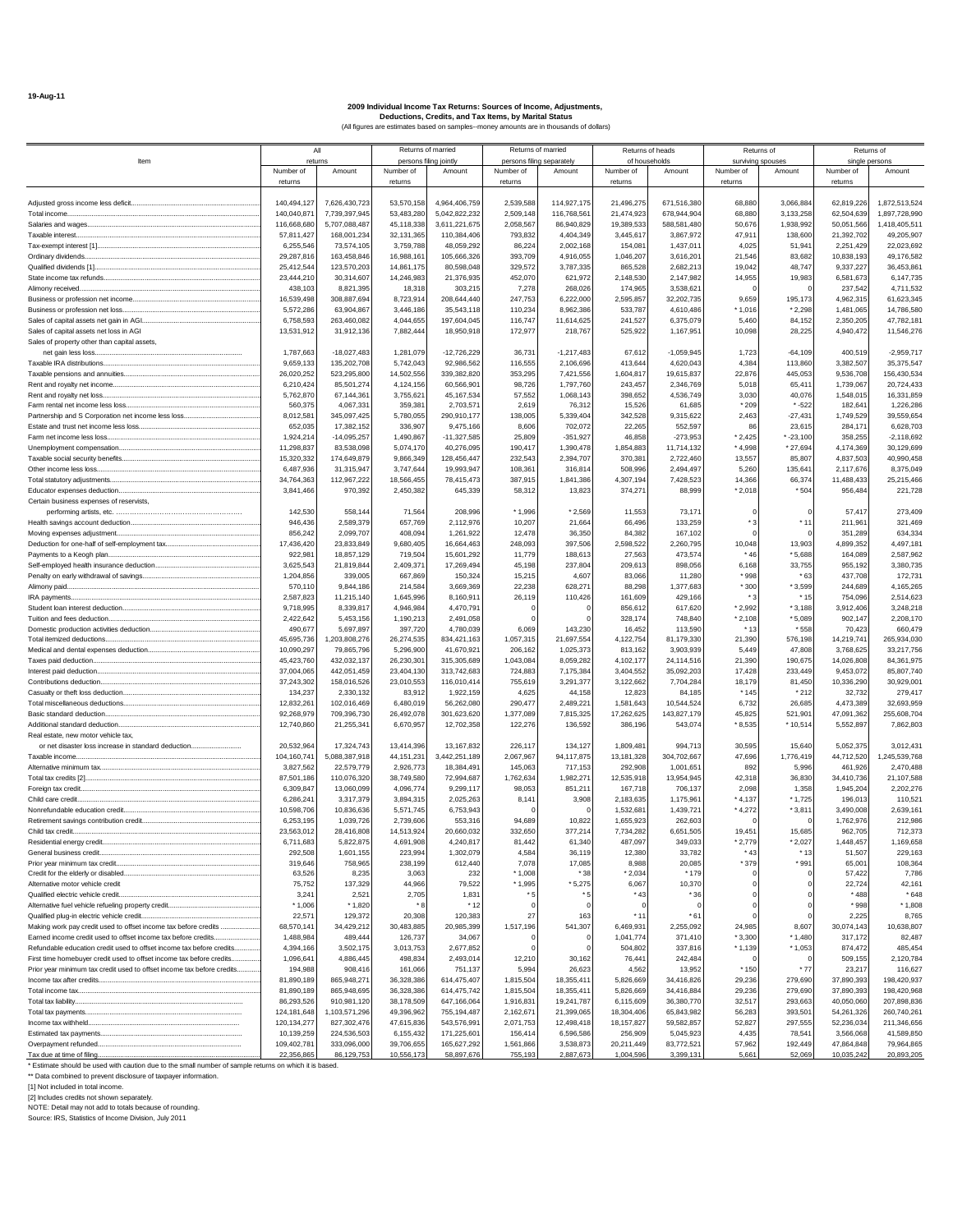|                                                                        |                           | All                            |                          | Returns of married             |                           | Returns of married         | Returns of heads         |                            |                      | Returns of             | Returns of               |                                |
|------------------------------------------------------------------------|---------------------------|--------------------------------|--------------------------|--------------------------------|---------------------------|----------------------------|--------------------------|----------------------------|----------------------|------------------------|--------------------------|--------------------------------|
| Item                                                                   |                           | returns                        |                          | persons filing jointly         | persons filing separately |                            | of households            |                            | surviving spouses    |                        | single persons           |                                |
|                                                                        | Number of                 | Amount                         | Number of                | Amount                         | Number of                 | Amount                     | Number of                | Amoun                      | Number of            | Amount                 | Number of                | Amount                         |
|                                                                        | returns                   |                                | returns                  |                                | returns                   |                            | returns                  |                            | returns              |                        | returns                  |                                |
|                                                                        |                           |                                |                          |                                |                           |                            |                          |                            |                      |                        |                          |                                |
| Total income.                                                          | 140,494,127<br>140,040,87 | 7,626,430,723<br>7,739,397,945 | 53,570,158<br>53,483,280 | 4,964,406,759<br>5,042,822,232 | 2,539,588<br>2,509,148    | 114,927,175<br>116,768,561 | 21,496,275<br>21,474,923 | 671,516,380<br>678,944,904 | 68,880<br>68,880     | 3,066,884<br>3,133,258 | 62,819,226<br>62,504,639 | 1,872,513,524<br>1,897,728,990 |
|                                                                        | 116,668,680               | 5.707.088.487                  | 45,118,338               | 3,611,221,675                  | 2,058,567                 | 86,940,829                 | 19,389,533               | 588,581,480                | 50,676               | 1,938,992              | 50,051,566               | 1,418,405,511                  |
| Taxable interest.                                                      | 57,811,427                | 168,001,234                    | 32,131,365               | 110,384,406                    | 793,832                   | 4,404,349                  | 3,445,617                | 3,867,972                  | 47,911               | 138,600                | 21,392,702               | 49,205,907                     |
|                                                                        | 6,255,546                 | 73,574,105                     | 3,759,788                | 48,059,292                     | 86,224                    | 2,002,168                  | 154,081                  | 1,437,011                  | 4.025                | 51,941                 | 2,251,429                | 22,023,692                     |
| Ordinary dividends                                                     | 29,287,816                | 163,458,846                    | 16,988,161               | 105,666,326                    | 393,709                   | 4,916,055                  | 1,046,207                | 3,616,201                  | 21,546               | 83,682                 | 10,838,193               | 49,176,582                     |
|                                                                        | 25,412,54                 | 123,570,203                    | 14,861,175               | 80,598,048                     | 329,572                   | 3,787,335                  | 865,528                  | 2,682,213                  | 19,042               | 48,747                 | 9,337,227                | 36,453,861                     |
| State income tax refunds                                               | 23,444,210                | 30,314,607                     | 14,246,983               | 21,376,935                     | 452,070                   | 621,972                    | 2,148,530                | 2,147,982                  | 14,955               | 19,983                 | 6,581,673                | 6,147,735                      |
| Alimony received.                                                      | 438,103                   | 8,821,395                      | 18,318                   | 303,215                        | 7,278                     | 268,026                    | 174,965                  | 3,538,621                  |                      |                        | 237,542                  | 4,711,532                      |
|                                                                        | 16,539,498                | 308,887,694                    | 8,723,91                 | 208,644,440                    | 247,753                   | 6,222,000                  | 2,595,857                | 32,202,735                 | 9,659                | 195,173                | 4,962,315                | 61,623,345                     |
| Business or profession net loss                                        | 5,572,286                 | 63,904,867                     | 3,446,186                | 35,543,118                     | 110,234                   | 8,962,386                  | 533,787                  | 4,610,486                  | * 1,016              | $*2,298$               | 1,481,065                | 14,786,580                     |
| Sales of capital assets net gain in AGI                                | 6,758,593                 | 263,460,082                    | 4,044,655                | 197,604,045                    | 116,747                   | 11,614,625                 | 241,527                  | 6,375,079                  | 5,460                | 84,152                 | 2,350,205                | 47,782,181                     |
| Sales of capital assets net loss in AGI                                | 13,531,912                | 31,912,136                     | 7,882,444                | 18,950,918                     | 172,977                   | 218,767                    | 525,922                  | 1,167,951                  | 10,098               | 28,225                 | 4,940,472                | 11,546,276                     |
| Sales of property other than capital assets,                           |                           |                                |                          |                                |                           |                            |                          |                            |                      |                        |                          |                                |
| net gain less loss                                                     | 1,787,663                 | $-18,027,483$                  | 1,281,079                | $-12,726,229$                  | 36,731                    | $-1,217,483$               | 67,612                   | $-1,059,945$               | 1,723                | $-64,109$              | 400,519                  | $-2,959,717$                   |
|                                                                        | 9,659,133                 | 135,202,708                    | 5,742,043                | 92,986,562                     | 116,555                   | 2,106,696                  | 413,644                  | 4,620,043                  | 4,384                | 113,860                | 3,382,507                | 35,375,547                     |
|                                                                        | 26,020,252                | 523,295,800                    | 14,502,556               | 339,382,820                    | 353,295                   | 7,421,556                  | 1,604,817                | 19,615,837                 | 22,876               | 445,053                | 9,536,708                | 156,430,534                    |
|                                                                        | 6,210,424                 | 85,501,274                     | 4,124,156                | 60,566,901                     | 98,726                    | 1,797,760                  | 243,457                  | 2,346,769                  | 5,018                | 65,411                 | 1,739,067                | 20,724,433                     |
| Rent and royalty net loss.                                             | 5,762,870                 | 67,144,36                      | 3,755,621                | 45, 167, 534                   | 57,552                    | 1,068,143                  | 398,652                  | 4,536,749                  | 3,030                | 40,076                 | 1,548,015                | 16,331,859                     |
|                                                                        | 560,375                   | 4,067,33                       | 359,381                  | 2,703,57                       | 2,619                     | 76,312                     | 15,526                   | 61,685                     | $*209$               | $* -522$               | 182,641                  | 1,226,286                      |
| Partnership and S Corporation net income less loss                     | 8,012,58                  | 345,097,425                    | 5,780,055                | 290,910,177                    | 138,005                   | 5,339,404                  | 342,528                  | 9,315,622                  | 2,463<br>86          | $-27,431$              | 1,749,529<br>284,171     | 39,559,654                     |
| Farm net income less loss.                                             | 652,035<br>1,924,214      | 17,382,152<br>$-14,095,257$    | 336,907<br>1,490,867     | 9,475,166<br>$-11,327,585$     | 8,606<br>25,809           | 702,072<br>$-351,927$      | 22,265<br>46,858         | 552,597<br>$-273,953$      | $*2,425$             | 23,615<br>$* -23,100$  | 358,255                  | 6,628,703<br>$-2,118,692$      |
|                                                                        | 11,298,837                | 83,538,098                     | 5,074,170                | 40,276,095                     | 190,417                   | 1,390,478                  | 1,854,883                | 11,714,132                 | $*4.998$             | $*27,694$              | 4,174,369                | 30,129,699                     |
|                                                                        | 15,320,332                | 174.649.879                    | 9,866,349                | 128,456,447                    | 232,543                   | 2,394,707                  | 370,381                  | 2,722,460                  | 13,557               | 85,807                 | 4,837,503                | 40,990,458                     |
| Other income less loss.<br>                                            | 6,487,936                 | 31,315,947                     | 3,747,644                | 19,993,947                     | 108,361                   | 316,814                    | 508,996                  | 2,494,497                  | 5,260                | 135,641                | 2,117,676                | 8,375,049                      |
|                                                                        | 34.764.363                | 112,967,222                    | 18,566,455               | 78,415,473                     | 387,915                   | 1,841,386                  | 4,307,194                | 7,428,523                  | 14,366               | 66,374                 | 11,488,433               | 25.215.466                     |
|                                                                        | 3,841,466                 | 970,392                        | 2,450,382                | 645,339                        | 58,312                    | 13,823                     | 374,271                  | 88,999                     | $*2,018$             | * 504                  | 956,484                  | 221,728                        |
| Certain business expenses of reservists,                               |                           |                                |                          |                                |                           |                            |                          |                            |                      |                        |                          |                                |
|                                                                        | 142,530                   | 558,144                        | 71,564                   | 208,996                        | * 1,996                   | $*2,569$                   | 11,553                   | 73.17                      |                      |                        | 57,417                   | 273,409                        |
|                                                                        | 946,436                   | 2,589,379                      | 657,769                  | 2,112,976                      | 10,207                    | 21,664                     | 66,496                   | 133,259                    |                      | $*11$                  | 211,961                  | 321,469                        |
|                                                                        | 856,242                   | 2,099,707                      | 408,094                  | 1,261,922                      | 12,478                    | 36,350                     | 84,382                   | 167,102                    | $\Omega$             |                        | 351,289                  | 634,334                        |
|                                                                        | 17,436,420                | 23,833,849                     | 9,680,405                | 16,664,463                     | 248,093                   | 397,506                    | 2,598,522                | 2,260,795                  | 10,048               | 13,903                 | 4,899,352                | 4,497,181                      |
|                                                                        | 922,98                    | 18,857,129                     | 719,504                  | 15,601,292                     | 11,779                    | 188,613                    | 27,563                   | 473,574                    | $*46$                | * 5,688                | 164,089                  | 2,587,962                      |
|                                                                        | 3,625,543                 | 21,819,844                     | 2,409,37                 | 17,269,494                     | 45,198                    | 237,804                    | 209,613                  | 898,056                    | 6,168                | 33,755                 | 955,192                  | 3,380,735                      |
|                                                                        | 1,204,856                 | 339,005                        | 667,869                  | 150,324                        | 15,215                    | 4,607                      | 83,066                   | 11,280                     | $*$ 998              | * 63                   | 437,708                  | 172,731                        |
| Alimony paid                                                           | 570,110                   | 9,844,186                      | 214,584                  | 3,669,369                      | 22,238                    | 628,271                    | 88,298                   | 1,377,683                  | * 300                | $*3,599$               | 244,689                  | 4,165,265                      |
|                                                                        | 2,587,823                 | 11,215,140                     | 1,645,996                | 8,160,911                      | 26,119                    | 110,426                    | 161,609                  | 429,166                    |                      | * 15                   | 754,096                  | 2,514,623                      |
|                                                                        | 9,718,995                 | 8,339,81                       | 4,946,984                | 4,470,791                      |                           |                            | 856,612                  | 617,620                    | $*2,992$             | $*3,188$               | 3,912,406                | 3,248,218                      |
| Tuition and fees deduction                                             | 2,422,642<br>490,677      | 5,453,156<br>5,697,897         | 1,190,213<br>397,720     | 2,491,058<br>4,780,039         | 6,069                     | 143,230                    | 328,174<br>16,452        | 748,840<br>113,590         | $*2,108$<br>* 13     | $*5,089$<br>* 558      | 902.147<br>70,423        | 2,208,170<br>660,479           |
|                                                                        | 45,695,736                | 1,203,808,276                  | 26,274,535               | 834,421,163                    | 1,057,315                 | 21,697,554                 | 4,122,754                | 81,179,330                 | 21,390               | 576,198                | 14,219,741               | 265,934,030                    |
|                                                                        | 10,090,297                | 79,865,796                     | 5,296,900                | 41,670,921                     | 206,162                   | 1,025,373                  | 813,162                  | 3,903,939                  | 5,449                | 47,808                 | 3,768,625                | 33,217,756                     |
| Taxes paid deduction                                                   | 45,423,760                | 432,032,137                    | 26,230,301               | 315,305,689                    | 1,043,084                 | 8,059,282                  | 4,102,177                | 24,114,516                 | 21,390               | 190,675                | 14,026,808               | 84,361,975                     |
|                                                                        | 37,004,065                | 442,051,459                    | 23,404,130               | 313,742,683                    | 724,883                   | 7,175,384                  | 3,404,552                | 35,092,203                 | 17,428               | 233,449                | 9,453,072                | 85,807,740                     |
| Contributions deduction                                                | 37,243,302                | 158,016,526                    | 23,010,553               | 116,010,414                    | 755,619                   | 3,291,377                  | 3,122,662                | 7,704,284                  | 18.179               | 81,450                 | 10,336,290               | 30,929,001                     |
|                                                                        | 134,237                   | 2,330,132                      | 83,912                   | 1,922,159                      | 4,625                     | 44,158                     | 12,823                   | 84.185                     | * 145                | $*212$                 | 32,732                   | 279,417                        |
|                                                                        | 12,832,26                 | 102,016,469                    | 6,480,019                | 56,262,080                     | 290,477                   | 2,489,221                  | 1,581,643                | 10,544,524                 | 6,732                | 26,685                 | 4,473,389                | 32,693,959                     |
| Basic standard deduction                                               | 92,268,979                | 709,396,730                    | 26,492,078               | 301,623,620                    | 1,377,089                 | 7,815,325                  | 17,262,625               | 143,827,179                | 45,825               | 521,901                | 47,091,362               | 255,608,704                    |
|                                                                        | 12,740,860                | 21,255,34                      | 6,670,957                | 12,702,358                     | 122,276                   | 136,592                    | 386,196                  | 543,074                    | $*8,535$             | * 10,514               | 5,552,897                | 7,862,803                      |
| Real estate, new motor vehicle tax,                                    |                           |                                |                          |                                |                           |                            |                          |                            |                      |                        |                          |                                |
| or net disaster loss increase in standard deduction                    | 20,532,964                | 17,324,743                     | 13,414,396               | 13.167.832                     | 226,117                   | 134,127                    | 1,809,481                | 994,713                    | 30,595               | 15,640                 | 5,052,375                | 3,012,431                      |
| Taxable income                                                         | 104,160,74                | 5,088,387,91                   | 44, 151, 231             | 3,442,251,189                  | 2,067,967                 | 94,117,875                 | 13,181,328               | 304,702,667                | 47,696               | 1,776,419              | 44.712.520               | 245.539.768                    |
|                                                                        | 3,827,562                 | 22,579,779                     | 2,926,773                | 18,384,491                     | 145,063                   | 717,153                    | 292,908                  | 1,001,651                  | 892                  | 5,996                  | 461,926                  | 2,470,488                      |
| Total tax credits [2]                                                  | 87,501,186                | 110,076,320                    | 38,749,580               | 72,994,687                     | 1,762,634                 | 1,982,271                  | 12,535,918               | 13,954,945                 | 42,318               | 36,830                 | 34,410,736               | 21,107,588                     |
| Foreign tax credit                                                     | 6,309,847                 | 13,060,099                     | 4,096,77                 | 9,299,117                      | 98,053                    | 851,211                    | 167,718                  | 706,137                    | 2,098                | 1,358                  | 1,945,204                | 2,202,276                      |
| Child care credit<br>Nonrefundable education credit                    | 6,286,24                  | 3,317,379                      | 3,894,315                | 2,025,263<br>6,753,943         | 8,141                     | 3,908                      | 2,183,635<br>1,532,681   | 1,175,961                  | $*4,137$<br>$*4,272$ | * 1,725<br>$*3,811$    | 196,013                  | 110,521<br>2,639,161           |
|                                                                        | 10,598,706<br>6,253,195   | 10,836,636<br>1,039,726        | 5,571,745<br>2,739,606   | 553,316                        | 94,689                    | 10,822                     | 1,655,923                | 1,439,721<br>262,603       |                      |                        | 3,490,008<br>1,762,976   | 212,986                        |
| Child tax credit.                                                      | 23,563,012                | 28,416,808                     | 14,513,924               | 20,660,032                     | 332,650                   | 377,214                    | 7,734,282                | 6,651,505                  | 19,451               | 15,685                 | 962,705                  | 712,373                        |
| Residential energy credit.                                             | 6,711,68                  | 5,822,87                       | 4,691,90                 | 4,240,81                       | 81,44                     | 61,340                     | 487,09                   | 349,03                     | 2,779                | 2,02                   | ,448,45                  | ,169,658                       |
| General business credit                                                | 292,508                   | 1,601,155                      | 223,994                  | 1,302,079                      | 4,584                     | 36,119                     | 12,380                   | 33,782                     | $*43$                | $*13$                  | 51,507                   | 229,163                        |
|                                                                        | 319,646                   | 758,965                        | 238,199                  | 612,440                        | 7,078                     | 17,085                     | 8,988                    | 20,085                     | * 379                | * 991                  | 65,001                   | 108,364                        |
|                                                                        | 63,526                    | 8,235                          | 3,063                    | 232                            | $*1,008$                  | * 38                       | $*2,034$                 | * 179                      |                      |                        | 57,422                   | 7,786                          |
| Alternative motor vehicle credit                                       | 75,752                    | 137,329                        | 44,966                   | 79,522                         | * 1,995                   | $*5,275$                   | 6,067                    | 10,370                     | $^{\circ}$           |                        | 22,724                   | 42,161                         |
| Qualified electric vehicle credit                                      | 3,241                     | 2,521                          | 2,705                    | 1,831                          | $*5$                      | * 5                        | * 43                     | * 36                       | $\Omega$             |                        | * 488                    | * 648                          |
| Alternative fuel vehicle refueling property credit                     | $*1,006$                  | $*1,820$                       |                          | * 12                           |                           |                            |                          |                            | $^{\circ}$           |                        | * 998                    | $*1,808$                       |
| Qualified plug-in electric vehicle credit                              | 22.57                     | 129,372                        | 20,308                   | 120,383                        | 27                        | 163                        | * 11                     | * 61                       | $\Omega$             |                        | 2,225                    | 8,765                          |
| Making work pay credit used to offset income tax before credits        | 68,570,141                | 34,429,212                     | 30,483,885               | 20,985,399                     | 1,517,196                 | 541,307                    | 6,469,931                | 2,255,092                  | 24,985               | 8,607                  | 30,074,143               | 10,638,807                     |
| Earned income credit used to offset income tax before credits          | 1,488,984                 | 489,444                        | 126,737                  | 34,067                         |                           |                            | 1,041,774                | 371,410                    | $*3,300$             | $*1,480$               | 317,172                  | 82,487                         |
| Refundable education credit used to offset income tax before credits   | 4,394,166                 | 3,502,175                      | 3,013,753                | 2,677,852                      |                           |                            | 504,802                  | 337,816                    | $*1,139$             | $*1,053$               | 874,472                  | 485,454                        |
| First time homebuyer credit used to offset income tax before credits   | 1,096,641                 | 4,886,445                      | 498,834                  | 2,493,014                      | 12,210                    | 30,162                     | 76,441                   | 242,484                    | $\Omega$             |                        | 509,155                  | 2,120,784                      |
| Prior year minimum tax credit used to offset income tax before credits | 194,988                   | 908,416                        | 161,066                  | 751,137                        | 5,994                     | 26,623                     | 4,562                    | 13,952                     | * 150                | * 77                   | 23,217                   | 116,627                        |
|                                                                        | 81,890,189                | 865,948,27<br>865.948.695      | 36,328,386               | 614,475,407                    | 1,815,504                 | 18,355,411<br>18,355,411   | 5,826,669                | 34,416,826<br>34.416.884   | 29,236<br>29,236     | 279,690                | 37,890,393<br>37,890,393 | 198,420,937<br>198,420,968     |
|                                                                        | 81,890,189<br>86,293,526  | 910,981,120                    | 36,328,386<br>38,178,509 | 614,475,742<br>647,166,064     | 1,815,504<br>1,916,831    | 19,241,787                 | 5,826,669<br>6,115,609   | 36,380,770                 | 32,517               | 279,690<br>293,663     | 40,050,060               | 207,898,836                    |
|                                                                        | 124, 181, 648             | 1,103,571,296                  | 49,396,962               | 755,194,487                    | 2,162,671                 | 21,399,065                 | 18,304,406               | 65,843,982                 | 56,283               | 393,501                | 54,261,326               | 260,740,261                    |
|                                                                        | 120, 134, 277             | 827,302,476                    | 47,615,836               | 543,576,991                    | 2,071,753                 | 12,498,418                 | 18, 157, 827             | 59,582,857                 | 52,827               | 297,555                | 52,236,034               | 211,346,656                    |
|                                                                        | 10,139,259                | 224,536,503                    | 6,155,432                | 171,225,601                    | 156,414                   | 6,596,586                  | 256,909                  | 5,045,923                  | 4,435                | 78,541                 | 3,566,068                | 41,589,850                     |
| Overpayment refunded                                                   | 109,402,781               | 333,096,000                    | 39,706,655               | 165,627,292                    | 1,561,866                 | 3,538,873                  | 20,211,449               | 83,772,521                 | 57,962               | 192,449                | 47,864,848               | 79,964,865                     |
| Tax due at time of filing                                              | 22,356,865                | 86,129,753                     | 10,556,173               | 58,897,676                     | 755,193                   | 2,887,673                  | 1,004,596                | 3,399,131                  | 5,661                | 52,069                 | 10,035,242               | 20,893,205                     |

\* Estimate should be used with caution due to the small number of sample returns on which it is based. \*\* Data combined to prevent disclosure of taxpayer information.

[1] Not included in total income. [2] Includes credits not shown separately. NOTE: Detail may not add to totals because of rounding. Source: IRS, Statistics of Income Division, July 2011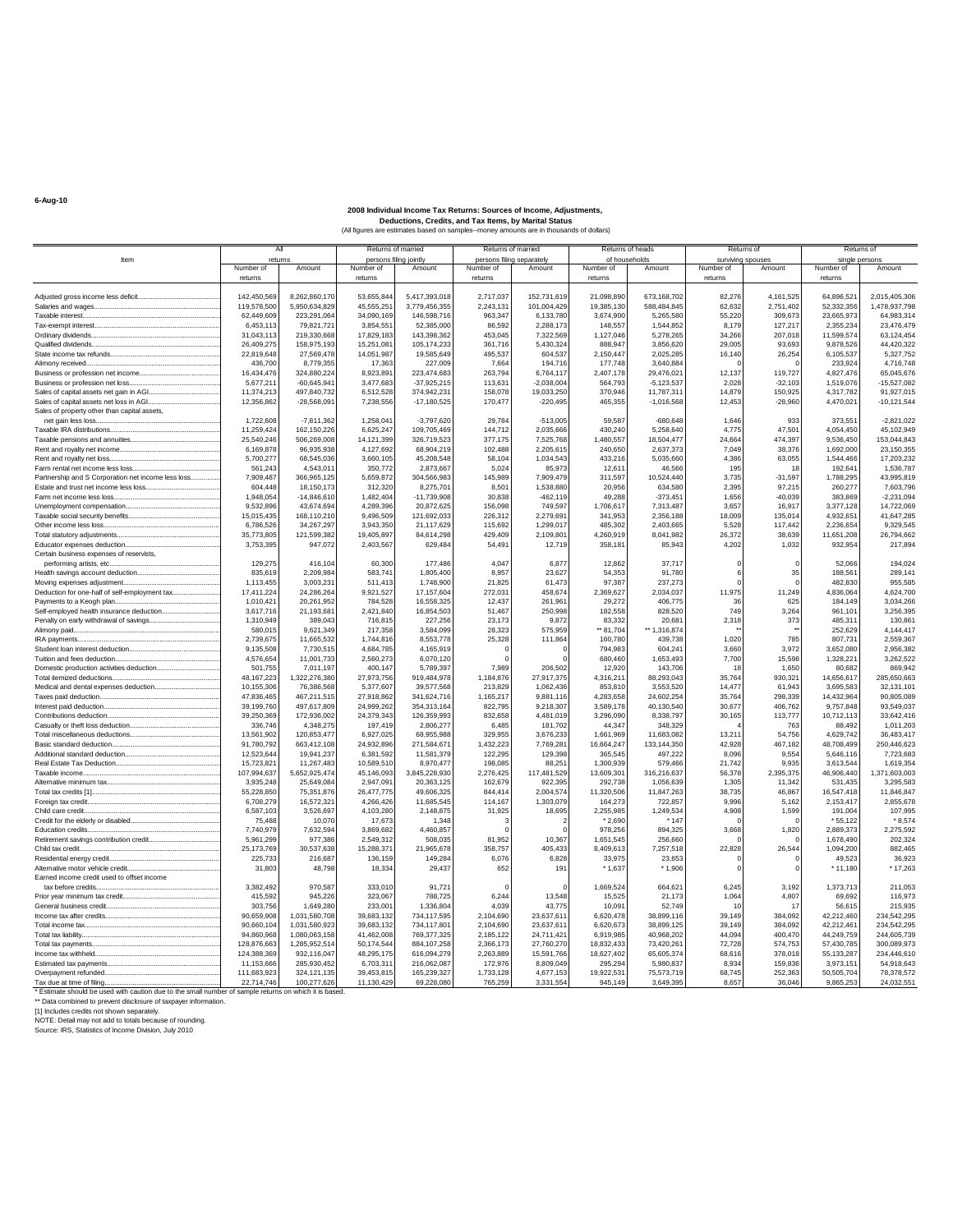All Returns of married Returns of married Returns of heads Returns of heads Returns of Returns of Returns of Returns of Returns of Returns of Returns of Returns of Returns of Returns of Returns of Returns of Returns of Ret Item returns I persons filing jointly persons filing separately of households surviving spouses single persons Number of Amount | Number of Amount | Number of Amount | Number of Amount | Number of Amount | Number of Amoun returns returns returns returns returns returns Adjusted gross income less deficit............................................ 142,450,569 8,262,860,170 53,655,844 5,417,393,018 2,717,037 152,731,619 21,098,890 673,168,702 82,276 4,161,525 64,896,521 2,015,405,306 Salaries and wages.................................................................... 119,578,500 5,950,634,829 45,555,251 3,779,456,355 2,243,131 101,004,429 19,385,130 588,484,845 62,632 2,751,402 52,332,356 1,478,937,798 Taxable interest.......................................................................... 62,449,609 223,291,064 34,090,169 146,598,716 963,347 6,133,780 3,674,900 5,265,580 55,220 309,673 23,665,973 64,983,314 Tax-exempt interest................................................................... 6,453,113 79,821,721 3,854,551 52,385,000 86,592 2,288,173 148,557 1,544,852 8,179 127,217 2,355,234 23,476,479 Ordinary dividends..................................................................... 31,043,113 219,330,668 17,829,183 143,398,362 453,045 7,322,569 1,127,046 5,278,265 34,266 207,018 11,599,574 63,124,454 Qualified dividends..................................................................... 26,409,275 158,975,193 15,251,081 105,174,233 361,716 5,430,324 888,947 3,856,620 29,005 93,693 9,878,526 44,420,322 State income tax refunds........................................................... 22,819,648 27,569,478 14,051,987 19,585,649 495,537 604,537 2,150,447 2,025,285 16,140 26,254 6,105,537 5,327,752 Alimony received........................................................................ 436,700 8,779,355 17,363 227,009 7,664 194,716 177,748 3,640,884 0 0 233,924 4,716,748 Business or profession net income........................................... 16,434,476 324,880,224 8,923,891 223,474,683 263,794 6,764,117 2,407,178 29,476,021 12,137 119,727 4,827,476 65,045,676 Business or profession net loss................................................. 5,677,211 -60,645,941 3,477,683 -37,925,215 113,631 -2,038,004 564,793 -5,123,537 2,028 -32,103 1,519,076 -15,527,082 Sales of capital assets net gain in AGI...................................... 11,374,213 497,840,732 6,512,528 374,942,231 158,078 19,033,250 370,946 11,787,311 14,879 150,925 4,317,782 91,927,015 Sales of capital assets net loss in AGI....................................... 12,356,862 -28,568,091 7,238,556 -17,180,525 170,477 -220,495 465,355 -1,016,568 12,453 -28,960 4,470,021 -10,121,544 Sales of property other than capital assets, net gain less loss................................................................... 1,722,608 -7,811,362 1,258,041 -3,797,620 29,784 -513,005 59,587 -680,648 1,646 933 373,551 -2,821,022 Taxable IRA distributions........................................................... 11,259,424 162,150,226 6,625,247 109,705,469 144,712 2,035,666 430,240 5,258,640 4,775 47,501 4,054,450 45,102,949 Taxable pensions and annuities................................................ 25,540,246 506,269,008 14,121,399 326,719,523 377,175 7,525,768 1,480,557 18,504,477 24,664 474,397 9,536,450 153,044,843 Rent and royalty net income...................................................... 6,169,878 96,935,938 4,127,692 68,904,219 102,488 2,205,615 240,650 2,637,373 7,049 38,376 1,692,000 23,150,355 Rent and royalty net loss........................................................... 5,700,277 68,545,036 3,660,105 45,208,548 58,104 1,034,543 433,216 5,035,660 4,386 63,055 1,544,466 17,203,232 Farm rental net income less loss............................................... 561,243 4,543,011 350,772 2,873,667 5,024 85,973 12,611 46,566 195 18 192,641 1,536,787 Partnership and S Corporation net income less loss................ 7,909,487 366,965,125 5,659,872 304,566,983 145,989 7,909,479 311,597 10,524,440 3,735 -31,597 1,788,295 43,995,819 Estate and trust net income less loss........................................ 604,448 18,150,173 312,320 8,275,701 8,501 1,538,880 20,956 634,580 2,395 97,215 260,277 7,603,796 Farm net income less loss......................................................... 1,948,054 -14,846,610 1,482,404 -11,739,908 30,838 -462,119 49,288 -373,451 1,656 -40,039 383,869 -2,231,094 Unemployment compensation................................................... 9,532,896 43,674,694 4,289,396 20,872,625 156,098 749,597 1,706,617 7,313,487 3,657 16,917 3,377,128 14,722,069 Taxable social security benefits................................................. 15,015,435 168,110,210 9,496,509 121,692,033 226,312 2,279,691 341,953 2,356,188 18,009 135,014 4,932,651 41,647,285 Other income less loss.............................................................. 6,786,526 34,267,297 3,943,350 21,117,629 115,692 1,299,017 485,302 2,403,665 5,528 117,442 2,236,654 9,329,545 Total statutory adjustments....................................................... 35,773,805 121,599,382 19,405,897 84,614,298 429,409 2,109,801 4,260,919 8,041,982 26,372 38,639 11,651,208 26,794,662 Educator expenses deduction................................................... 3,753,395 947,072 2,403,567 629,484 54,491 12,719 358,181 85,943 4,202 1,032 932,954 217,894 Certain business expenses of reservists, performing artists, etc........................................................... 129,275 416,104 60,300 177,486 4,047 6,877 12,862 37,717 0 0 52,066 194,024 Health savings account deduction............................................ 835,619 2,209,984 583,741 1,805,400 8,957 23,627 54,353 91,780 6 35 188,561 289,141 Moving expenses adjustment.................................................... 1,113,455 3,003,231 511,413 1,748,900 21,825 61,473 97,387 237,273 0 0 482,830 955,585 Deduction for one-half of self-employment tax.......................... 17,411,224 24,286,264 9,921,527 17,157,604 272,031 458,674 2,369,627 2,034,037 11,975 11,249 4,836,064 4,624,700 Payments to a Keogh plan........................................................ 1,010,421 20,261,952 784,528 16,558,325 12,437 261,961 29,272 406,775 36 625 184,149 3,034,266 Self-employed health insurance deduction............................... 3,617,716 21,193,681 2,421,840 16,854,503 51,467 250,998 182,558 828,520 749 3,264 961,101 3,256,395 Penalty on early withdrawal of savings...................................... 1,310,949 389,043 716,815 227,256 23,173 9,872 83,332 20,681 2,318 373 485,311 130,861 Alimony paid.............................................................................. 580,015 9,621,349 217,358 3,584,099 28,323 575,959 \*\* 81,704 \*\* 1,316,874 \*\* \*\* 252,629 4,144,417 IRA payments............................................................................ 2,739,675 11,665,532 1,744,816 8,553,778 25,328 111,864 160,780 439,738 1,020 785 807,731 2,559,367 Student loan interest deduction................................................. 9,135,508 7,730,515 4,684,785 4,165,919 0 0 794,983 604,241 3,660 3,972 3,652,080 2,956,382 Tuition and fees deduction........................................................ 4,576,654 11,001,733 2,560,273 6,070,120 0 0 680,460 1,653,493 7,700 15,598 1,328,221 3,262,522 Domestic production activities deduction.................................. 501,755 7,011,197 400,147 5,789,397 7,989 206,502 12,920 143,706 18 1,650 80,682 869,942 Total itemized deductions.......................................................... 48,167,223 1,322,276,380 27,973,756 919,484,978 1,184,876 27,917,375 4,316,211 88,293,043 35,764 930,321 14,656,617 285,650,663 Medical and dental expenses deduction................................... 10,155,306 76,386,568 5,377,607 39,577,568 213,829 1,062,436 853,810 3,553,520 14,477 61,943 3,695,583 32,131,101 Taxes paid deduction................................................................ 47,836,465 467,211,515 27,918,862 341,624,716 1,165,217 9,881,116 4,283,658 24,602,254 35,764 298,339 14,432,964 90,805,089 Interest paid deduction.............................................................. 39,199,760 497,617,809 24,999,262 354,313,164 822,795 9,218,307 3,589,178 40,130,540 30,677 406,762 9,757,848 93,549,037 Contributions deduction............................................................ 39,250,369 172,936,002 24,379,343 126,359,993 832,658 4,481,019 3,296,090 8,338,797 30,165 113,777 10,712,113 33,642,416 Casualty or theft loss deduction................................................ 336,746 4,348,275 197,419 2,806,277 6,485 181,702 44,347 348,329 4 763 88,492 1,011,203 Total miscellaneous deductions................................................ 13,561,902 120,853,477 6,927,025 68,955,988 329,955 3,676,233 1,661,969 11,683,082 13,211 54,756 4,629,742 36,483,417 Basic standard deduction.......................................................... 91,780,792 663,412,108 24,932,896 271,584,671 1,432,223 7,769,281 16,664,247 133,144,350 42,928 467,182 48,708,499 250,446,623 Additional standard deduction................................................... 12,523,644 19,941,237 6,381,592 11,581,379 122,295 129,398 365,545 497,222 8,096 9,554 5,646,116 7,723,683 Real Estate Tax Deduction........................................................ 15,723,821 11,267,483 10,589,510 8,970,477 198,085 88,251 1,300,939 579,466 21,742 9,935 3,613,544 1,619,354 Taxable income.......................................................................... 107,994,637 5,652,925,474 45,146,093 3,845,228,930 2,276,425 117,481,529 13,609,301 316,216,637 56,378 2,395,375 46,906,440 1,371,603,003 Alternative minimum tax............................................................. 3,935,248 25,649,084 2,947,091 20,363,125 162,679 922,395 292,738 1,056,639 1,305 11,342 531,435 3,295,583 Total tax credits [1]..................................................................... 55,228,850 75,351,876 26,477,775 49,606,325 844,414 2,004,574 11,320,506 11,847,263 38,735 46,867 16,547,418 11,846,847 Foreign tax credit....................................................................... 6,708,279 16,572,321 4,266,426 11,685,545 114,167 1,303,079 164,273 722,857 9,996 5,162 2,153,417 2,855,678 Child care credit......................................................................... 6,587,103 3,526,697 4,103,280 2,148,875 31,925 18,695 2,255,985 1,249,534 4,908 1,599 191,004 107,995 Credit for the elderly or disabled................................................ 75,488 10,070 17,673 1,348 3 2 \* 2,690 \* 147 0 0 \* 55,122 \* 8,574 Education credits....................................................................... 7,740,979 7,632,594 3,869,682 4,460,857 0 0 978,256 894,325 3,668 1,820 2,889,373 2,275,592 Retirement savings contribution credit...................................... 5,961,299 977,386 2,549,312 508,035 81,952 10,367 1,651,545 256,660 0 0 1,678,490 202,324 Child tax credit........................................................................... 25,173,769 30,537,638 15,288,371 21,965,678 358,757 405,433 8,409,613 7,257,518 22,828 26,544 1,094,200 882,465 Residential energy credit........................................................... 225,733 216,687 136,159 149,284 6,076 6,828 33,975 23,653 0 0 49,523 36,923 Alternative motor vehicle credit.................................................. 31,803 48,798 18,334 29,437 652 191 \* 1,637 \* 1,906 0 0 \* 11,180 \* 17,263 Earned income credit used to offset income tax before credits.................................................................. 3,382,492 970,587 333,010 91,721 0 0 1,669,524 664,621 6,245 3,192 1,373,713 211,053 Prior year minimum tax credit.................................................... 415,592 945,226 323,067 788,725 6,244 13,548 15,525 21,173 1,064 4,807 69,692 116,973 General business credit............................................................. 303,756 1,649,280 233,001 1,336,804 4,039 43,775 10,091 52,749 10 17 56,615 215,935 Income tax after credits.............................................................. 90,659,908 1,031,580,708 39,683,132 734,117,595 2,104,690 23,637,611 6,620,478 38,899,116 39,149 384,092 42,212,460 234,542,295 Total income tax......................................................................... 90,660,104 1,031,580,923 39,683,132 734,117,801 2,104,690 23,637,611 6,620,673 38,899,125 39,149 384,092 42,212,461 234,542,295 Total tax liability.......................................................................... 94,860,968 1,080,063,158 41,462,008 769,377,325 2,185,122 24,711,421 6,919,985 40,968,202 44,094 400,470 44,249,759 244,605,739 Total tax payments..................................................................... 128,876,663 1,285,952,514 50,174,544 884,107,258 2,366,173 27,760,270 18,832,433 73,420,261 72,728 574,753 57,430,785 300,089,973 Income tax withheld................................................................... 124,388,369 932,116,047 48,295,175 616,094,279 2,263,889 15,591,766 18,627,402 65,605,374 68,616 378,018 55,133,287 234,446,610 Estimated tax payments............................................................. 11,153,666 285,930,452 6,703,311 216,062,087 172,976 8,809,049 295,294 5,980,837 8,934 159,836 3,973,151 54,918,643 Overpayment refunded.............................................................. 111,683,923 324,121,135 39,453,815 165,239,327 1,733,128 4,677,153 19,922,531 75,573,719 68,745 252,363 50,505,704 78,378,572 Tax due at time of filing.............................................................. 22,714,746 100,277,626 11,130,429 69,228,080 765,259 3,331,554 945,149 3,649,395 8,657 36,046 9,865,253 24,032,551

\* Estimate should be used with caution due to the small number of sample returns on which it is b \*\* Data combined to prevent disclosure of taxpayer inform.

[1] Includes credits not shown separately. NOTE: Detail may not add to totals because of rounding.

Source: IRS, Statistics of Income Division, July 2010

**6-Aug-10**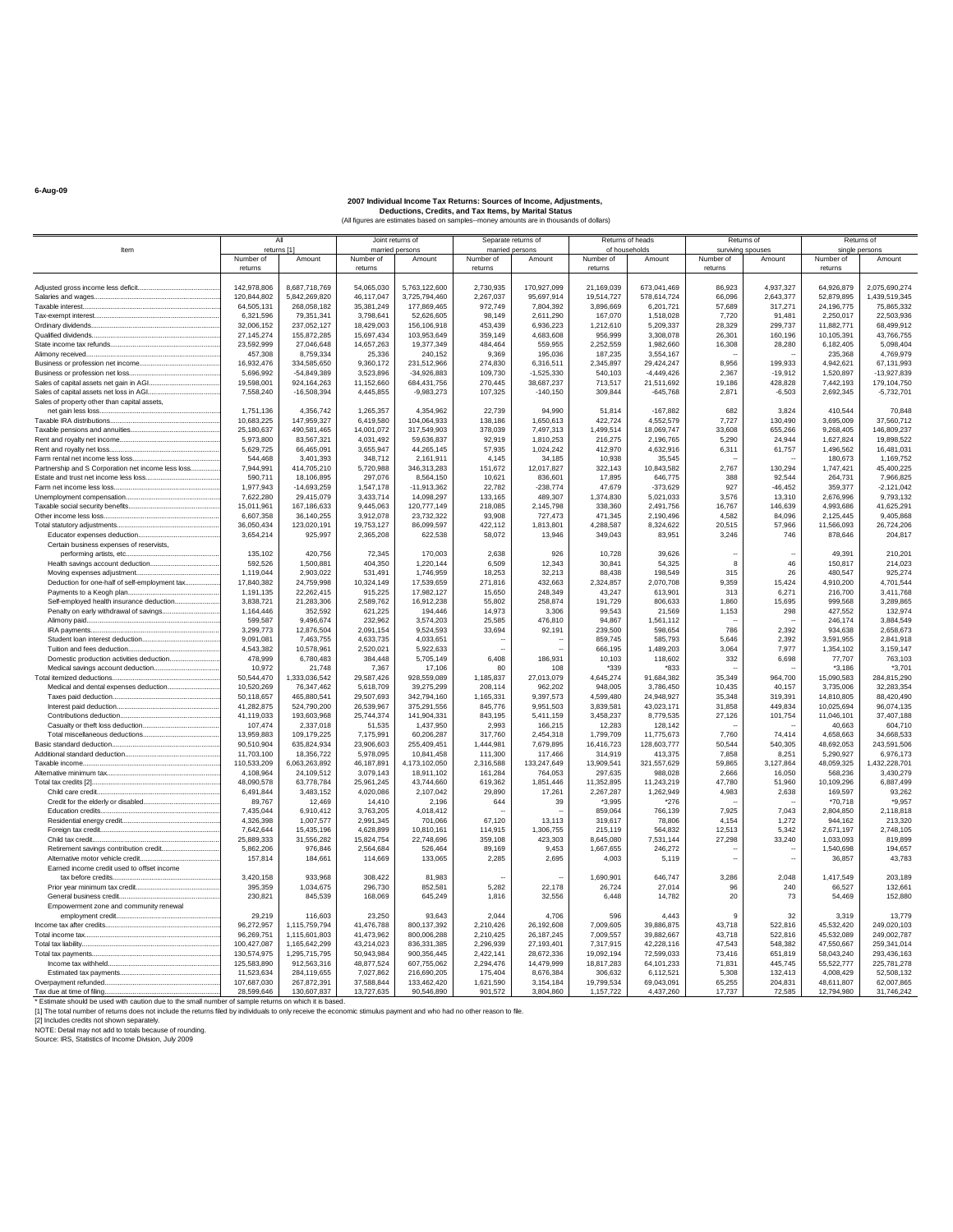|                                                                                  |                         | All                       | Joint returns of        |                           | Separate returns of |                        | Returns of heads     |                         | Returns of      |                   | Returns of             |                           |
|----------------------------------------------------------------------------------|-------------------------|---------------------------|-------------------------|---------------------------|---------------------|------------------------|----------------------|-------------------------|-----------------|-------------------|------------------------|---------------------------|
| ltem                                                                             |                         | returns [1]               | married persons         |                           | married persons     |                        | of households        |                         |                 | surviving spouses |                        | single persons            |
|                                                                                  | Number of               | Amount                    | Number of               | Amount                    | Number of           | Amount                 | Number of            | Amount                  | Number of       | Amount            | Number of              | Amount                    |
|                                                                                  | returns                 |                           | returns                 |                           | returns             |                        | returns              |                         | returns         |                   | returns                |                           |
|                                                                                  | 142,978,806             | 8,687,718,769             | 54,065,030              | 5,763,122,600             | 2,730,935           | 170,927,099            | 21,169,039           | 673,041,469             | 86,923          | 4,937,327         | 64,926,879             | 2,075,690,274             |
| Salaries and wages                                                               | 120,844,802             | 5,842,269,820             | 46,117,047              | 3,725,794,460             | 2,267,037           | 95,697,914             | 19,514,727           | 578,614,724             | 66,096          | 2,643,377         | 52,879,895             | 1,439,519,345             |
| Taxable interest                                                                 | 64,505,131              | 268.058.182               | 35,381,249              | 177,869,465               | 972.749             | 7.804.392              | 3,896,669            | 6.201.721               | 57,689          | 317,271           | 24.196.775             | 75,865,332                |
|                                                                                  | 6.321.596               | 79,351,341                | 3,798,641               | 52,626,605                | 98.149              | 2,611,290              | 167,070              | 1,518,028               | 7.720           | 91,481            | 2,250,017              | 22,503,936                |
|                                                                                  | 32,006,152              | 237,052,127               | 18,429,003              | 156,106,918               | 453,439             | 6,936,223              | 1.212.610            | 5,209,337               | 28,329          | 299,737           | 11,882,771             | 68,499,912                |
| Qualified dividends                                                              | 27, 145, 274            | 155,872,285               | 15,697,434              | 103,953,649               | 359,149             | 4,683,608              | 956,999              | 3,308,078               | 26,301          | 160.196           | 10,105,391             | 43,766,755                |
|                                                                                  | 23.592.999              | 27.046.648                | 14.657.263              | 19,377,349                | 484.464             | 559,955                | 2.252.559            | 1.982.660               | 16,308          | 28,280            | 6,182,405              | 5.098.404                 |
| Alimony received                                                                 | 457,308                 | 8.759.334                 | 25,336                  | 240.152                   | 9,369               | 195,036                | 187,235              | 3,554,167               |                 |                   | 235,368                | 4.769.979                 |
|                                                                                  | 16,932,476              | 334,585,650               | 9,360,172               | 231,512,966               | 274,830             | 6,316,511              | 2,345,897            | 29,424,247              | 8,956           | 199,933           | 4,942,621              | 67,131,993                |
|                                                                                  | 5.696.992               | $-54.849.389$             | 3.523.896               | $-34,926,883$             | 109,730             | $-1.525.330$           | 540.103              | $-4.449.426$            | 2.367           | $-19.912$         | 1,520,897              | -13.927.839               |
|                                                                                  | 19,598,001              | 924, 164, 263             | 11,152,660              | 684,431,756               | 270,445             | 38,687,237             | 713,517              | 21,511,692              | 19,186          | 428,828           | 7,442,193              | 179,104,750               |
|                                                                                  | 7,558,240               | $-16,508,394$             | 4,445,855               | $-9,983,273$              | 107,325             | $-140.150$             | 309,844              | $-645,768$              | 2,871           | $-6,503$          | 2,692,345              | $-5,732,701$              |
| Sales of property other than capital assets,                                     |                         |                           |                         |                           |                     |                        |                      |                         |                 |                   |                        |                           |
|                                                                                  | 1.751.136               | 4,356,742                 | 1,265,357               | 4,354,962                 | 22,739              | 94.990                 | 51.814               | $-167,882$              | 682             | 3,824             | 410,544                | 70,848                    |
|                                                                                  | 10,683,225              | 147,959,327               | 6,419,580               | 104,064,933               | 138,186             | 1,650,613              | 422,724              | 4,552,579               | 7,727           | 130,490           | 3,695,009              | 37,560,712                |
|                                                                                  | 25,180,637<br>5.973.800 | 490,581,465<br>83,567,321 | 14,001,072<br>4.031.492 | 317,549,903<br>59.636.837 | 378,039<br>92.919   | 7,497,313<br>1.810.253 | 1,499,514<br>216,275 | 18,069,747<br>2.196.765 | 33,608<br>5.290 | 655,266<br>24.944 | 9,268,405<br>1.627.824 | 146,809,237<br>19,898,522 |
|                                                                                  | 5.629.725               | 66.465.091                | 3,655,947               | 44,265,145                | 57,935              | 1.024.242              | 412.970              | 4,632,916               | 6.311           | 61,757            | 1.496.562              | 16.481.031                |
| Farm rental net income less loss                                                 | 544.468                 | 3.401.393                 | 348,712                 | 2,161,911                 | 4.145               | 34.185                 | 10,938               | 35.545                  |                 |                   | 180,673                | 1,169,752                 |
| Partnership and S Corporation net income less loss                               | 7,944,991               | 414,705,210               | 5,720,988               | 346,313,283               | 151,672             | 12,017,827             | 322,143              | 10,843,582              | 2.767           | 130,294           | 1,747,421              | 45,400,225                |
|                                                                                  | 590,711                 | 18.106.895                | 297,076                 | 8.564.150                 | 10.621              | 836.601                | 17,895               | 646,775                 | 388             | 92.544            | 264,731                | 7.966.825                 |
|                                                                                  | 1,977,943               | $-14,693,259$             | 1,547,178               | $-11,913,362$             | 22,782              | $-238,774$             | 47,679               | $-373,629$              | 927             | $-46,452$         | 359,377                | $-2,121,042$              |
|                                                                                  | 7,622,280               | 29,415,079                | 3,433,714               | 14,098,297                | 133,165             | 489,307                | 1,374,830            | 5,021,033               | 3,576           | 13,310            | 2,676,996              | 9,793,132                 |
|                                                                                  | 15,011,961              | 167,186,633               | 9,445,063               | 120,777,149               | 218,085             | 2,145,798              | 338,360              | 2,491,756               | 16,767          | 146,639           | 4,993,686              | 41.625.291                |
| Other income less loss                                                           | 6,607,358               | 36,140,255                | 3,912,078               | 23,732,322                | 93,908              | 727,473                | 471,345              | 2,190,496               | 4,582           | 84,096            | 2,125,445              | 9,405,868                 |
|                                                                                  | 36,050,434              | 123,020,191               | 19,753,127              | 86,099,597                | 422,112             | 1,813,801              | 4,288,587            | 8,324,622               | 20,515          | 57,966            | 11,566,093             | 26,724,206                |
|                                                                                  | 3,654,214               | 925.997                   | 2,365,208               | 622,538                   | 58,072              | 13.946                 | 349,043              | 83,951                  | 3,246           | 746               | 878,646                | 204.817                   |
| Certain business expenses of reservists.                                         |                         |                           |                         |                           |                     |                        |                      |                         |                 |                   |                        |                           |
|                                                                                  | 135,102                 | 420.756                   | 72,345                  | 170.003                   | 2.638               | 926                    | 10.728               | 39.626                  |                 |                   | 49.391                 | 210,201                   |
| Health savings account deduction                                                 | 592.526                 | 1.500.881                 | 404,350                 | 1.220.144                 | 6.509               | 12.343                 | 30.841               | 54.325                  | $\mathbf{R}$    | 46                | 150,817                | 214,023                   |
|                                                                                  | 1.119.044               | 2.903.022                 | 531,491                 | 1,746,959                 | 18.253              | 32.213                 | 88.438               | 198.549                 | 315             | 26                | 480.547                | 925,274                   |
| Deduction for one-half of self-employment tax                                    | 17,840,382              | 24,759,998                | 10,324,149              | 17,539,659                | 271,816             | 432,663                | 2,324,857            | 2,070,708               | 9,359           | 15,424            | 4,910,200              | 4,701,544                 |
| Payments to a Keogh plan                                                         | 1,191,135               | 22,262,415                | 915,225                 | 17,982,127                | 15,650              | 248.349                | 43,247               | 613,901                 | 313             | 6,271             | 216,700                | 3,411,768                 |
| Self-employed health insurance deduction                                         | 3.838.721               | 21.283.306                | 2.589.762               | 16.912.238                | 55.802              | 258,874                | 191.729              | 806.633                 | 1.860           | 15.695            | 999,568                | 3,289,865                 |
| Penalty on early withdrawal of savings                                           | 1.164.446               | 352.592                   | 621,225                 | 194,446                   | 14.973              | 3.306                  | 99,543               | 21,569                  | 1.153           | 298               | 427.552                | 132,974                   |
|                                                                                  | 599,587                 | 9,496,674                 | 232,962                 | 3,574,203                 | 25,585              | 476,810                | 94,867               | 1.561.112               |                 |                   | 246,174                | 3,884,549                 |
|                                                                                  | 3,299,773               | 12,876,504                | 2,091,154               | 9,524,593                 | 33,694              | 92,191                 | 239,500              | 598,654                 | 786             | 2,392             | 934,638                | 2,658,673                 |
|                                                                                  | 9.091.081               | 7.463.755                 | 4.633.735               | 4.033.651                 |                     |                        | 859.745              | 585.793                 | 5.646           | 2.392             | 3.591.955              | 2.841.918                 |
|                                                                                  | 4,543,382               | 10.578.961                | 2.520.021               | 5.922.633                 |                     |                        | 666.195              | 1,489,203               | 3.064           | 7.977             | 1,354,102              | 3.159.147                 |
|                                                                                  | 478,999<br>10.972       | 6,780,483                 | 384,448                 | 5,705,149                 | 6,408<br>80         | 186,931<br>108         | 10,103               | 118,602                 | 332             | 6,698             | 77,707                 | 763,103                   |
|                                                                                  | 50,544,470              | 21.748<br>1,333,036,542   | 7,367<br>29,587,426     | 17,106<br>928,559,089     | 1,185,837           | 27,013,079             | *339<br>4,645,274    | *833<br>91,684,382      | 35,349          | 964,700           | $*3.186$<br>15,090,583 | *3.701<br>284,815,290     |
|                                                                                  | 10.520.269              | 76.347.462                | 5.618.709               | 39.275.299                | 208,114             | 962.202                | 948.005              | 3.786.450               | 10,435          | 40.157            | 3.735.006              | 32,283,354                |
|                                                                                  | 50.118.657              | 465.880.541               | 29.507.693              | 342.794.160               | 1,165,331           | 9.397.573              | 4.599.480            | 24.948.927              | 35,348          | 319.391           | 14.810.805             | 88.420.490                |
|                                                                                  | 41.282.875              | 524,790,200               | 26.539.967              | 375.291.556               | 845,776             | 9.951.503              | 3,839,581            | 43,023,171              | 31,858          | 449,834           | 10.025.694             | 96.074.135                |
|                                                                                  | 41,119,033              | 193,603,968               | 25,744,374              | 141,904,331               | 843,195             | 5,411,159              | 3,458,237            | 8,779,535               | 27,126          | 101,754           | 11,046,101             | 37,407,188                |
|                                                                                  | 107,474                 | 2,337,018                 | 51,535                  | 1,437,950                 | 2,993               | 166,215                | 12,283               | 128,142                 |                 |                   | 40,663                 | 604,710                   |
|                                                                                  | 13.959.883              | 109.179.225               | 7,175,991               | 60.206.287                | 317,760             | 2.454.318              | 1.799.709            | 11,775,673              | 7.760           | 74.414            | 4.658.663              | 34.668.533                |
|                                                                                  | 90,510,904              | 635,824,934               | 23,906,603              | 255,409,451               | 1,444,981           | 7,679,895              | 16,416,723           | 128,603,777             | 50.544          | 540,305           | 48,692,053             | 243,591,506               |
|                                                                                  | 11.703.100              | 18.356.722                | 5,978,095               | 10,841,458                | 111,300             | 117,466                | 314,919              | 413.375                 | 7,858           | 8.251             | 5.290.927              | 6.976.173                 |
|                                                                                  | 110,533,209             | 6,063,263,892             | 46,187,891              | 4,173,102,050             | 2,316,588           | 133,247,649            | 13,909,541           | 321,557,629             | 59,865          | 3,127,864         | 48,059,325             | 1,432,228,701             |
|                                                                                  | 4.108.964               | 24.109.512                | 3,079,143               | 18,911,102                | 161.284             | 764.053                | 297,635              | 988,028                 | 2,666           | 16,050            | 568,236                | 3,430,279                 |
|                                                                                  | 48,090,578              | 63.778.784                | 25,961,245              | 43,744,660                | 619.362             | 1,851,446              | 11,352,895           | 11.243.219              | 47,780          | 51,960            | 10,109,296             | 6.887.499                 |
|                                                                                  | 6,491,844               | 3,483,152                 | 4,020,086               | 2.107.042                 | 29,890              | 17,261                 | 2,267,287            | 1,262,949               | 4,983           | 2,638             | 169,597                | 93.262                    |
|                                                                                  | 89,767                  | 12.469                    | 14.410                  | 2,196                     | 644                 | 39                     | *3.995               | *276                    |                 |                   | *70.718                | *9.957                    |
|                                                                                  | 7,435,044               | 6,910,412                 | 3,763,205               | 4,018,412                 |                     |                        | 859,064              | 766,139                 | 7,925           | 7,043             | 2,804,850              | 2,118,818                 |
|                                                                                  | 4,326,398               | 1,007,577                 | 2,991,345               | 701,066                   | 67,120              | 13,113                 | 319,617              | 78,806                  | 4,154           | 1,272             | 944,162                | 213,320                   |
|                                                                                  | 7.642.644               | 15.435.196                | 4.628.899               | 10.810.161                | 114,915             | 1.306.755              | 215.119              | 564.832                 | 12.513          | 5.342             | 2,671,197              | 2.748.105                 |
|                                                                                  | 25.889.333              | 31.556.282                | 15.824.754              | 22,748,696                | 359.108             | 423.303                | 8.645.080            | 7.531.144               | 27.298          | 33,240            | 1.033.093              | 819,899                   |
| Retirement savings contribution credit                                           | 5.862.206               | 976.846                   | 2,564,684               | 526.464                   | 89,169              | 9.453                  | 1.667.655            | 246.272                 |                 |                   | 1.540.698              | 194,657                   |
| Alternative motor vehicle credit                                                 | 157,814                 | 184.661                   | 114,669                 | 133.065                   | 2.285               | 2.695                  | 4.003                | 5.119                   | з.              | ٠.                | 36,857                 | 43.783                    |
| Farned income credit used to offset income                                       |                         |                           |                         |                           |                     |                        |                      | 646.747                 |                 |                   |                        |                           |
| tax before credits                                                               | 3,420,158               | 933,968                   | 308,422                 | 81,983                    |                     |                        | 1,690,901            |                         | 3,286<br>96     | 2,048<br>240      | 1,417,549              | 203,189                   |
|                                                                                  | 395,359<br>230,821      | 1,034,675<br>845.539      | 296,730<br>168,069      | 852,581<br>645,249        | 5,282               | 22,178<br>32,556       | 26,724<br>6.448      | 27,014<br>14.782        | 20              | 73                | 66,527                 | 132,661<br>152,880        |
| Empowerment zone and community renewal                                           |                         |                           |                         |                           | 1,816               |                        |                      |                         |                 |                   | 54,469                 |                           |
|                                                                                  | 29,219                  | 116,603                   | 23,250                  | 93,643                    | 2,044               | 4.706                  | 596                  | 4,443                   | $\mathbf{q}$    | 32                | 3,319                  | 13,779                    |
|                                                                                  | 96,272,957              | 1,115,759,794             | 41,476,788              | 800,137,392               | 2,210,426           | 26,192,608             | 7,009,605            | 39,886,875              | 43.718          | 522,816           | 45,532,420             | 249.020.103               |
|                                                                                  | 96.269.751              | 1.115.601.803             | 41.473.962              | 800.006.288               | 2.210.425           | 26.187.245             | 7.009.557            | 39.882.667              | 43.718          | 522.816           | 45.532.089             | 249.002.787               |
|                                                                                  | 100,427,087             | 1,165,642,299             | 43,214,023              | 836, 331, 385             | 2,296,939           | 27,193,401             | 7,317,915            | 42,228,116              | 47,543          | 548,382           | 47,550,667             | 259,341,014               |
|                                                                                  | 130,574,975             | 1,295,715,795             | 50,943,984              | 900,356,445               | 2,422,141           | 28,672,336             | 19,092,194           | 72,599,033              | 73.416          | 651,819           | 58,043,240             | 293,436,163               |
|                                                                                  | 125,583,890             | 912,563,316               | 48,877,524              | 607,755,062               | 2.294.476           | 14.479.999             | 18.817.283           | 64, 101, 233            | 71,831          | 445.745           | 55,522,777             | 225,781,278               |
|                                                                                  | 11.523.634              | 284,119,655               | 7,027,862               | 216,690,205               | 175,404             | 8,676,384              | 306,632              | 6,112,521               | 5,308           | 132,413           | 4,008,429              | 52,508,132                |
|                                                                                  | 107.687.030             | 267.872.391               | 37.588.844              | 133.462.420               | 1,621,590           | 3.154.184              | 19.799.534           | 69.043.091              | 65.255          | 204.831           | 48.611.807             | 62.007.865                |
|                                                                                  | 28,599,646              | 130,607,837               | 13,727,635              | 90,546,890                | 901,572             | 3,804,860              | 1,157,722            | 4,437,260               | 17.737          | 72,585            | 12,794,980             | 31,746,242                |
| * Estimate should be used with caution due to the small number of sample returns |                         | on which it is ha         |                         |                           |                     |                        |                      |                         |                 |                   |                        |                           |

\* Estimate should be used with caution due to the small number of sample returns on which it is based.<br>[1] The total number of returns does not include the returns filed by individuals to only receive the economic stimulus

**6-Aug-09**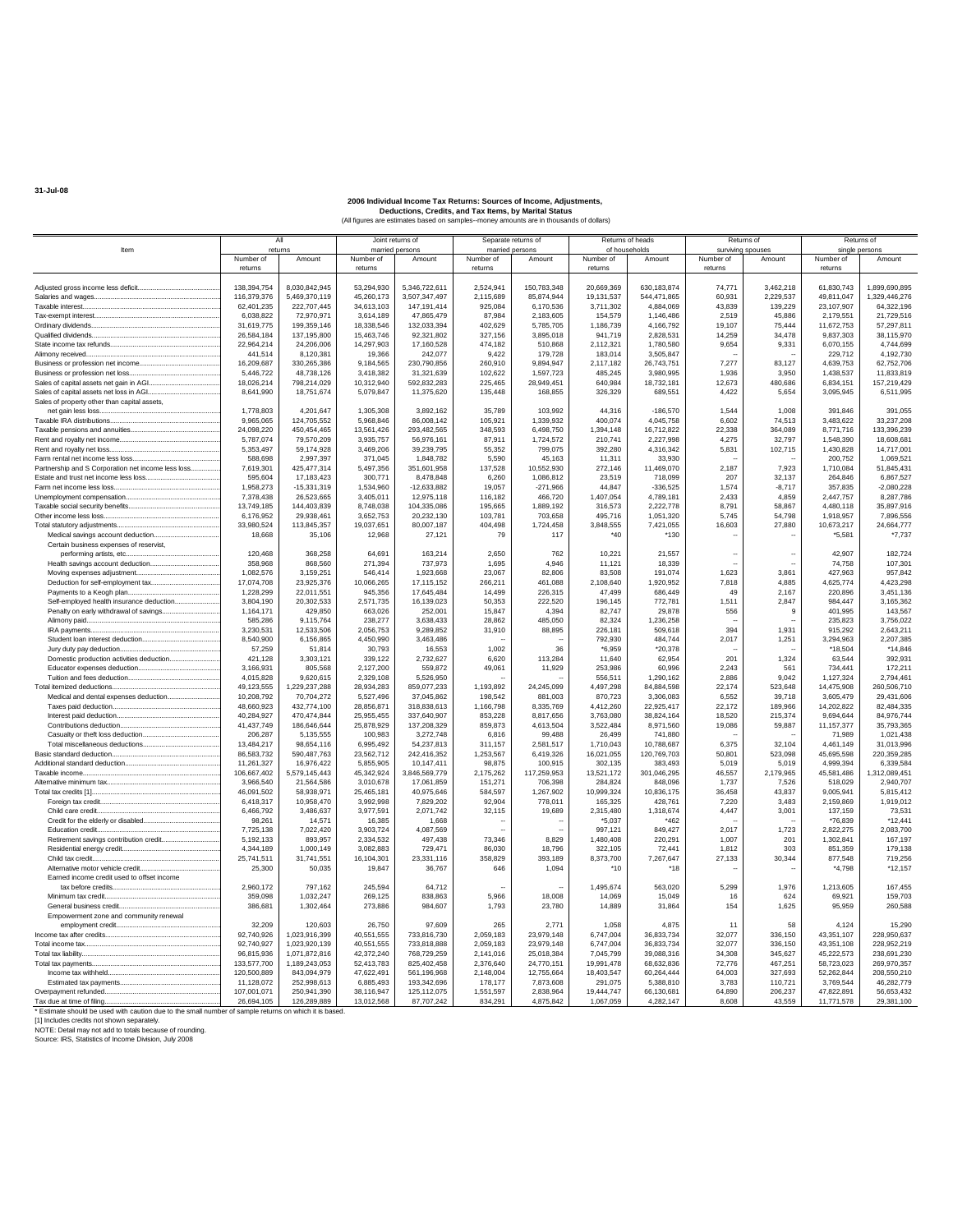|                                                                                | All                       |                             | Joint returns of             |                             | Separate returns of          |                         | Returns of heads           |                         | Returns of      |                             | Returns of                  |                            |
|--------------------------------------------------------------------------------|---------------------------|-----------------------------|------------------------------|-----------------------------|------------------------------|-------------------------|----------------------------|-------------------------|-----------------|-----------------------------|-----------------------------|----------------------------|
| Item                                                                           | Number of                 | returns<br>Amount           | married persons<br>Number of | Amount                      | married persons<br>Number of | Amount                  | of households<br>Number of | Amount                  | Number of       | surviving spouses<br>Amount | single persons<br>Number of | Amount                     |
|                                                                                | returns                   |                             | returns                      |                             | returns                      |                         | returns                    |                         | returns         |                             | returns                     |                            |
|                                                                                |                           |                             |                              |                             |                              |                         |                            |                         |                 |                             |                             |                            |
|                                                                                | 138.394.754               | 8,030,842,945               | 53.294.930                   | 5.346.722.611               | 2.524.941                    | 150.783.348             | 20.669.369                 | 630.183.874             | 74.771          | 3.462.218                   | 61,830,743                  | 1.899.690.895              |
|                                                                                | 116,379,376               | 5,469,370,119               | 45,260,173                   | 3,507,347,497               | 2,115,689                    | 85,874,944              | 19,131,537                 | 544,471,865             | 60,931          | 2,229,537                   | 49,811,047                  | 1,329,446,276              |
|                                                                                | 62,401,235                | 222,707,445                 | 34.613.103                   | 147.191.414<br>47.865.479   | 925.084                      | 6,170,536               | 3.711.302                  | 4.884.069               | 43,839          | 139.229<br>45,886           | 23,107,907                  | 64.322.196<br>21.729.516   |
|                                                                                | 6,038,822<br>31.619.775   | 72,970,971<br>199.359.146   | 3,614,189<br>18.338.546      | 132.033.394                 | 87,984<br>402.629            | 2,183,605<br>5.785.705  | 154,579<br>1.186.739       | 1,146,486<br>4.166.792  | 2,519<br>19.107 | 75,444                      | 2,179,551<br>11.672.753     | 57.297.811                 |
|                                                                                | 26,584,184                | 137,195,800                 | 15,463,746                   | 92,321,802                  | 327,156                      | 3,895,018               | 941,719                    | 2,828,531               | 14,259          | 34,478                      | 9,837,303                   | 38,115,970                 |
|                                                                                | 22,964,214                | 24,206,006                  | 14.297.903                   | 17,160,528                  | 474,182                      | 510,868                 | 2,112,321                  | 1,780,580               | 9,654           | 9,331                       | 6,070,155                   | 4.744.699                  |
|                                                                                | 441,514                   | 8.120.381                   | 19,366                       | 242.077                     | 9.422                        | 179,728                 | 183,014                    | 3.505.847               |                 |                             | 229.712                     | 4,192,730                  |
|                                                                                | 16,209,687                | 330,265,386                 | 9,184,565                    | 230,790,856                 | 260,910                      | 9,894,947               | 2,117,182                  | 26,743,751              | 7,277           | 83,127                      | 4,639,753                   | 62,752,706                 |
|                                                                                | 5,446,722                 | 48,738,126                  | 3,418,382                    | 31,321,639                  | 102,622                      | 1,597,723               | 485,245                    | 3,980,995               | 1,936           | 3,950                       | 1,438,537                   | 11,833,819                 |
|                                                                                | 18.026.214                | 798.214.029                 | 10.312.940                   | 592.832.283                 | 225.465                      | 28.949.451              | 640.984                    | 18,732,181              | 12.673          | 480.686                     | 6.834.151                   | 157.219.429                |
|                                                                                | 8,641,990                 | 18,751,674                  | 5,079,847                    | 11,375,620                  | 135,448                      | 168,855                 | 326,329                    | 689,551                 | 4,422           | 5,654                       | 3,095,945                   | 6,511,995                  |
| Sales of property other than capital assets,                                   | 1,778,803                 | 4.201.647                   | 1,305,308                    | 3.892.162                   | 35.789                       | 103.992                 | 44.316                     | $-186,570$              | 1.544           | 1.008                       | 391,846                     | 391.055                    |
|                                                                                | 9,965,065                 | 124,705,552                 | 5,968,846                    | 86,008,142                  | 105,921                      | 1,339,932               | 400,074                    | 4,045,758               | 6,602           | 74,513                      | 3,483,622                   | 33,237,208                 |
|                                                                                | 24,098,220                | 450,454,465                 | 13,561,426                   | 293,482,565                 | 348,593                      | 6,498,750               | 1,394,148                  | 16,712,822              | 22,338          | 364,089                     | 8,771,716                   | 133,396,239                |
|                                                                                | 5.787.074                 | 79.570.209                  | 3.935.757                    | 56.976.161                  | 87.911                       | 1.724.572               | 210.741                    | 2.227.998               | 4.275           | 32.797                      | 1.548.390                   | 18.608.681                 |
|                                                                                | 5,353,497                 | 59,174,928                  | 3,469,206                    | 39,239,795                  | 55,352                       | 799,075                 | 392,280                    | 4,316,342               | 5,831           | 102,715                     | 1,430,828                   | 14,717,001                 |
|                                                                                | 588,698                   | 2,997,397                   | 371,045                      | 1,848,782                   | 5,590                        | 45,163                  | 11,311                     | 33,930                  |                 |                             | 200,752                     | 1,069,521                  |
| Partnership and S Corporation net income less loss                             | 7.619.301                 | 425,477,314                 | 5,497,356                    | 351,601,958                 | 137.528                      | 10.552.930              | 272,146                    | 11,469,070              | 2.187           | 7.923                       | 1.710.084                   | 51,845,431                 |
|                                                                                | 595,604                   | 17,183,423                  | 300,771                      | 8,478,848                   | 6,260                        | 1,086,812               | 23,519                     | 718,099                 | 207             | 32,137                      | 264,846                     | 6,867,527                  |
|                                                                                | 1,958,273<br>7.378.438    | $-15,331,319$<br>26.523.665 | 1,534,960<br>3,405,011       | $-12,633,882$<br>12.975.118 | 19,057<br>116.182            | $-271,966$<br>466,720   | 44,847<br>1,407,054        | $-336,525$<br>4.789.181 | 1,574<br>2.433  | $-8,717$<br>4.859           | 357,835<br>2,447,757        | $-2,080,228$<br>8,287,786  |
|                                                                                | 13,749,185                | 144,403,839                 | 8,748,038                    | 104,335,086                 | 195,665                      | 1,889,192               | 316,573                    | 2,222,778               | 8,791           | 58,867                      | 4,480,118                   | 35,897,916                 |
| Other income less loss                                                         | 6,176,952                 | 29,938,461                  | 3,652,753                    | 20,232,130                  | 103,781                      | 703,658                 | 495,716                    | 1,051,320               | 5,745           | 54,798                      | 1,918,957                   | 7,896,556                  |
|                                                                                | 33,980,524                | 113,845,357                 | 19.037.651                   | 80.007.187                  | 404.498                      | 1.724.458               | 3,848,555                  | 7.421.055               | 16,603          | 27,880                      | 10.673.217                  | 24,664,777                 |
| Medical savings account deduction                                              | 18,668                    | 35,106                      | 12,968                       | 27,121                      | 79                           | 117                     | $*40$                      | $*130$                  |                 |                             | *5.581                      | $*7,737$                   |
| Certain business expenses of reservist,                                        |                           |                             |                              |                             |                              |                         |                            |                         |                 |                             |                             |                            |
| performing artists, etc                                                        | 120,468                   | 368.258                     | 64,691                       | 163.214                     | 2.650                        | 762                     | 10.221                     | 21,557                  |                 | $\sim$                      | 42,907                      | 182,724                    |
|                                                                                | 358,968                   | 868,560                     | 271.394                      | 737,973                     | 1,695                        | 4.946                   | 11,121                     | 18,339                  |                 | J.                          | 74,758                      | 107,301                    |
|                                                                                | 1,082,576                 | 3,159,251                   | 546,414                      | 1,923,668                   | 23,067                       | 82,806                  | 83,508                     | 191,074                 | 1,623           | 3,861                       | 427,963                     | 957,842                    |
|                                                                                | 17.074.708                | 23.925.376                  | 10.066.265                   | 17.115.152                  | 266.211                      | 461.088                 | 2,108,640                  | 1.920.952               | 7.818           | 4.885                       | 4.625.774                   | 4,423,298                  |
| Self-employed health insurance deduction                                       | 1,228,299<br>3,804,190    | 22,011,551<br>20,302,533    | 945,356<br>2,571,735         | 17,645,484<br>16,139,023    | 14,499<br>50,353             | 226,315<br>222,520      | 47,499<br>196,145          | 686,449<br>772,781      | 49<br>1,511     | 2,167<br>2,847              | 220,896<br>984,447          | 3,451,136<br>3,165,362     |
| Penalty on early withdrawal of savings                                         | 1.164.171                 | 429,850                     | 663,026                      | 252,001                     | 15.847                       | 4.394                   | 82.747                     | 29,878                  | 556             | g                           | 401.995                     | 143.567                    |
| Alimony paid                                                                   | 585,286                   | 9,115,764                   | 238,277                      | 3,638,433                   | 28,862                       | 485,050                 | 82,324                     | 1,236,258               |                 |                             | 235,823                     | 3,756,022                  |
|                                                                                | 3,230,531                 | 12,533,506                  | 2,056,753                    | 9,289,852                   | 31,910                       | 88,895                  | 226,181                    | 509,618                 | 394             | 1,931                       | 915,292                     | 2,643,211                  |
|                                                                                | 8,540,900                 | 6.156.865                   | 4.450.990                    | 3.463.486                   |                              |                         | 792.930                    | 484.744                 | 2,017           | 1.251                       | 3.294.963                   | 2,207,385                  |
|                                                                                | 57,259                    | 51,814                      | 30,793                       | 16,553                      | 1,002                        | 36                      | $*6,959$                   | *20,378                 |                 |                             | *18,504                     | $*14,846$                  |
| Domestic production activities deduction                                       | 421,128                   | 3,303,121                   | 339,122                      | 2,732,627                   | 6,620                        | 113,284                 | 11,640                     | 62,954                  | 201             | 1,324                       | 63,544                      | 392,931                    |
|                                                                                | 3,166,931                 | 805,568                     | 2,127,200                    | 559,872                     | 49,061                       | 11,929                  | 253.986                    | 60.996                  | 2.243           | 561                         | 734.441                     | 172,211                    |
|                                                                                | 4,015,828<br>49,123,555   | 9,620,615<br>1,229,237,288  | 2,329,108<br>28,934,283      | 5,526,950<br>859,077,233    | 1,193,892                    | 24,245,099              | 556,511<br>4,497,298       | 1,290,162<br>84,884,598 | 2,886<br>22.174 | 9,042<br>523,648            | 1,127,324<br>14,475,908     | 2,794,461<br>260,506,710   |
| Medical and dental expenses deduction                                          | 10.208.792                | 70,704,272                  | 5,527,496                    | 37.045.862                  | 198,542                      | 881.003                 | 870,723                    | 3,306,083               | 6.552           | 39,718                      | 3,605,479                   | 29.431.606                 |
|                                                                                | 48,660,923                | 432,774,100                 | 28,856,871                   | 318,838,613                 | 1,166,798                    | 8,335,769               | 4,412,260                  | 22,925,417              | 22,172          | 189,966                     | 14,202,822                  | 82,484,335                 |
|                                                                                | 40,284,927                | 470,474,844                 | 25,955,455                   | 337,640,907                 | 853.228                      | 8,817,656               | 3,763,080                  | 38,824,164              | 18,520          | 215,374                     | 9,694,644                   | 84,976,744                 |
|                                                                                | 41.437.749                | 186,646,644                 | 25,878,929                   | 137.208.329                 | 859,873                      | 4,613,504               | 3,522,484                  | 8,971,560               | 19,086          | 59,887                      | 11, 157, 377                | 35,793,365                 |
|                                                                                | 206,287                   | 5,135,555                   | 100,983                      | 3,272,748                   | 6,816                        | 99,488                  | 26,499                     | 741,880                 |                 |                             | 71,989                      | 1,021,438                  |
|                                                                                | 13,484,217                | 98,654,116                  | 6,995,492                    | 54.237.813                  | 311,157                      | 2,581,517               | 1,710,043                  | 10,788,687              | 6,375           | 32,104                      | 4,461,149                   | 31,013,996                 |
|                                                                                | 86.583.732                | 590,487,763                 | 23,562,712                   | 242,416,352                 | 1,253,567                    | 6.419.326               | 16,021,055                 | 120,769,703             | 50,801          | 523,098                     | 45,695,598                  | 220,359,285                |
|                                                                                | 11,261,327                | 16,976,422                  | 5,855,905                    | 10,147,411                  | 98,875                       | 100,915                 | 302,135                    | 383,493                 | 5,019           | 5,019                       | 4,999,394                   | 6,339,584                  |
|                                                                                | 106,667,402<br>3,966,540  | 5,579,145,443<br>21,564,586 | 45,342,924<br>3,010,678      | 3,846,569,779<br>17,061,859 | 2,175,262<br>151,271         | 117,259,953<br>706,398  | 13,521,172<br>284,824      | 301,046,295<br>848,096  | 46,557<br>1,737 | 2,179,965<br>7,526          | 45,581,486<br>518,029       | 1,312,089,451<br>2.940.707 |
|                                                                                | 46,091,502                | 58,938,971                  | 25,465,181                   | 40,975,646                  | 584,597                      | 1,267,902               | 10,999,324                 | 10,836,175              | 36,458          | 43,837                      | 9,005,941                   | 5,815,412                  |
|                                                                                | 6,418,317                 | 10,958,470                  | 3,992,998                    | 7,829,202                   | 92,904                       | 778,011                 | 165,325                    | 428,761                 | 7,220           | 3,483                       | 2,159,869                   | 1,919,012                  |
|                                                                                | 6,466,792                 | 3,486,637                   | 3,977,591                    | 2.071.742                   | 32.115                       | 19,689                  | 2,315,480                  | 1,318,674               | 4,447           | 3,001                       | 137,159                     | 73.531                     |
|                                                                                | 98,261                    | 14.571                      | 16,385                       | 1,668                       |                              |                         | $*5,037$                   | *462                    |                 |                             | *76,839                     | $*12,441$                  |
|                                                                                | 7,725,138                 | 7,022,420                   | 3,903,724                    | 4,087,569                   |                              |                         | 997,121                    | 849,427                 | 2,017           | 1,723                       | 2,822,275                   | 2,083,700                  |
| Retirement savings contribution credit                                         | 5,192,133                 | 893.957                     | 2.334.532                    | 497.438                     | 73.346                       | 8,829                   | 1.480.408                  | 220.291                 | 1.007           | 201                         | 1.302.841                   | 167,197                    |
|                                                                                | 4,344,189                 | 1,000,149                   | 3,082,883                    | 729,471                     | 86,030                       | 18,796                  | 322,105                    | 72.441                  | 1.812           | 303                         | 851,359                     | 179,138                    |
| Child tax credit                                                               | 25,741,511                | 31,741,551                  | 16,104,301                   | 23,331,116                  | 358,829                      | 393,189                 | 8,373,700                  | 7,267,647               | 27,133          | 30,344                      | 877,548                     | 719,256                    |
| Alternative motor vehicle credit<br>Earned income credit used to offset income | 25,300                    | 50,035                      | 19,847                       | 36,767                      | 646                          | 1,094                   | $*10$                      | $*18$                   |                 |                             | *4.798                      | *12.157                    |
|                                                                                | 2,960,172                 | 797,162                     | 245,594                      | 64,712                      |                              |                         | 1,495,674                  | 563,020                 | 5,299           | 1,976                       | 1,213,605                   | 167,455                    |
| Minimum tax credit                                                             | 359,098                   | 1.032.247                   | 269.125                      | 838,863                     | 5.966                        | 18,008                  | 14.069                     | 15.049                  | 16              | 624                         | 69.921                      | 159,703                    |
|                                                                                | 386,681                   | 1,302,464                   | 273,886                      | 984,607                     | 1,793                        | 23,780                  | 14,889                     | 31.864                  | 154             | 1.625                       | 95.959                      | 260,588                    |
| Empowerment zone and community renewal                                         |                           |                             |                              |                             |                              |                         |                            |                         |                 |                             |                             |                            |
| employment credit                                                              | 32.209                    | 120,603                     | 26,750                       | 97,609                      | 265                          | 2.771                   | 1.058                      | 4,875                   | 11              | 58                          | 4,124                       | 15.290                     |
|                                                                                | 92,740,926                | 1,023,916,399               | 40,551,555                   | 733,816,730                 | 2,059,183                    | 23,979,148              | 6,747,004                  | 36,833,734              | 32,077          | 336,150                     | 43,351,107                  | 228,950,637                |
|                                                                                | 92,740,927                | 1,023,920,139               | 40,551,555                   | 733,818,888                 | 2,059,183                    | 23,979,148              | 6,747,004                  | 36,833,734              | 32,077          | 336,150                     | 43,351,108                  | 228,952,219                |
| Total tax liability                                                            | 96,815,936                | 1,071,872,816               | 42.372.240                   | 768.729.259                 | 2,141,016                    | 25,018,384              | 7.045.799                  | 39.088.316              | 34.308          | 345,627                     | 45.222.573                  | 238.691.230                |
|                                                                                | 133,577,700               | 1.189.243.053               | 52,413,783                   | 825.402.458                 | 2.376.640                    | 24.770.151              | 19.991.478                 | 68.632.836              | 72,776          | 467.251                     | 58,723,023                  | 269.970.357                |
|                                                                                | 120,500,889               | 843,094,979<br>252.998.613  | 47,622,491                   | 561.196.968<br>193.342.696  | 2,148,004                    | 12,755,664<br>7.873.608 | 18,403,547<br>291.075      | 60,264,444<br>5.388.810 | 64.003<br>3.783 | 327.693                     | 52,262,844<br>3.769.544     | 208,550,210<br>46.282.779  |
|                                                                                | 11,128,072<br>107.001.071 | 250.941.390                 | 6,885,493<br>38.116.947      | 125.112.075                 | 178,177<br>1.551.597         | 2.838.964               | 19.444.747                 | 66.130.681              | 64.890          | 110,721<br>206.237          | 47.822.891                  | 56.653.432                 |
|                                                                                | 26,694,105                | 126,289,889                 | 13,012,568                   | 87,707,242                  | 834,291                      | 4,875,842               | 1,067,059                  | 4,282,147               | 8,608           | 43,559                      | 11,771,578                  | 29,381,100                 |
| Estimate should be used with coutien due to the small number                   |                           |                             |                              |                             |                              |                         |                            |                         |                 |                             |                             |                            |

\* Estimate should be used with caution due to the small number of sample returns on which it is based.<br>[1] Includes credits not shown separately.<br>NOTE: Detail may not add to totals because of rounding.<br>Source: IRS, Statist

**31-Jul-08**